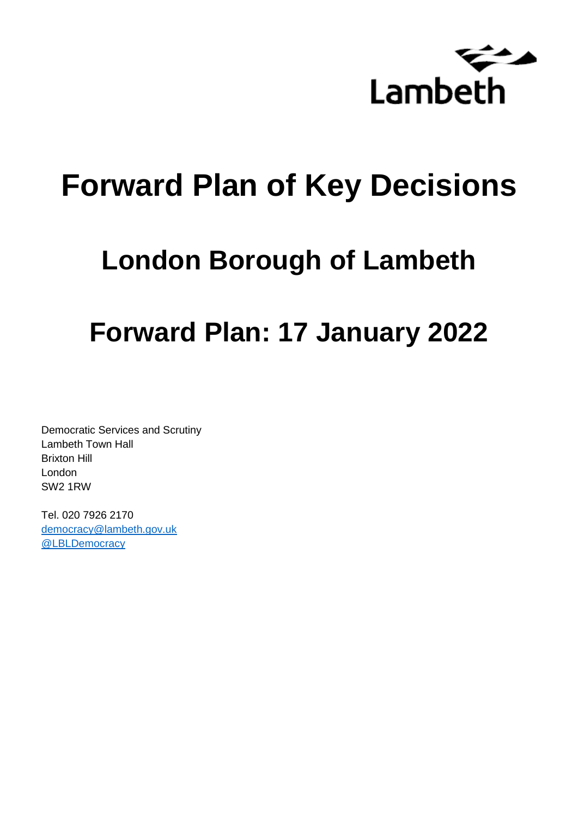

# **Forward Plan of Key Decisions**

# **London Borough of Lambeth**

# **Forward Plan: 17 January 2022**

Democratic Services and Scrutiny Lambeth Town Hall Brixton Hill London SW2 1RW

Tel. 020 7926 2170 [democracy@lambeth.gov.uk](mailto:democracy@lambeth.gov.uk) [@LBLDemocracy](https://twitter.com/LBLDemocracy?lang=en)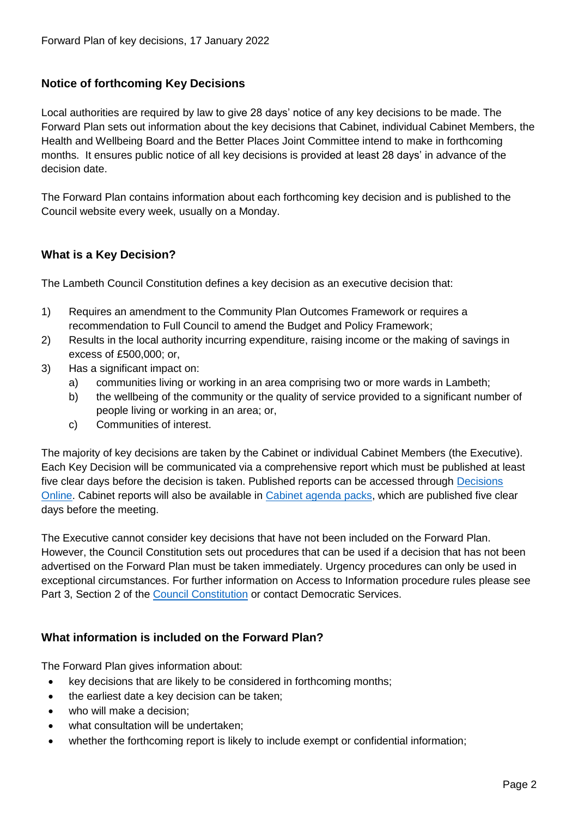# **Notice of forthcoming Key Decisions**

Local authorities are required by law to give 28 days' notice of any key decisions to be made. The Forward Plan sets out information about the key decisions that Cabinet, individual Cabinet Members, the Health and Wellbeing Board and the Better Places Joint Committee intend to make in forthcoming months. It ensures public notice of all key decisions is provided at least 28 days' in advance of the decision date.

The Forward Plan contains information about each forthcoming key decision and is published to the Council website every week, usually on a Monday.

# **What is a Key Decision?**

The Lambeth Council Constitution defines a key decision as an executive decision that:

- 1) Requires an amendment to the Community Plan Outcomes Framework or requires a recommendation to Full Council to amend the Budget and Policy Framework;
- 2) Results in the local authority incurring expenditure, raising income or the making of savings in excess of £500,000; or,
- 3) Has a significant impact on:
	- a) communities living or working in an area comprising two or more wards in Lambeth;
	- b) the wellbeing of the community or the quality of service provided to a significant number of people living or working in an area; or,
	- c) Communities of interest.

The majority of key decisions are taken by the Cabinet or individual Cabinet Members (the Executive). Each Key Decision will be communicated via a comprehensive report which must be published at least five clear days before the decision is taken. Published reports can be accessed through Decisions [Online.](http://moderngov.lambeth.gov.uk/mgDelegatedDecisions.aspx?bcr=1&DM=0&DS=2&K=0&DR=&V=0) Cabinet reports will also be available in [Cabinet agenda packs,](https://moderngov.lambeth.gov.uk/ieListMeetings.aspx?CommitteeId=225) which are published five clear days before the meeting.

The Executive cannot consider key decisions that have not been included on the Forward Plan. However, the Council Constitution sets out procedures that can be used if a decision that has not been advertised on the Forward Plan must be taken immediately. Urgency procedures can only be used in exceptional circumstances. For further information on Access to Information procedure rules please see Part 3, Section 2 of the [Council Constitution](http://moderngov.lambeth.gov.uk/ieListMeetings.aspx?CId=738&info=1&MD=Constitution) or contact Democratic Services.

# **What information is included on the Forward Plan?**

The Forward Plan gives information about:

- key decisions that are likely to be considered in forthcoming months;
- the earliest date a key decision can be taken;
- who will make a decision;
- what consultation will be undertaken;
- whether the forthcoming report is likely to include exempt or confidential information;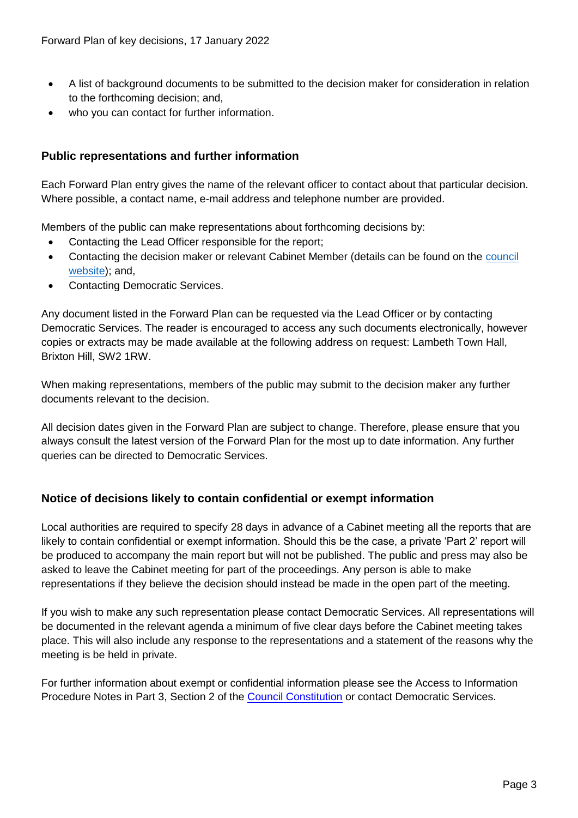- A list of background documents to be submitted to the decision maker for consideration in relation to the forthcoming decision; and,
- who you can contact for further information.

# **Public representations and further information**

Each Forward Plan entry gives the name of the relevant officer to contact about that particular decision. Where possible, a contact name, e-mail address and telephone number are provided.

Members of the public can make representations about forthcoming decisions by:

- Contacting the Lead Officer responsible for the report;
- Contacting the decision maker or relevant Cabinet Member (details can be found on the council [website\)](http://moderngov.lambeth.gov.uk/mgMemberIndex.aspx?bcr=1); and,
- Contacting Democratic Services.

Any document listed in the Forward Plan can be requested via the Lead Officer or by contacting Democratic Services. The reader is encouraged to access any such documents electronically, however copies or extracts may be made available at the following address on request: Lambeth Town Hall, Brixton Hill, SW2 1RW.

When making representations, members of the public may submit to the decision maker any further documents relevant to the decision.

All decision dates given in the Forward Plan are subject to change. Therefore, please ensure that you always consult the latest version of the Forward Plan for the most up to date information. Any further queries can be directed to Democratic Services.

# **Notice of decisions likely to contain confidential or exempt information**

Local authorities are required to specify 28 days in advance of a Cabinet meeting all the reports that are likely to contain confidential or exempt information. Should this be the case, a private 'Part 2' report will be produced to accompany the main report but will not be published. The public and press may also be asked to leave the Cabinet meeting for part of the proceedings. Any person is able to make representations if they believe the decision should instead be made in the open part of the meeting.

If you wish to make any such representation please contact Democratic Services. All representations will be documented in the relevant agenda a minimum of five clear days before the Cabinet meeting takes place. This will also include any response to the representations and a statement of the reasons why the meeting is be held in private.

For further information about exempt or confidential information please see the Access to Information Procedure Notes in Part 3, Section 2 of the [Council Constitution](http://moderngov.lambeth.gov.uk/ieListMeetings.aspx?CId=738&info=1&MD=Constitution) or contact Democratic Services.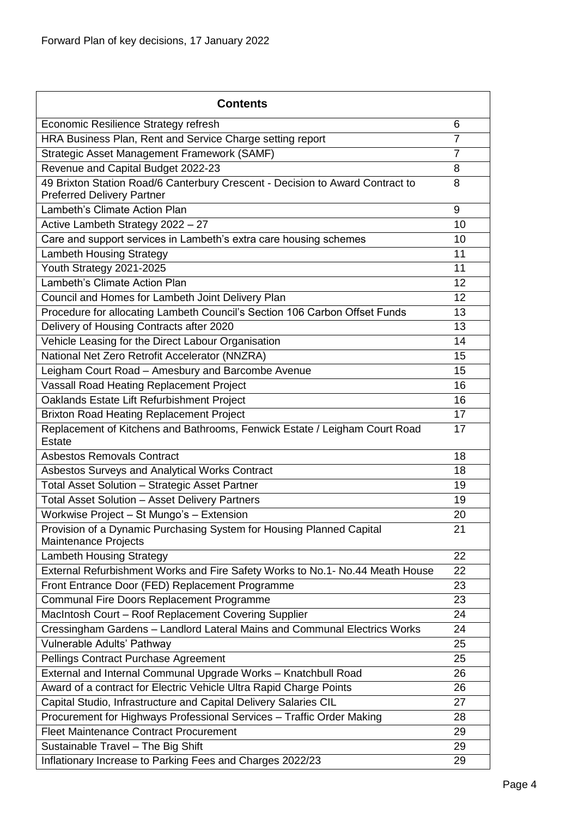| <b>Contents</b>                                                                                                    |                |
|--------------------------------------------------------------------------------------------------------------------|----------------|
| Economic Resilience Strategy refresh                                                                               | 6              |
| HRA Business Plan, Rent and Service Charge setting report                                                          | $\overline{7}$ |
| Strategic Asset Management Framework (SAMF)                                                                        | $\overline{7}$ |
| Revenue and Capital Budget 2022-23                                                                                 | 8              |
| 49 Brixton Station Road/6 Canterbury Crescent - Decision to Award Contract to<br><b>Preferred Delivery Partner</b> | 8              |
| Lambeth's Climate Action Plan                                                                                      | 9              |
| Active Lambeth Strategy 2022 - 27                                                                                  | 10             |
| Care and support services in Lambeth's extra care housing schemes                                                  | 10             |
| <b>Lambeth Housing Strategy</b>                                                                                    | 11             |
| Youth Strategy 2021-2025                                                                                           | 11             |
| Lambeth's Climate Action Plan                                                                                      | 12             |
| Council and Homes for Lambeth Joint Delivery Plan                                                                  | 12             |
| Procedure for allocating Lambeth Council's Section 106 Carbon Offset Funds                                         | 13             |
| Delivery of Housing Contracts after 2020                                                                           | 13             |
| Vehicle Leasing for the Direct Labour Organisation                                                                 | 14             |
| National Net Zero Retrofit Accelerator (NNZRA)                                                                     | 15             |
| Leigham Court Road - Amesbury and Barcombe Avenue                                                                  | 15             |
| Vassall Road Heating Replacement Project                                                                           | 16             |
| Oaklands Estate Lift Refurbishment Project                                                                         | 16             |
| <b>Brixton Road Heating Replacement Project</b>                                                                    | 17             |
| Replacement of Kitchens and Bathrooms, Fenwick Estate / Leigham Court Road<br><b>Estate</b>                        | 17             |
| <b>Asbestos Removals Contract</b>                                                                                  | 18             |
| Asbestos Surveys and Analytical Works Contract                                                                     | 18             |
| Total Asset Solution - Strategic Asset Partner                                                                     | 19             |
| <b>Total Asset Solution - Asset Delivery Partners</b>                                                              | 19             |
| Workwise Project - St Mungo's - Extension                                                                          | 20             |
| Provision of a Dynamic Purchasing System for Housing Planned Capital<br><b>Maintenance Projects</b>                | 21             |
| <b>Lambeth Housing Strategy</b>                                                                                    | 22             |
| External Refurbishment Works and Fire Safety Works to No.1- No.44 Meath House                                      | 22             |
| Front Entrance Door (FED) Replacement Programme                                                                    | 23             |
| Communal Fire Doors Replacement Programme                                                                          | 23             |
| MacIntosh Court - Roof Replacement Covering Supplier                                                               | 24             |
| Cressingham Gardens - Landlord Lateral Mains and Communal Electrics Works                                          | 24             |
| Vulnerable Adults' Pathway                                                                                         | 25             |
| Pellings Contract Purchase Agreement                                                                               | 25             |
| External and Internal Communal Upgrade Works - Knatchbull Road                                                     | 26             |
| Award of a contract for Electric Vehicle Ultra Rapid Charge Points                                                 | 26             |
| Capital Studio, Infrastructure and Capital Delivery Salaries CIL                                                   | 27             |
| Procurement for Highways Professional Services - Traffic Order Making                                              | 28             |
| <b>Fleet Maintenance Contract Procurement</b>                                                                      | 29             |
| Sustainable Travel - The Big Shift                                                                                 | 29             |
| Inflationary Increase to Parking Fees and Charges 2022/23                                                          | 29             |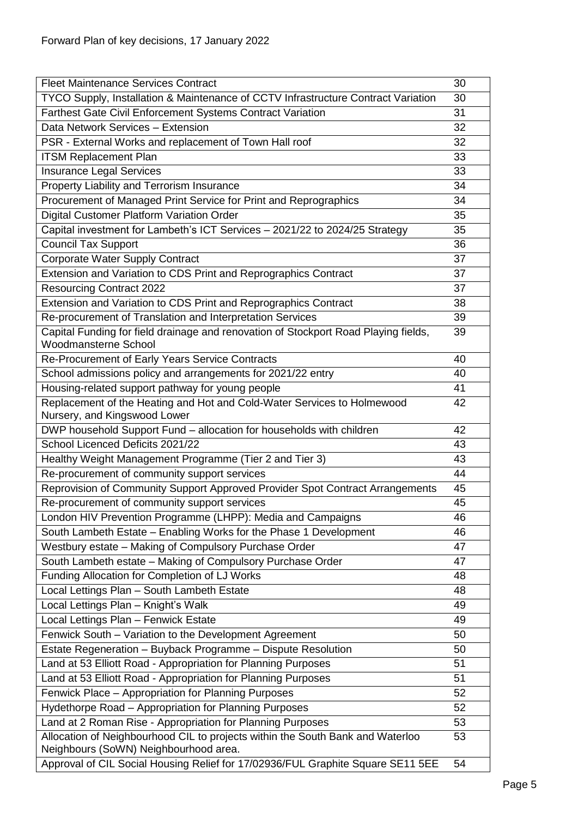| <b>Fleet Maintenance Services Contract</b>                                                                              | 30 |  |
|-------------------------------------------------------------------------------------------------------------------------|----|--|
| TYCO Supply, Installation & Maintenance of CCTV Infrastructure Contract Variation                                       |    |  |
| Farthest Gate Civil Enforcement Systems Contract Variation                                                              |    |  |
| Data Network Services - Extension                                                                                       |    |  |
| PSR - External Works and replacement of Town Hall roof                                                                  | 32 |  |
| <b>ITSM Replacement Plan</b>                                                                                            | 33 |  |
| <b>Insurance Legal Services</b>                                                                                         | 33 |  |
| Property Liability and Terrorism Insurance                                                                              | 34 |  |
| Procurement of Managed Print Service for Print and Reprographics                                                        | 34 |  |
| Digital Customer Platform Variation Order                                                                               | 35 |  |
| Capital investment for Lambeth's ICT Services - 2021/22 to 2024/25 Strategy                                             | 35 |  |
| <b>Council Tax Support</b>                                                                                              | 36 |  |
| <b>Corporate Water Supply Contract</b>                                                                                  | 37 |  |
| Extension and Variation to CDS Print and Reprographics Contract                                                         | 37 |  |
| <b>Resourcing Contract 2022</b>                                                                                         | 37 |  |
| Extension and Variation to CDS Print and Reprographics Contract                                                         | 38 |  |
| Re-procurement of Translation and Interpretation Services                                                               | 39 |  |
| Capital Funding for field drainage and renovation of Stockport Road Playing fields,                                     | 39 |  |
| <b>Woodmansterne School</b>                                                                                             |    |  |
| Re-Procurement of Early Years Service Contracts                                                                         | 40 |  |
| School admissions policy and arrangements for 2021/22 entry                                                             | 40 |  |
| Housing-related support pathway for young people                                                                        | 41 |  |
| Replacement of the Heating and Hot and Cold-Water Services to Holmewood<br>Nursery, and Kingswood Lower                 | 42 |  |
| DWP household Support Fund - allocation for households with children                                                    | 42 |  |
| School Licenced Deficits 2021/22                                                                                        | 43 |  |
| Healthy Weight Management Programme (Tier 2 and Tier 3)                                                                 | 43 |  |
| Re-procurement of community support services                                                                            | 44 |  |
| Reprovision of Community Support Approved Provider Spot Contract Arrangements                                           | 45 |  |
| Re-procurement of community support services                                                                            | 45 |  |
| London HIV Prevention Programme (LHPP): Media and Campaigns                                                             | 46 |  |
| South Lambeth Estate - Enabling Works for the Phase 1 Development                                                       | 46 |  |
| Westbury estate - Making of Compulsory Purchase Order                                                                   | 47 |  |
| South Lambeth estate - Making of Compulsory Purchase Order                                                              | 47 |  |
| Funding Allocation for Completion of LJ Works                                                                           | 48 |  |
| Local Lettings Plan - South Lambeth Estate                                                                              | 48 |  |
| Local Lettings Plan - Knight's Walk                                                                                     | 49 |  |
| Local Lettings Plan - Fenwick Estate                                                                                    | 49 |  |
| Fenwick South - Variation to the Development Agreement                                                                  | 50 |  |
| Estate Regeneration - Buyback Programme - Dispute Resolution                                                            | 50 |  |
| Land at 53 Elliott Road - Appropriation for Planning Purposes                                                           | 51 |  |
| Land at 53 Elliott Road - Appropriation for Planning Purposes                                                           | 51 |  |
| Fenwick Place - Appropriation for Planning Purposes                                                                     | 52 |  |
| Hydethorpe Road - Appropriation for Planning Purposes                                                                   | 52 |  |
| Land at 2 Roman Rise - Appropriation for Planning Purposes                                                              | 53 |  |
| Allocation of Neighbourhood CIL to projects within the South Bank and Waterloo<br>Neighbours (SoWN) Neighbourhood area. | 53 |  |
| Approval of CIL Social Housing Relief for 17/02936/FUL Graphite Square SE11 5EE                                         | 54 |  |
|                                                                                                                         |    |  |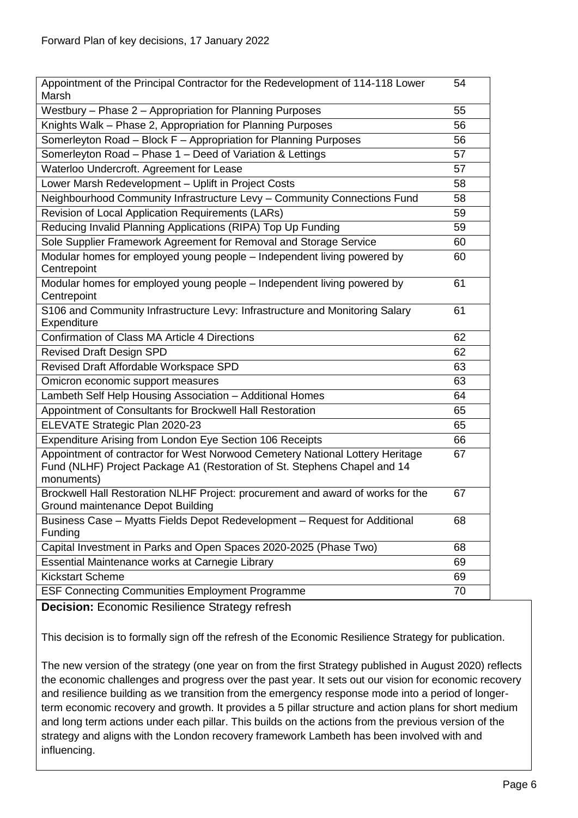| Appointment of the Principal Contractor for the Redevelopment of 114-118 Lower<br>Marsh                                                                                  | 54 |
|--------------------------------------------------------------------------------------------------------------------------------------------------------------------------|----|
| Westbury - Phase 2 - Appropriation for Planning Purposes                                                                                                                 | 55 |
| Knights Walk - Phase 2, Appropriation for Planning Purposes                                                                                                              | 56 |
| Somerleyton Road - Block F - Appropriation for Planning Purposes                                                                                                         | 56 |
| Somerleyton Road - Phase 1 - Deed of Variation & Lettings                                                                                                                | 57 |
| Waterloo Undercroft. Agreement for Lease                                                                                                                                 | 57 |
| Lower Marsh Redevelopment - Uplift in Project Costs                                                                                                                      | 58 |
| Neighbourhood Community Infrastructure Levy - Community Connections Fund                                                                                                 | 58 |
| Revision of Local Application Requirements (LARs)                                                                                                                        | 59 |
| Reducing Invalid Planning Applications (RIPA) Top Up Funding                                                                                                             | 59 |
| Sole Supplier Framework Agreement for Removal and Storage Service                                                                                                        | 60 |
| Modular homes for employed young people - Independent living powered by<br>Centrepoint                                                                                   | 60 |
| Modular homes for employed young people – Independent living powered by<br>Centrepoint                                                                                   | 61 |
| S106 and Community Infrastructure Levy: Infrastructure and Monitoring Salary<br>Expenditure                                                                              | 61 |
| Confirmation of Class MA Article 4 Directions                                                                                                                            | 62 |
| <b>Revised Draft Design SPD</b>                                                                                                                                          | 62 |
| Revised Draft Affordable Workspace SPD                                                                                                                                   | 63 |
| Omicron economic support measures                                                                                                                                        | 63 |
| Lambeth Self Help Housing Association - Additional Homes                                                                                                                 | 64 |
| Appointment of Consultants for Brockwell Hall Restoration                                                                                                                | 65 |
| ELEVATE Strategic Plan 2020-23                                                                                                                                           | 65 |
| Expenditure Arising from London Eye Section 106 Receipts                                                                                                                 | 66 |
| Appointment of contractor for West Norwood Cemetery National Lottery Heritage<br>Fund (NLHF) Project Package A1 (Restoration of St. Stephens Chapel and 14<br>monuments) | 67 |
| Brockwell Hall Restoration NLHF Project: procurement and award of works for the<br>Ground maintenance Depot Building                                                     | 67 |
| Business Case - Myatts Fields Depot Redevelopment - Request for Additional<br>Funding                                                                                    | 68 |
| Capital Investment in Parks and Open Spaces 2020-2025 (Phase Two)                                                                                                        | 68 |
| Essential Maintenance works at Carnegie Library                                                                                                                          | 69 |
| <b>Kickstart Scheme</b>                                                                                                                                                  | 69 |
| <b>ESF Connecting Communities Employment Programme</b>                                                                                                                   | 70 |

<span id="page-5-0"></span>**Decision:** Economic Resilience Strategy refresh

This decision is to formally sign off the refresh of the Economic Resilience Strategy for publication.

The new version of the strategy (one year on from the first Strategy published in August 2020) reflects the economic challenges and progress over the past year. It sets out our vision for economic recovery and resilience building as we transition from the emergency response mode into a period of longerterm economic recovery and growth. It provides a 5 pillar structure and action plans for short medium and long term actions under each pillar. This builds on the actions from the previous version of the strategy and aligns with the London recovery framework Lambeth has been involved with and influencing.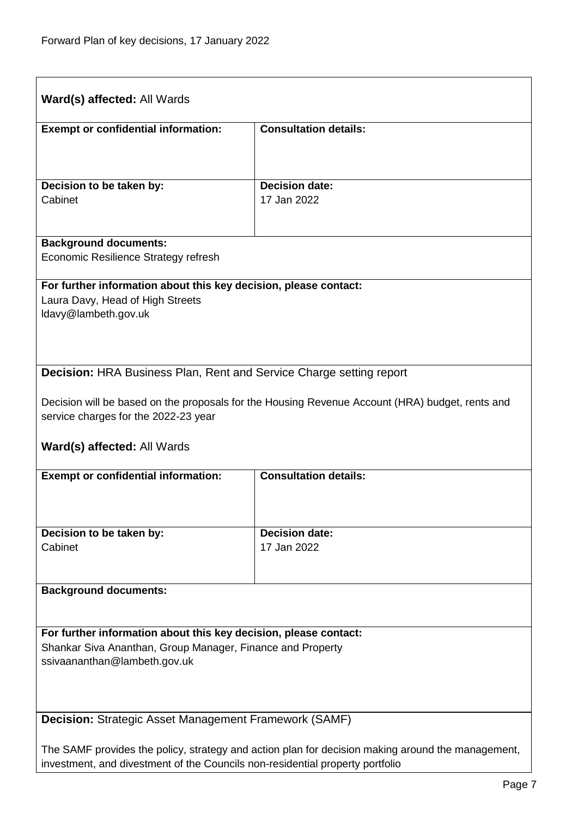<span id="page-6-1"></span><span id="page-6-0"></span>

| <b>Exempt or confidential information:</b>                                                                                                                                                                                                                                                                                                                                                                                 | <b>Consultation details:</b>                                                                    |
|----------------------------------------------------------------------------------------------------------------------------------------------------------------------------------------------------------------------------------------------------------------------------------------------------------------------------------------------------------------------------------------------------------------------------|-------------------------------------------------------------------------------------------------|
| Decision to be taken by:                                                                                                                                                                                                                                                                                                                                                                                                   | <b>Decision date:</b>                                                                           |
| Cabinet                                                                                                                                                                                                                                                                                                                                                                                                                    | 17 Jan 2022                                                                                     |
| <b>Background documents:</b><br>Economic Resilience Strategy refresh                                                                                                                                                                                                                                                                                                                                                       |                                                                                                 |
| For further information about this key decision, please contact:<br>Laura Davy, Head of High Streets<br>Idavy@lambeth.gov.uk                                                                                                                                                                                                                                                                                               |                                                                                                 |
| <b>Decision: HRA Business Plan, Rent and Service Charge setting report</b>                                                                                                                                                                                                                                                                                                                                                 |                                                                                                 |
|                                                                                                                                                                                                                                                                                                                                                                                                                            |                                                                                                 |
|                                                                                                                                                                                                                                                                                                                                                                                                                            | Decision will be based on the proposals for the Housing Revenue Account (HRA) budget, rents and |
|                                                                                                                                                                                                                                                                                                                                                                                                                            |                                                                                                 |
|                                                                                                                                                                                                                                                                                                                                                                                                                            | <b>Consultation details:</b>                                                                    |
|                                                                                                                                                                                                                                                                                                                                                                                                                            | <b>Decision date:</b>                                                                           |
|                                                                                                                                                                                                                                                                                                                                                                                                                            | 17 Jan 2022                                                                                     |
|                                                                                                                                                                                                                                                                                                                                                                                                                            |                                                                                                 |
|                                                                                                                                                                                                                                                                                                                                                                                                                            |                                                                                                 |
|                                                                                                                                                                                                                                                                                                                                                                                                                            |                                                                                                 |
|                                                                                                                                                                                                                                                                                                                                                                                                                            |                                                                                                 |
| service charges for the 2022-23 year<br><b>Ward(s) affected: All Wards</b><br><b>Exempt or confidential information:</b><br>Decision to be taken by:<br>Cabinet<br><b>Background documents:</b><br>For further information about this key decision, please contact:<br>Shankar Siva Ananthan, Group Manager, Finance and Property<br>ssivaananthan@lambeth.gov.uk<br>Decision: Strategic Asset Management Framework (SAMF) |                                                                                                 |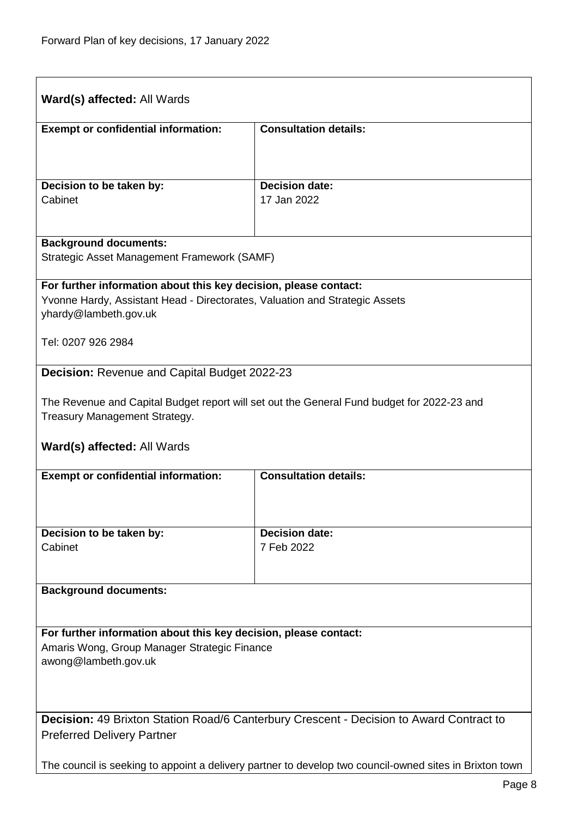<span id="page-7-1"></span><span id="page-7-0"></span>

| Ward(s) affected: All Wards                                                                                                                                              |                                                                                                         |  |
|--------------------------------------------------------------------------------------------------------------------------------------------------------------------------|---------------------------------------------------------------------------------------------------------|--|
| <b>Exempt or confidential information:</b>                                                                                                                               | <b>Consultation details:</b>                                                                            |  |
|                                                                                                                                                                          |                                                                                                         |  |
| Decision to be taken by:<br>Cabinet                                                                                                                                      | <b>Decision date:</b><br>17 Jan 2022                                                                    |  |
|                                                                                                                                                                          |                                                                                                         |  |
| <b>Background documents:</b><br>Strategic Asset Management Framework (SAMF)                                                                                              |                                                                                                         |  |
| For further information about this key decision, please contact:<br>Yvonne Hardy, Assistant Head - Directorates, Valuation and Strategic Assets<br>yhardy@lambeth.gov.uk |                                                                                                         |  |
| Tel: 0207 926 2984                                                                                                                                                       |                                                                                                         |  |
| <b>Decision: Revenue and Capital Budget 2022-23</b>                                                                                                                      |                                                                                                         |  |
| The Revenue and Capital Budget report will set out the General Fund budget for 2022-23 and<br>Treasury Management Strategy.                                              |                                                                                                         |  |
| <b>Ward(s) affected: All Wards</b>                                                                                                                                       |                                                                                                         |  |
| <b>Exempt or confidential information:</b>                                                                                                                               | <b>Consultation details:</b>                                                                            |  |
|                                                                                                                                                                          |                                                                                                         |  |
| Decision to be taken by:<br>Cabinet                                                                                                                                      | <b>Decision date:</b><br>7 Feb 2022                                                                     |  |
|                                                                                                                                                                          |                                                                                                         |  |
| <b>Background documents:</b>                                                                                                                                             |                                                                                                         |  |
| For further information about this key decision, please contact:                                                                                                         |                                                                                                         |  |
| Amaris Wong, Group Manager Strategic Finance<br>awong@lambeth.gov.uk                                                                                                     |                                                                                                         |  |
|                                                                                                                                                                          |                                                                                                         |  |
| <b>Decision:</b> 49 Brixton Station Road/6 Canterbury Crescent - Decision to Award Contract to<br><b>Preferred Delivery Partner</b>                                      |                                                                                                         |  |
|                                                                                                                                                                          | The council is seeking to appoint a delivery partner to develop two council-owned sites in Brixton town |  |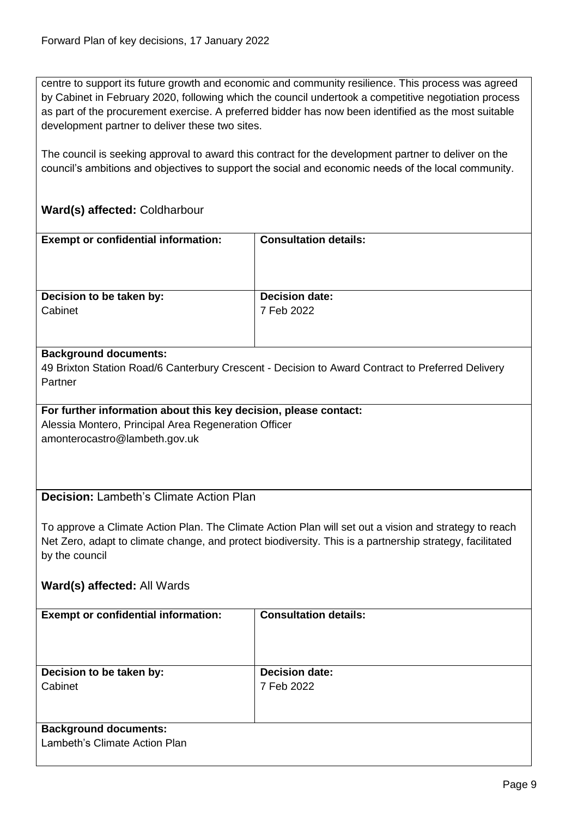centre to support its future growth and economic and community resilience. This process was agreed by Cabinet in February 2020, following which the council undertook a competitive negotiation process as part of the procurement exercise. A preferred bidder has now been identified as the most suitable development partner to deliver these two sites.

The council is seeking approval to award this contract for the development partner to deliver on the council's ambitions and objectives to support the social and economic needs of the local community.

# **Ward(s) affected:** Coldharbour

<span id="page-8-0"></span>

| <b>Exempt or confidential information:</b>                                                                               | <b>Consultation details:</b>                                                                             |
|--------------------------------------------------------------------------------------------------------------------------|----------------------------------------------------------------------------------------------------------|
|                                                                                                                          |                                                                                                          |
|                                                                                                                          |                                                                                                          |
| Decision to be taken by:                                                                                                 | <b>Decision date:</b>                                                                                    |
| Cabinet                                                                                                                  | 7 Feb 2022                                                                                               |
|                                                                                                                          |                                                                                                          |
| <b>Background documents:</b>                                                                                             |                                                                                                          |
|                                                                                                                          | 49 Brixton Station Road/6 Canterbury Crescent - Decision to Award Contract to Preferred Delivery         |
| Partner                                                                                                                  |                                                                                                          |
|                                                                                                                          |                                                                                                          |
| For further information about this key decision, please contact:<br>Alessia Montero, Principal Area Regeneration Officer |                                                                                                          |
| amonterocastro@lambeth.gov.uk                                                                                            |                                                                                                          |
|                                                                                                                          |                                                                                                          |
|                                                                                                                          |                                                                                                          |
|                                                                                                                          |                                                                                                          |
| <b>Decision: Lambeth's Climate Action Plan</b>                                                                           |                                                                                                          |
|                                                                                                                          | To approve a Climate Action Plan. The Climate Action Plan will set out a vision and strategy to reach    |
|                                                                                                                          | Net Zero, adapt to climate change, and protect biodiversity. This is a partnership strategy, facilitated |
| by the council                                                                                                           |                                                                                                          |
|                                                                                                                          |                                                                                                          |
| Ward(s) affected: All Wards                                                                                              |                                                                                                          |
| <b>Exempt or confidential information:</b>                                                                               | <b>Consultation details:</b>                                                                             |
|                                                                                                                          |                                                                                                          |
|                                                                                                                          |                                                                                                          |
|                                                                                                                          |                                                                                                          |
| Decision to be taken by:<br>Cabinet                                                                                      | <b>Decision date:</b><br>7 Feb 2022                                                                      |
|                                                                                                                          |                                                                                                          |
|                                                                                                                          |                                                                                                          |
| <b>Background documents:</b>                                                                                             |                                                                                                          |
| Lambeth's Climate Action Plan                                                                                            |                                                                                                          |
|                                                                                                                          |                                                                                                          |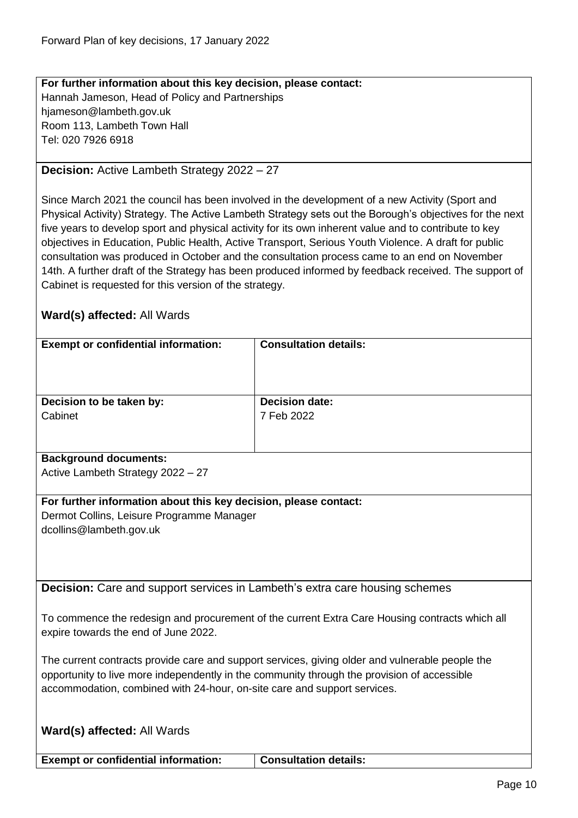**For further information about this key decision, please contact:** Hannah Jameson, Head of Policy and Partnerships hjameson@lambeth.gov.uk Room 113, Lambeth Town Hall Tel: 020 7926 6918

#### <span id="page-9-0"></span>**Decision:** Active Lambeth Strategy 2022 – 27

Since March 2021 the council has been involved in the development of a new Activity (Sport and Physical Activity) Strategy. The Active Lambeth Strategy sets out the Borough's objectives for the next five years to develop sport and physical activity for its own inherent value and to contribute to key objectives in Education, Public Health, Active Transport, Serious Youth Violence. A draft for public consultation was produced in October and the consultation process came to an end on November 14th. A further draft of the Strategy has been produced informed by feedback received. The support of Cabinet is requested for this version of the strategy.

# **Ward(s) affected:** All Wards

| <b>Exempt or confidential information:</b> | <b>Consultation details:</b> |
|--------------------------------------------|------------------------------|
|                                            |                              |
|                                            |                              |
|                                            |                              |
|                                            |                              |
| Decision to be taken by:                   | <b>Decision date:</b>        |
| Cabinet                                    | 7 Feb 2022                   |
|                                            |                              |
|                                            |                              |
|                                            |                              |
| <b>Background documents:</b>               |                              |
| Active Lambeth Strategy 2022 - 27          |                              |
|                                            |                              |
|                                            |                              |

#### **For further information about this key decision, please contact:**

Dermot Collins, Leisure Programme Manager dcollins@lambeth.gov.uk

<span id="page-9-1"></span>**Decision:** Care and support services in Lambeth's extra care housing schemes

To commence the redesign and procurement of the current Extra Care Housing contracts which all expire towards the end of June 2022.

The current contracts provide care and support services, giving older and vulnerable people the opportunity to live more independently in the community through the provision of accessible accommodation, combined with 24-hour, on-site care and support services.

| Ward(s) affected: All Wards                |                              |
|--------------------------------------------|------------------------------|
| <b>Exempt or confidential information:</b> | <b>Consultation details:</b> |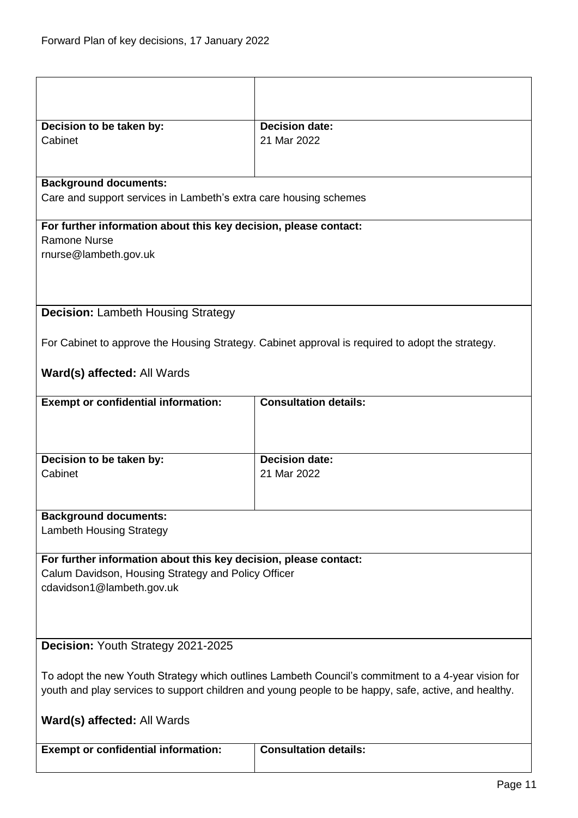<span id="page-10-1"></span><span id="page-10-0"></span>

| Decision to be taken by:                                                                                                | <b>Decision date:</b>                                                                                |  |
|-------------------------------------------------------------------------------------------------------------------------|------------------------------------------------------------------------------------------------------|--|
| Cabinet                                                                                                                 | 21 Mar 2022                                                                                          |  |
|                                                                                                                         |                                                                                                      |  |
| <b>Background documents:</b>                                                                                            |                                                                                                      |  |
| Care and support services in Lambeth's extra care housing schemes                                                       |                                                                                                      |  |
| For further information about this key decision, please contact:                                                        |                                                                                                      |  |
| <b>Ramone Nurse</b>                                                                                                     |                                                                                                      |  |
| rnurse@lambeth.gov.uk                                                                                                   |                                                                                                      |  |
|                                                                                                                         |                                                                                                      |  |
|                                                                                                                         |                                                                                                      |  |
| <b>Decision: Lambeth Housing Strategy</b>                                                                               |                                                                                                      |  |
|                                                                                                                         | For Cabinet to approve the Housing Strategy. Cabinet approval is required to adopt the strategy.     |  |
| <b>Ward(s) affected: All Wards</b>                                                                                      |                                                                                                      |  |
| <b>Exempt or confidential information:</b>                                                                              | <b>Consultation details:</b>                                                                         |  |
|                                                                                                                         |                                                                                                      |  |
| Decision to be taken by:                                                                                                | <b>Decision date:</b>                                                                                |  |
| Cabinet                                                                                                                 | 21 Mar 2022                                                                                          |  |
|                                                                                                                         |                                                                                                      |  |
| <b>Background documents:</b>                                                                                            |                                                                                                      |  |
| <b>Lambeth Housing Strategy</b>                                                                                         |                                                                                                      |  |
|                                                                                                                         |                                                                                                      |  |
| For further information about this key decision, please contact:<br>Calum Davidson, Housing Strategy and Policy Officer |                                                                                                      |  |
| cdavidson1@lambeth.gov.uk                                                                                               |                                                                                                      |  |
|                                                                                                                         |                                                                                                      |  |
|                                                                                                                         |                                                                                                      |  |
| Decision: Youth Strategy 2021-2025                                                                                      |                                                                                                      |  |
|                                                                                                                         |                                                                                                      |  |
| To adopt the new Youth Strategy which outlines Lambeth Council's commitment to a 4-year vision for                      |                                                                                                      |  |
|                                                                                                                         | youth and play services to support children and young people to be happy, safe, active, and healthy. |  |
| Ward(s) affected: All Wards                                                                                             |                                                                                                      |  |
| <b>Exempt or confidential information:</b>                                                                              | <b>Consultation details:</b>                                                                         |  |
|                                                                                                                         |                                                                                                      |  |
|                                                                                                                         |                                                                                                      |  |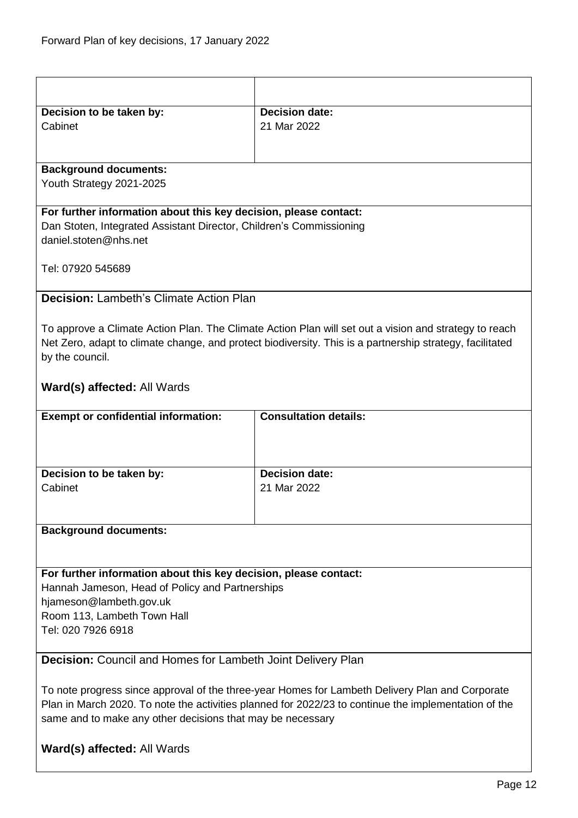<span id="page-11-1"></span><span id="page-11-0"></span>

|                                                                     | <b>Decision date:</b>                                                                                    |  |
|---------------------------------------------------------------------|----------------------------------------------------------------------------------------------------------|--|
| Decision to be taken by:<br>Cabinet                                 | 21 Mar 2022                                                                                              |  |
|                                                                     |                                                                                                          |  |
|                                                                     |                                                                                                          |  |
| <b>Background documents:</b>                                        |                                                                                                          |  |
| Youth Strategy 2021-2025                                            |                                                                                                          |  |
|                                                                     |                                                                                                          |  |
| For further information about this key decision, please contact:    |                                                                                                          |  |
| Dan Stoten, Integrated Assistant Director, Children's Commissioning |                                                                                                          |  |
| daniel.stoten@nhs.net                                               |                                                                                                          |  |
|                                                                     |                                                                                                          |  |
| Tel: 07920 545689                                                   |                                                                                                          |  |
| <b>Decision: Lambeth's Climate Action Plan</b>                      |                                                                                                          |  |
|                                                                     |                                                                                                          |  |
|                                                                     | To approve a Climate Action Plan. The Climate Action Plan will set out a vision and strategy to reach    |  |
|                                                                     | Net Zero, adapt to climate change, and protect biodiversity. This is a partnership strategy, facilitated |  |
| by the council.                                                     |                                                                                                          |  |
|                                                                     |                                                                                                          |  |
| <b>Ward(s) affected: All Wards</b>                                  |                                                                                                          |  |
|                                                                     |                                                                                                          |  |
| <b>Exempt or confidential information:</b>                          | <b>Consultation details:</b>                                                                             |  |
|                                                                     |                                                                                                          |  |
|                                                                     |                                                                                                          |  |
|                                                                     |                                                                                                          |  |
| Decision to be taken by:                                            | <b>Decision date:</b>                                                                                    |  |
| Cabinet                                                             | 21 Mar 2022                                                                                              |  |
|                                                                     |                                                                                                          |  |
| <b>Background documents:</b>                                        |                                                                                                          |  |
|                                                                     |                                                                                                          |  |
|                                                                     |                                                                                                          |  |
| For further information about this key decision, please contact:    |                                                                                                          |  |
| Hannah Jameson, Head of Policy and Partnerships                     |                                                                                                          |  |
| hjameson@lambeth.gov.uk                                             |                                                                                                          |  |
| Room 113, Lambeth Town Hall                                         |                                                                                                          |  |
| Tel: 020 7926 6918                                                  |                                                                                                          |  |
|                                                                     |                                                                                                          |  |
| <b>Decision:</b> Council and Homes for Lambeth Joint Delivery Plan  |                                                                                                          |  |
|                                                                     |                                                                                                          |  |
|                                                                     | To note progress since approval of the three-year Homes for Lambeth Delivery Plan and Corporate          |  |
|                                                                     | Plan in March 2020. To note the activities planned for 2022/23 to continue the implementation of the     |  |
| same and to make any other decisions that may be necessary          |                                                                                                          |  |
| Ward(s) affected: All Wards                                         |                                                                                                          |  |
|                                                                     |                                                                                                          |  |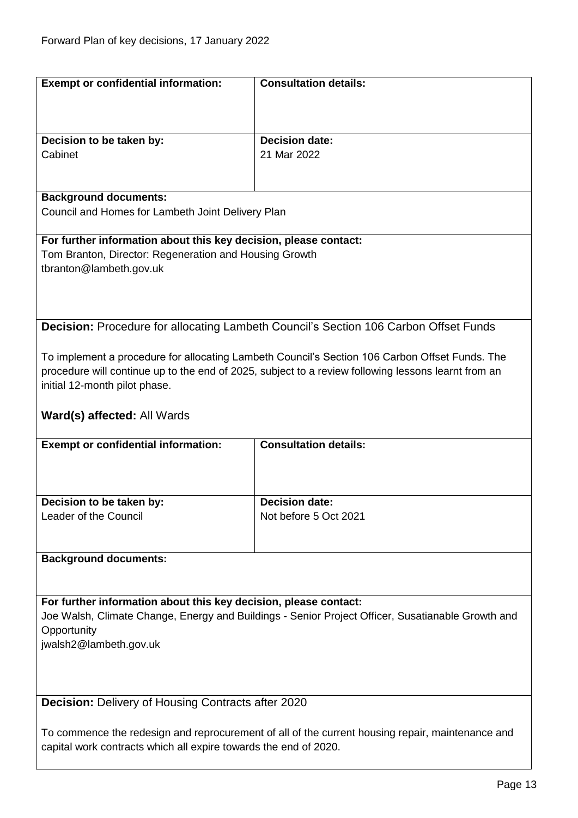<span id="page-12-1"></span><span id="page-12-0"></span>

| <b>Exempt or confidential information:</b>                                                                       | <b>Consultation details:</b>                                                                        |  |
|------------------------------------------------------------------------------------------------------------------|-----------------------------------------------------------------------------------------------------|--|
|                                                                                                                  |                                                                                                     |  |
|                                                                                                                  |                                                                                                     |  |
|                                                                                                                  |                                                                                                     |  |
| Decision to be taken by:<br>Cabinet                                                                              | <b>Decision date:</b><br>21 Mar 2022                                                                |  |
|                                                                                                                  |                                                                                                     |  |
|                                                                                                                  |                                                                                                     |  |
| <b>Background documents:</b>                                                                                     |                                                                                                     |  |
| Council and Homes for Lambeth Joint Delivery Plan                                                                |                                                                                                     |  |
|                                                                                                                  |                                                                                                     |  |
| For further information about this key decision, please contact:                                                 |                                                                                                     |  |
| Tom Branton, Director: Regeneration and Housing Growth                                                           |                                                                                                     |  |
| tbranton@lambeth.gov.uk                                                                                          |                                                                                                     |  |
|                                                                                                                  |                                                                                                     |  |
|                                                                                                                  |                                                                                                     |  |
|                                                                                                                  | <b>Decision:</b> Procedure for allocating Lambeth Council's Section 106 Carbon Offset Funds         |  |
|                                                                                                                  |                                                                                                     |  |
|                                                                                                                  | To implement a procedure for allocating Lambeth Council's Section 106 Carbon Offset Funds. The      |  |
|                                                                                                                  | procedure will continue up to the end of 2025, subject to a review following lessons learnt from an |  |
| initial 12-month pilot phase.                                                                                    |                                                                                                     |  |
|                                                                                                                  |                                                                                                     |  |
| Ward(s) affected: All Wards                                                                                      |                                                                                                     |  |
|                                                                                                                  |                                                                                                     |  |
| <b>Exempt or confidential information:</b>                                                                       | <b>Consultation details:</b>                                                                        |  |
|                                                                                                                  |                                                                                                     |  |
|                                                                                                                  |                                                                                                     |  |
| Decision to be taken by:                                                                                         | <b>Decision date:</b>                                                                               |  |
| Leader of the Council                                                                                            | Not before 5 Oct 2021                                                                               |  |
|                                                                                                                  |                                                                                                     |  |
|                                                                                                                  |                                                                                                     |  |
| <b>Background documents:</b>                                                                                     |                                                                                                     |  |
|                                                                                                                  |                                                                                                     |  |
| For further information about this key decision, please contact:                                                 |                                                                                                     |  |
|                                                                                                                  |                                                                                                     |  |
| Joe Walsh, Climate Change, Energy and Buildings - Senior Project Officer, Susatianable Growth and<br>Opportunity |                                                                                                     |  |
| jwalsh2@lambeth.gov.uk                                                                                           |                                                                                                     |  |
|                                                                                                                  |                                                                                                     |  |
|                                                                                                                  |                                                                                                     |  |
|                                                                                                                  |                                                                                                     |  |
| Decision: Delivery of Housing Contracts after 2020                                                               |                                                                                                     |  |
|                                                                                                                  |                                                                                                     |  |
|                                                                                                                  | To commence the redesign and reprocurement of all of the current housing repair, maintenance and    |  |
| capital work contracts which all expire towards the end of 2020.                                                 |                                                                                                     |  |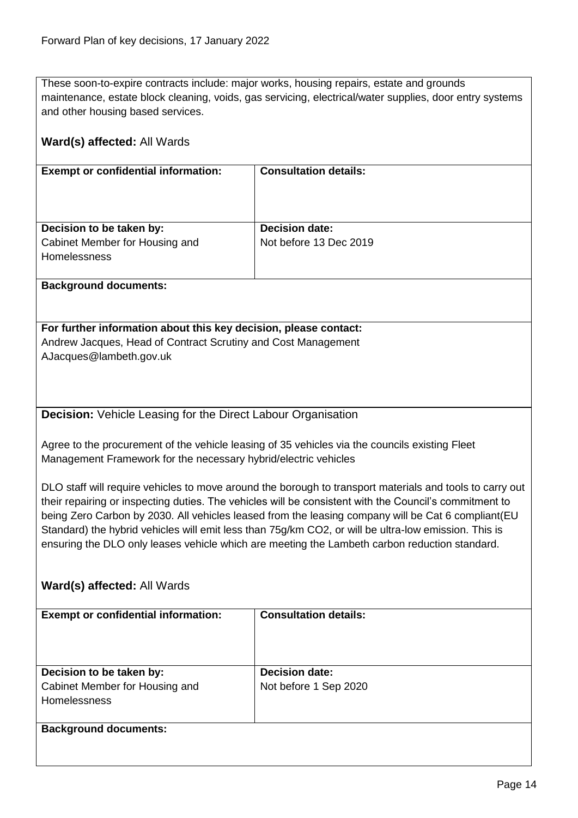These soon-to-expire contracts include: major works, housing repairs, estate and grounds maintenance, estate block cleaning, voids, gas servicing, electrical/water supplies, door entry systems and other housing based services.

<span id="page-13-0"></span>

| Ward(s) affected: All Wards                                                                                                                                                                                                                                                                                                                                                                                                                                                                                                       |                              |  |
|-----------------------------------------------------------------------------------------------------------------------------------------------------------------------------------------------------------------------------------------------------------------------------------------------------------------------------------------------------------------------------------------------------------------------------------------------------------------------------------------------------------------------------------|------------------------------|--|
| <b>Exempt or confidential information:</b>                                                                                                                                                                                                                                                                                                                                                                                                                                                                                        | <b>Consultation details:</b> |  |
| Decision to be taken by:                                                                                                                                                                                                                                                                                                                                                                                                                                                                                                          | <b>Decision date:</b>        |  |
| Cabinet Member for Housing and                                                                                                                                                                                                                                                                                                                                                                                                                                                                                                    | Not before 13 Dec 2019       |  |
| <b>Homelessness</b>                                                                                                                                                                                                                                                                                                                                                                                                                                                                                                               |                              |  |
| <b>Background documents:</b>                                                                                                                                                                                                                                                                                                                                                                                                                                                                                                      |                              |  |
| For further information about this key decision, please contact:                                                                                                                                                                                                                                                                                                                                                                                                                                                                  |                              |  |
| Andrew Jacques, Head of Contract Scrutiny and Cost Management<br>AJacques@lambeth.gov.uk                                                                                                                                                                                                                                                                                                                                                                                                                                          |                              |  |
| <b>Decision:</b> Vehicle Leasing for the Direct Labour Organisation                                                                                                                                                                                                                                                                                                                                                                                                                                                               |                              |  |
| Agree to the procurement of the vehicle leasing of 35 vehicles via the councils existing Fleet<br>Management Framework for the necessary hybrid/electric vehicles                                                                                                                                                                                                                                                                                                                                                                 |                              |  |
| DLO staff will require vehicles to move around the borough to transport materials and tools to carry out<br>their repairing or inspecting duties. The vehicles will be consistent with the Council's commitment to<br>being Zero Carbon by 2030. All vehicles leased from the leasing company will be Cat 6 compliant(EU<br>Standard) the hybrid vehicles will emit less than 75g/km CO2, or will be ultra-low emission. This is<br>ensuring the DLO only leases vehicle which are meeting the Lambeth carbon reduction standard. |                              |  |
| Ward(s) affected: All Wards                                                                                                                                                                                                                                                                                                                                                                                                                                                                                                       |                              |  |
| <b>Exempt or confidential information:</b>                                                                                                                                                                                                                                                                                                                                                                                                                                                                                        | <b>Consultation details:</b> |  |
| Decision to be taken by:                                                                                                                                                                                                                                                                                                                                                                                                                                                                                                          | <b>Decision date:</b>        |  |
| Cabinet Member for Housing and                                                                                                                                                                                                                                                                                                                                                                                                                                                                                                    | Not before 1 Sep 2020        |  |
| Homelessness                                                                                                                                                                                                                                                                                                                                                                                                                                                                                                                      |                              |  |
| <b>Background documents:</b>                                                                                                                                                                                                                                                                                                                                                                                                                                                                                                      |                              |  |
|                                                                                                                                                                                                                                                                                                                                                                                                                                                                                                                                   |                              |  |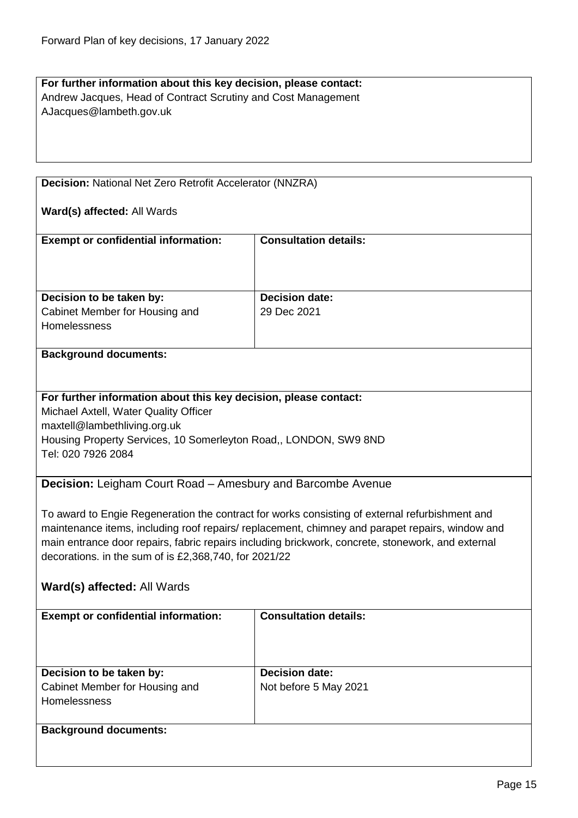# **For further information about this key decision, please contact:** Andrew Jacques, Head of Contract Scrutiny and Cost Management AJacques@lambeth.gov.uk

<span id="page-14-0"></span>**Decision:** National Net Zero Retrofit Accelerator (NNZRA)

#### **Ward(s) affected:** All Wards

| <b>Exempt or confidential information:</b> | <b>Consultation details:</b> |
|--------------------------------------------|------------------------------|
|                                            |                              |
| Decision to be taken by:                   | <b>Decision date:</b>        |
| Cabinet Member for Housing and             | 29 Dec 2021                  |
| <b>Homelessness</b>                        |                              |

#### **Background documents:**

#### **For further information about this key decision, please contact:**

Michael Axtell, Water Quality Officer maxtell@lambethliving.org.uk Housing Property Services, 10 Somerleyton Road,, LONDON, SW9 8ND Tel: 020 7926 2084

#### <span id="page-14-1"></span>**Decision:** Leigham Court Road – Amesbury and Barcombe Avenue

To award to Engie Regeneration the contract for works consisting of external refurbishment and maintenance items, including roof repairs/ replacement, chimney and parapet repairs, window and main entrance door repairs, fabric repairs including brickwork, concrete, stonework, and external decorations. in the sum of is £2,368,740, for 2021/22

#### **Ward(s) affected:** All Wards

| <b>Exempt or confidential information:</b> | <b>Consultation details:</b> |
|--------------------------------------------|------------------------------|
| Decision to be taken by:                   | <b>Decision date:</b>        |
| Cabinet Member for Housing and             | Not before 5 May 2021        |
| <b>Homelessness</b>                        |                              |
|                                            |                              |
| <b>Background documents:</b>               |                              |
|                                            |                              |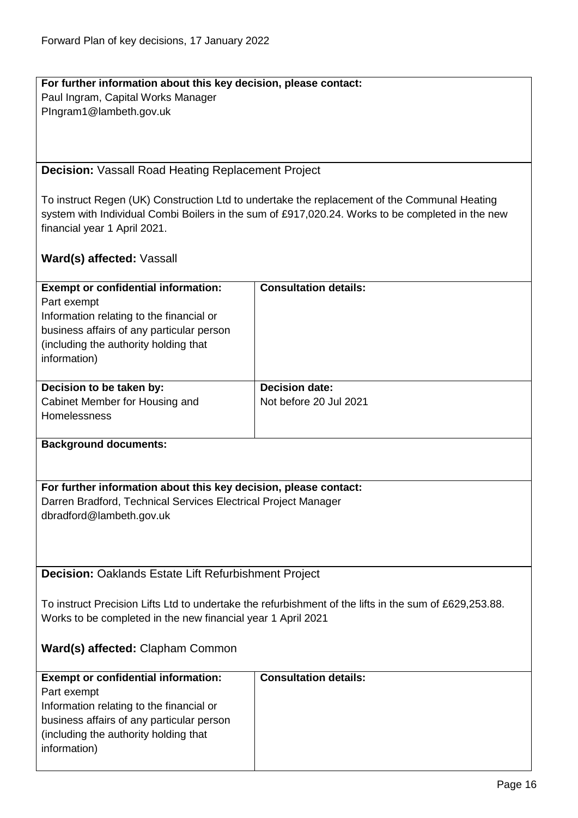**For further information about this key decision, please contact:** Paul Ingram, Capital Works Manager PIngram1@lambeth.gov.uk

<span id="page-15-0"></span>**Decision:** Vassall Road Heating Replacement Project

To instruct Regen (UK) Construction Ltd to undertake the replacement of the Communal Heating system with Individual Combi Boilers in the sum of £917,020.24. Works to be completed in the new financial year 1 April 2021.

# **Ward(s) affected:** Vassall

<span id="page-15-1"></span>

| <b>Exempt or confidential information:</b>                                                             | <b>Consultation details:</b> |  |
|--------------------------------------------------------------------------------------------------------|------------------------------|--|
| Part exempt                                                                                            |                              |  |
| Information relating to the financial or                                                               |                              |  |
| business affairs of any particular person                                                              |                              |  |
| (including the authority holding that                                                                  |                              |  |
| information)                                                                                           |                              |  |
| Decision to be taken by:                                                                               | <b>Decision date:</b>        |  |
| Cabinet Member for Housing and                                                                         | Not before 20 Jul 2021       |  |
| Homelessness                                                                                           |                              |  |
|                                                                                                        |                              |  |
| <b>Background documents:</b>                                                                           |                              |  |
|                                                                                                        |                              |  |
| For further information about this key decision, please contact:                                       |                              |  |
| Darren Bradford, Technical Services Electrical Project Manager                                         |                              |  |
| dbradford@lambeth.gov.uk                                                                               |                              |  |
|                                                                                                        |                              |  |
|                                                                                                        |                              |  |
|                                                                                                        |                              |  |
| <b>Decision: Oaklands Estate Lift Refurbishment Project</b>                                            |                              |  |
|                                                                                                        |                              |  |
| To instruct Precision Lifts Ltd to undertake the refurbishment of the lifts in the sum of £629,253.88. |                              |  |
| Works to be completed in the new financial year 1 April 2021                                           |                              |  |
|                                                                                                        |                              |  |
| Ward(s) affected: Clapham Common                                                                       |                              |  |
|                                                                                                        |                              |  |
| <b>Exempt or confidential information:</b>                                                             | <b>Consultation details:</b> |  |
| Part exempt                                                                                            |                              |  |
| Information relating to the financial or                                                               |                              |  |
| business affairs of any particular person                                                              |                              |  |
| (including the authority holding that                                                                  |                              |  |
| information)                                                                                           |                              |  |
|                                                                                                        |                              |  |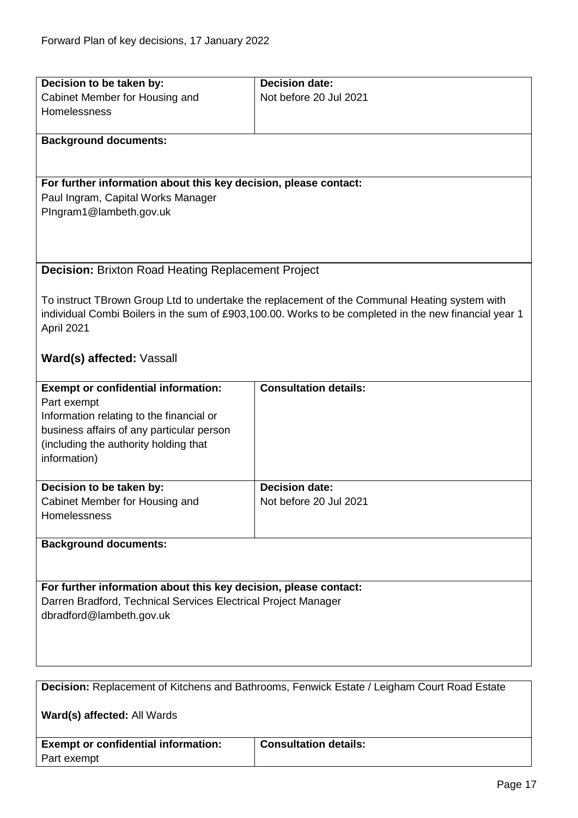<span id="page-16-1"></span>Part exempt

<span id="page-16-0"></span>

| Decision to be taken by:                                         | <b>Decision date:</b>                                                                                 |
|------------------------------------------------------------------|-------------------------------------------------------------------------------------------------------|
|                                                                  |                                                                                                       |
| Cabinet Member for Housing and                                   | Not before 20 Jul 2021                                                                                |
| Homelessness                                                     |                                                                                                       |
|                                                                  |                                                                                                       |
| <b>Background documents:</b>                                     |                                                                                                       |
|                                                                  |                                                                                                       |
|                                                                  |                                                                                                       |
| For further information about this key decision, please contact: |                                                                                                       |
| Paul Ingram, Capital Works Manager                               |                                                                                                       |
| PIngram1@lambeth.gov.uk                                          |                                                                                                       |
|                                                                  |                                                                                                       |
|                                                                  |                                                                                                       |
|                                                                  |                                                                                                       |
| <b>Decision: Brixton Road Heating Replacement Project</b>        |                                                                                                       |
|                                                                  |                                                                                                       |
|                                                                  | To instruct TBrown Group Ltd to undertake the replacement of the Communal Heating system with         |
|                                                                  | individual Combi Boilers in the sum of £903,100.00. Works to be completed in the new financial year 1 |
| April 2021                                                       |                                                                                                       |
|                                                                  |                                                                                                       |
| Ward(s) affected: Vassall                                        |                                                                                                       |
|                                                                  |                                                                                                       |
| <b>Exempt or confidential information:</b>                       | <b>Consultation details:</b>                                                                          |
| Part exempt                                                      |                                                                                                       |
| Information relating to the financial or                         |                                                                                                       |
|                                                                  |                                                                                                       |
| business affairs of any particular person                        |                                                                                                       |
| (including the authority holding that                            |                                                                                                       |
| information)                                                     |                                                                                                       |
|                                                                  |                                                                                                       |
| Decision to be taken by:                                         | <b>Decision date:</b>                                                                                 |
| Cabinet Member for Housing and                                   | Not before 20 Jul 2021                                                                                |
| Homelessness                                                     |                                                                                                       |
|                                                                  |                                                                                                       |
| <b>Background documents:</b>                                     |                                                                                                       |
|                                                                  |                                                                                                       |
| For further information about this key decision, please contact: |                                                                                                       |
|                                                                  |                                                                                                       |
| Darren Bradford, Technical Services Electrical Project Manager   |                                                                                                       |
| dbradford@lambeth.gov.uk                                         |                                                                                                       |
|                                                                  |                                                                                                       |
|                                                                  |                                                                                                       |
|                                                                  |                                                                                                       |
|                                                                  |                                                                                                       |
|                                                                  | Decision: Replacement of Kitchens and Bathrooms, Fenwick Estate / Leigham Court Road Estate           |
|                                                                  |                                                                                                       |
| Ward(s) affected: All Wards                                      |                                                                                                       |
|                                                                  |                                                                                                       |
| <b>Exempt or confidential information:</b>                       | <b>Consultation details:</b>                                                                          |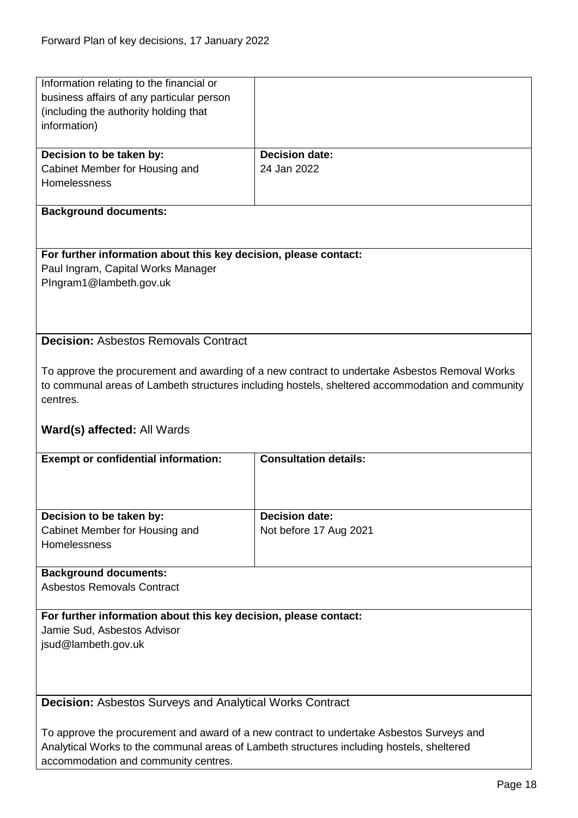<span id="page-17-1"></span><span id="page-17-0"></span>

| Information relating to the financial or                         |                                                                                                  |
|------------------------------------------------------------------|--------------------------------------------------------------------------------------------------|
|                                                                  |                                                                                                  |
| business affairs of any particular person                        |                                                                                                  |
| (including the authority holding that                            |                                                                                                  |
| information)                                                     |                                                                                                  |
|                                                                  |                                                                                                  |
|                                                                  |                                                                                                  |
| Decision to be taken by:                                         | <b>Decision date:</b>                                                                            |
| Cabinet Member for Housing and                                   | 24 Jan 2022                                                                                      |
| Homelessness                                                     |                                                                                                  |
|                                                                  |                                                                                                  |
| <b>Background documents:</b>                                     |                                                                                                  |
|                                                                  |                                                                                                  |
|                                                                  |                                                                                                  |
| For further information about this key decision, please contact: |                                                                                                  |
|                                                                  |                                                                                                  |
| Paul Ingram, Capital Works Manager                               |                                                                                                  |
| PIngram1@lambeth.gov.uk                                          |                                                                                                  |
|                                                                  |                                                                                                  |
|                                                                  |                                                                                                  |
|                                                                  |                                                                                                  |
| <b>Decision: Asbestos Removals Contract</b>                      |                                                                                                  |
|                                                                  |                                                                                                  |
|                                                                  |                                                                                                  |
|                                                                  | To approve the procurement and awarding of a new contract to undertake Asbestos Removal Works    |
|                                                                  | to communal areas of Lambeth structures including hostels, sheltered accommodation and community |
| centres.                                                         |                                                                                                  |
|                                                                  |                                                                                                  |
| <b>Ward(s) affected: All Wards</b>                               |                                                                                                  |
|                                                                  |                                                                                                  |
|                                                                  |                                                                                                  |
|                                                                  |                                                                                                  |
| <b>Exempt or confidential information:</b>                       | <b>Consultation details:</b>                                                                     |
|                                                                  |                                                                                                  |
|                                                                  |                                                                                                  |
|                                                                  |                                                                                                  |
| Decision to be taken by:                                         | <b>Decision date:</b>                                                                            |
|                                                                  |                                                                                                  |
| Cabinet Member for Housing and                                   | Not before 17 Aug 2021                                                                           |
| Homelessness                                                     |                                                                                                  |
|                                                                  |                                                                                                  |
| <b>Background documents:</b>                                     |                                                                                                  |
| <b>Asbestos Removals Contract</b>                                |                                                                                                  |
|                                                                  |                                                                                                  |
| For further information about this key decision, please contact: |                                                                                                  |
| Jamie Sud, Asbestos Advisor                                      |                                                                                                  |
|                                                                  |                                                                                                  |
| jsud@lambeth.gov.uk                                              |                                                                                                  |
|                                                                  |                                                                                                  |
|                                                                  |                                                                                                  |
|                                                                  |                                                                                                  |
| <b>Decision:</b> Asbestos Surveys and Analytical Works Contract  |                                                                                                  |
|                                                                  |                                                                                                  |
|                                                                  |                                                                                                  |
|                                                                  | To approve the procurement and award of a new contract to undertake Asbestos Surveys and         |
| accommodation and community centres.                             | Analytical Works to the communal areas of Lambeth structures including hostels, sheltered        |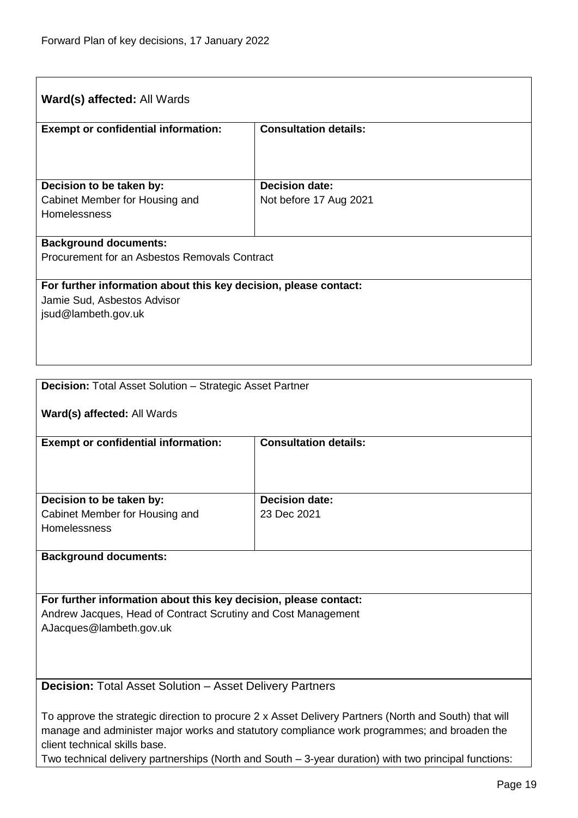| <b>Ward(s) affected: All Wards</b>                                                              |                              |
|-------------------------------------------------------------------------------------------------|------------------------------|
| <b>Exempt or confidential information:</b>                                                      | <b>Consultation details:</b> |
|                                                                                                 |                              |
| Decision to be taken by:                                                                        | <b>Decision date:</b>        |
| Cabinet Member for Housing and                                                                  | Not before 17 Aug 2021       |
| <b>Homelessness</b>                                                                             |                              |
|                                                                                                 |                              |
| <b>Background documents:</b>                                                                    |                              |
| Procurement for an Asbestos Removals Contract                                                   |                              |
|                                                                                                 |                              |
| For further information about this key decision, please contact:<br>Jamie Sud, Asbestos Advisor |                              |
| jsud@lambeth.gov.uk                                                                             |                              |
|                                                                                                 |                              |
|                                                                                                 |                              |
|                                                                                                 |                              |

<span id="page-18-0"></span>

| <b>Decision: Total Asset Solution - Strategic Asset Partner</b>                                       |                              |  |
|-------------------------------------------------------------------------------------------------------|------------------------------|--|
| Ward(s) affected: All Wards                                                                           |                              |  |
| <b>Exempt or confidential information:</b>                                                            | <b>Consultation details:</b> |  |
|                                                                                                       |                              |  |
| Decision to be taken by:                                                                              | <b>Decision date:</b>        |  |
| Cabinet Member for Housing and                                                                        | 23 Dec 2021                  |  |
| Homelessness                                                                                          |                              |  |
| <b>Background documents:</b>                                                                          |                              |  |
|                                                                                                       |                              |  |
| For further information about this key decision, please contact:                                      |                              |  |
| Andrew Jacques, Head of Contract Scrutiny and Cost Management                                         |                              |  |
| AJacques@lambeth.gov.uk                                                                               |                              |  |
|                                                                                                       |                              |  |
|                                                                                                       |                              |  |
| <b>Decision:</b> Total Asset Solution – Asset Delivery Partners                                       |                              |  |
| To approve the strategic direction to procure 2 x Asset Delivery Partners (North and South) that will |                              |  |

<span id="page-18-1"></span>manage and administer major works and statutory compliance work programmes; and broaden the client technical skills base.

Two technical delivery partnerships (North and South – 3-year duration) with two principal functions: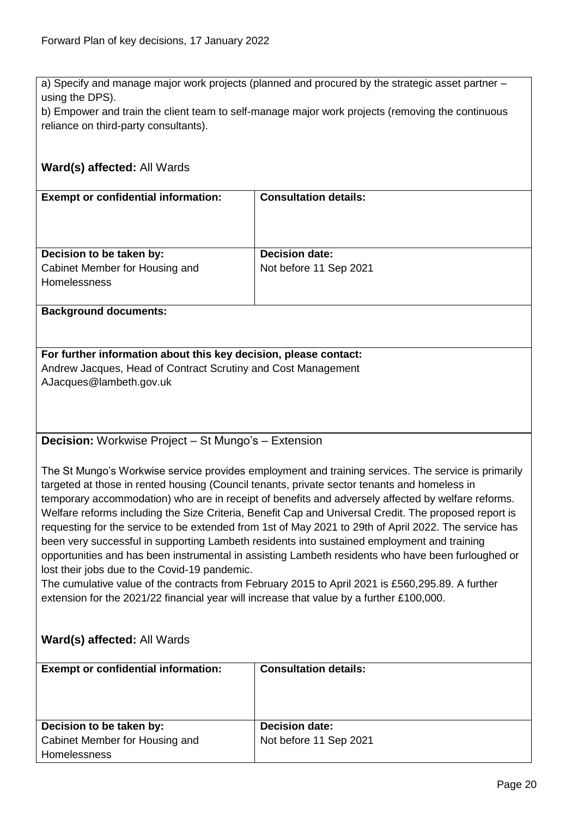a) Specify and manage major work projects (planned and procured by the strategic asset partner – using the DPS).

b) Empower and train the client team to self-manage major work projects (removing the continuous reliance on third-party consultants).

# **Ward(s) affected:** All Wards **Exempt or confidential information:** Consultation details: **Decision to be taken by:** Cabinet Member for Housing and Homelessness **Decision date:** Not before 11 Sep 2021 **Background documents:**

**For further information about this key decision, please contact:** Andrew Jacques, Head of Contract Scrutiny and Cost Management AJacques@lambeth.gov.uk

<span id="page-19-0"></span>**Decision:** Workwise Project – St Mungo's – Extension

The St Mungo's Workwise service provides employment and training services. The service is primarily targeted at those in rented housing (Council tenants, private sector tenants and homeless in temporary accommodation) who are in receipt of benefits and adversely affected by welfare reforms. Welfare reforms including the Size Criteria, Benefit Cap and Universal Credit. The proposed report is requesting for the service to be extended from 1st of May 2021 to 29th of April 2022. The service has been very successful in supporting Lambeth residents into sustained employment and training opportunities and has been instrumental in assisting Lambeth residents who have been furloughed or lost their jobs due to the Covid-19 pandemic.

The cumulative value of the contracts from February 2015 to April 2021 is £560,295.89. A further extension for the 2021/22 financial year will increase that value by a further £100,000.

# **Ward(s) affected:** All Wards

| <b>Exempt or confidential information:</b> | <b>Consultation details:</b> |
|--------------------------------------------|------------------------------|
| Decision to be taken by:                   | <b>Decision date:</b>        |
| Cabinet Member for Housing and             | Not before 11 Sep 2021       |
| <b>Homelessness</b>                        |                              |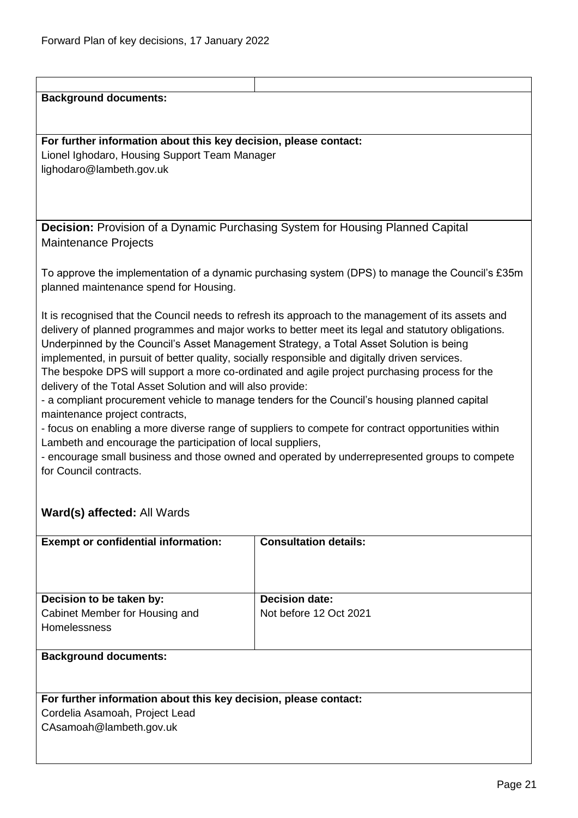<span id="page-20-0"></span>

| <b>Background documents:</b>                                                                   |                                                                                                     |
|------------------------------------------------------------------------------------------------|-----------------------------------------------------------------------------------------------------|
|                                                                                                |                                                                                                     |
|                                                                                                |                                                                                                     |
|                                                                                                |                                                                                                     |
| For further information about this key decision, please contact:                               |                                                                                                     |
| Lionel Ighodaro, Housing Support Team Manager                                                  |                                                                                                     |
| lighodaro@lambeth.gov.uk                                                                       |                                                                                                     |
|                                                                                                |                                                                                                     |
|                                                                                                |                                                                                                     |
|                                                                                                |                                                                                                     |
|                                                                                                |                                                                                                     |
| <b>Decision:</b> Provision of a Dynamic Purchasing System for Housing Planned Capital          |                                                                                                     |
| <b>Maintenance Projects</b>                                                                    |                                                                                                     |
|                                                                                                |                                                                                                     |
|                                                                                                |                                                                                                     |
|                                                                                                | To approve the implementation of a dynamic purchasing system (DPS) to manage the Council's £35m     |
| planned maintenance spend for Housing.                                                         |                                                                                                     |
|                                                                                                |                                                                                                     |
|                                                                                                | It is recognised that the Council needs to refresh its approach to the management of its assets and |
|                                                                                                | delivery of planned programmes and major works to better meet its legal and statutory obligations.  |
|                                                                                                | Underpinned by the Council's Asset Management Strategy, a Total Asset Solution is being             |
|                                                                                                |                                                                                                     |
| implemented, in pursuit of better quality, socially responsible and digitally driven services. |                                                                                                     |
|                                                                                                | The bespoke DPS will support a more co-ordinated and agile project purchasing process for the       |
| delivery of the Total Asset Solution and will also provide:                                    |                                                                                                     |
|                                                                                                | - a compliant procurement vehicle to manage tenders for the Council's housing planned capital       |
| maintenance project contracts,                                                                 |                                                                                                     |
|                                                                                                | - focus on enabling a more diverse range of suppliers to compete for contract opportunities within  |
| Lambeth and encourage the participation of local suppliers,                                    |                                                                                                     |
|                                                                                                |                                                                                                     |
|                                                                                                | - encourage small business and those owned and operated by underrepresented groups to compete       |
| for Council contracts.                                                                         |                                                                                                     |
|                                                                                                |                                                                                                     |
|                                                                                                |                                                                                                     |
| Ward(s) affected: All Wards                                                                    |                                                                                                     |
|                                                                                                |                                                                                                     |
| <b>Exempt or confidential information:</b>                                                     | <b>Consultation details:</b>                                                                        |
|                                                                                                |                                                                                                     |
|                                                                                                |                                                                                                     |
|                                                                                                |                                                                                                     |
|                                                                                                |                                                                                                     |
| Decision to be taken by:                                                                       | <b>Decision date:</b>                                                                               |
| Cabinet Member for Housing and                                                                 | Not before 12 Oct 2021                                                                              |
| Homelessness                                                                                   |                                                                                                     |
|                                                                                                |                                                                                                     |
|                                                                                                |                                                                                                     |
| <b>Background documents:</b>                                                                   |                                                                                                     |
|                                                                                                |                                                                                                     |
|                                                                                                |                                                                                                     |
| For further information about this key decision, please contact:                               |                                                                                                     |
| Cordelia Asamoah, Project Lead                                                                 |                                                                                                     |
| CAsamoah@lambeth.gov.uk                                                                        |                                                                                                     |
|                                                                                                |                                                                                                     |
|                                                                                                |                                                                                                     |
|                                                                                                |                                                                                                     |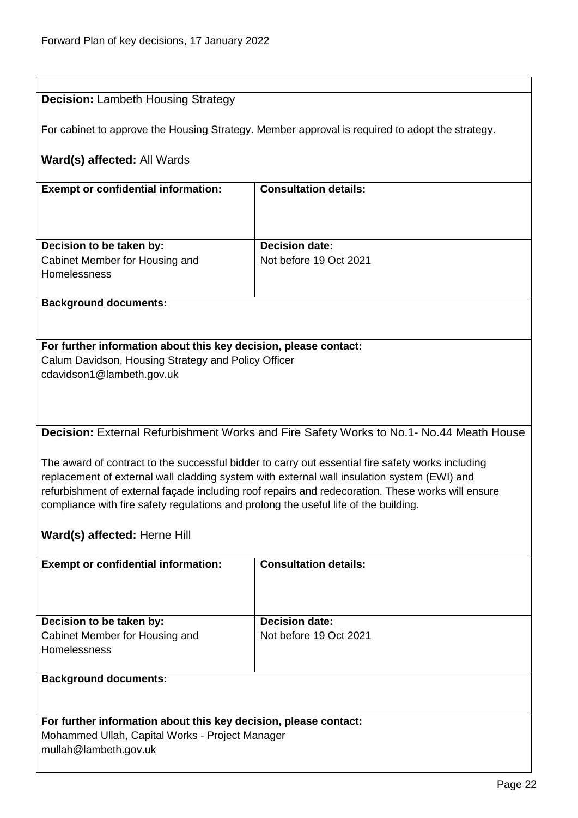<span id="page-21-1"></span><span id="page-21-0"></span>

| <b>Decision: Lambeth Housing Strategy</b>                                            |                                                                                                   |
|--------------------------------------------------------------------------------------|---------------------------------------------------------------------------------------------------|
|                                                                                      |                                                                                                   |
|                                                                                      | For cabinet to approve the Housing Strategy. Member approval is required to adopt the strategy.   |
| Ward(s) affected: All Wards                                                          |                                                                                                   |
|                                                                                      |                                                                                                   |
| <b>Exempt or confidential information:</b>                                           | <b>Consultation details:</b>                                                                      |
|                                                                                      |                                                                                                   |
|                                                                                      |                                                                                                   |
| Decision to be taken by:<br>Cabinet Member for Housing and                           | <b>Decision date:</b><br>Not before 19 Oct 2021                                                   |
| Homelessness                                                                         |                                                                                                   |
|                                                                                      |                                                                                                   |
| <b>Background documents:</b>                                                         |                                                                                                   |
|                                                                                      |                                                                                                   |
| For further information about this key decision, please contact:                     |                                                                                                   |
| Calum Davidson, Housing Strategy and Policy Officer<br>cdavidson1@lambeth.gov.uk     |                                                                                                   |
|                                                                                      |                                                                                                   |
|                                                                                      |                                                                                                   |
|                                                                                      |                                                                                                   |
|                                                                                      | Decision: External Refurbishment Works and Fire Safety Works to No.1- No.44 Meath House           |
|                                                                                      | The award of contract to the successful bidder to carry out essential fire safety works including |
|                                                                                      | replacement of external wall cladding system with external wall insulation system (EWI) and       |
|                                                                                      | refurbishment of external façade including roof repairs and redecoration. These works will ensure |
| compliance with fire safety regulations and prolong the useful life of the building. |                                                                                                   |
| Ward(s) affected: Herne Hill                                                         |                                                                                                   |
| <b>Exempt or confidential information:</b>                                           | <b>Consultation details:</b>                                                                      |
|                                                                                      |                                                                                                   |
|                                                                                      |                                                                                                   |
| Decision to be taken by:                                                             | <b>Decision date:</b>                                                                             |
| Cabinet Member for Housing and                                                       | Not before 19 Oct 2021                                                                            |
| Homelessness                                                                         |                                                                                                   |
|                                                                                      |                                                                                                   |
| <b>Background documents:</b>                                                         |                                                                                                   |
|                                                                                      |                                                                                                   |
| For further information about this key decision, please contact:                     |                                                                                                   |
| Mohammed Ullah, Capital Works - Project Manager<br>mullah@lambeth.gov.uk             |                                                                                                   |
|                                                                                      |                                                                                                   |
|                                                                                      |                                                                                                   |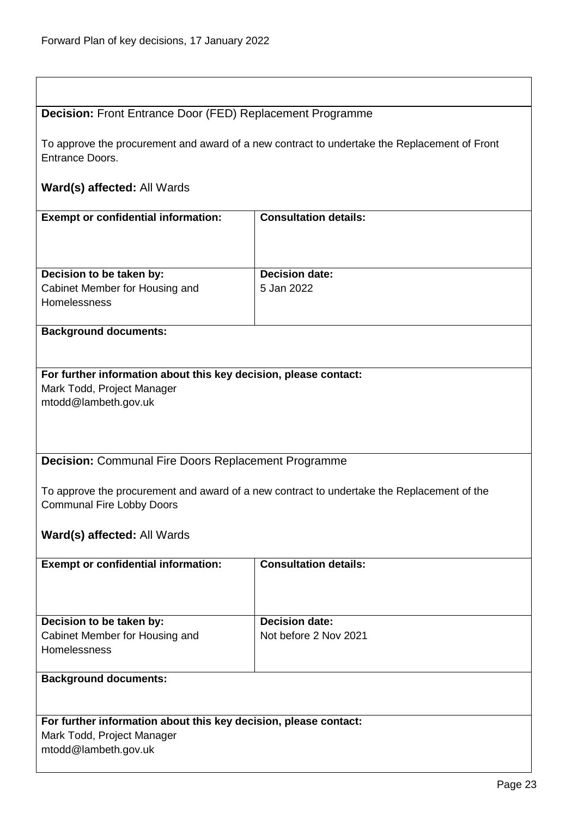$\overline{1}$ 

| <b>Decision: Front Entrance Door (FED) Replacement Programme</b>                                                |                                                                                            |
|-----------------------------------------------------------------------------------------------------------------|--------------------------------------------------------------------------------------------|
| To approve the procurement and award of a new contract to undertake the Replacement of Front<br>Entrance Doors. |                                                                                            |
| Ward(s) affected: All Wards                                                                                     |                                                                                            |
| <b>Exempt or confidential information:</b>                                                                      | <b>Consultation details:</b>                                                               |
|                                                                                                                 |                                                                                            |
| Decision to be taken by:                                                                                        | <b>Decision date:</b>                                                                      |
| Cabinet Member for Housing and                                                                                  | 5 Jan 2022                                                                                 |
| Homelessness                                                                                                    |                                                                                            |
| <b>Background documents:</b>                                                                                    |                                                                                            |
|                                                                                                                 |                                                                                            |
| For further information about this key decision, please contact:                                                |                                                                                            |
| Mark Todd, Project Manager                                                                                      |                                                                                            |
| mtodd@lambeth.gov.uk                                                                                            |                                                                                            |
|                                                                                                                 |                                                                                            |
|                                                                                                                 |                                                                                            |
| <b>Decision:</b> Communal Fire Doors Replacement Programme                                                      |                                                                                            |
|                                                                                                                 |                                                                                            |
|                                                                                                                 | To approve the procurement and award of a new contract to undertake the Replacement of the |
| <b>Communal Fire Lobby Doors</b>                                                                                |                                                                                            |
| Ward(s) affected: All Wards                                                                                     |                                                                                            |
|                                                                                                                 |                                                                                            |
| <b>Exempt or confidential information:</b>                                                                      | <b>Consultation details:</b>                                                               |
|                                                                                                                 |                                                                                            |
| Decision to be taken by:                                                                                        | <b>Decision date:</b>                                                                      |
| Cabinet Member for Housing and                                                                                  | Not before 2 Nov 2021                                                                      |
| Homelessness                                                                                                    |                                                                                            |
| <b>Background documents:</b>                                                                                    |                                                                                            |
|                                                                                                                 |                                                                                            |
| For further information about this key decision, please contact:                                                |                                                                                            |
| Mark Todd, Project Manager                                                                                      |                                                                                            |
| mtodd@lambeth.gov.uk                                                                                            |                                                                                            |
|                                                                                                                 |                                                                                            |

<span id="page-22-1"></span><span id="page-22-0"></span>٦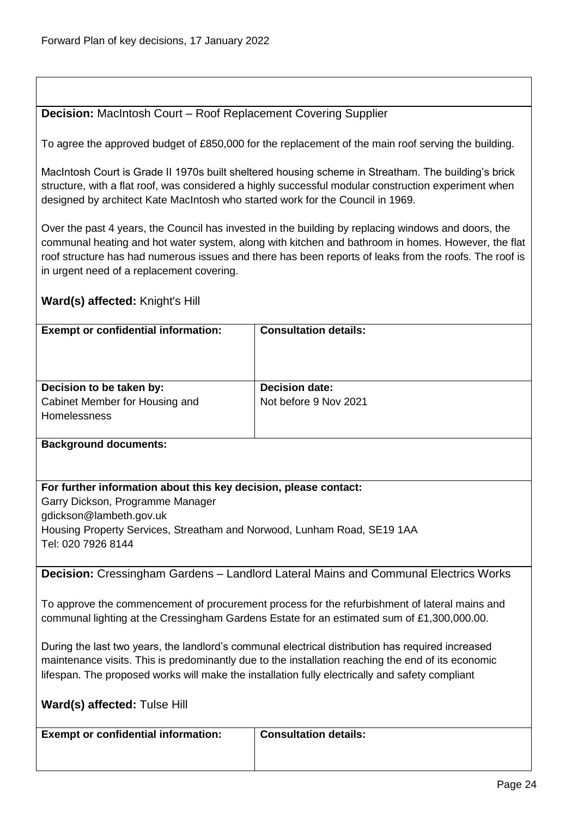# <span id="page-23-0"></span>**Decision:** MacIntosh Court – Roof Replacement Covering Supplier

To agree the approved budget of £850,000 for the replacement of the main roof serving the building.

MacIntosh Court is Grade II 1970s built sheltered housing scheme in Streatham. The building's brick structure, with a flat roof, was considered a highly successful modular construction experiment when designed by architect Kate MacIntosh who started work for the Council in 1969.

Over the past 4 years, the Council has invested in the building by replacing windows and doors, the communal heating and hot water system, along with kitchen and bathroom in homes. However, the flat roof structure has had numerous issues and there has been reports of leaks from the roofs. The roof is in urgent need of a replacement covering.

#### **Ward(s) affected:** Knight's Hill

| <b>Exempt or confidential information:</b>                                 | <b>Consultation details:</b>                   |
|----------------------------------------------------------------------------|------------------------------------------------|
| Decision to be taken by:<br>Cabinet Member for Housing and<br>Homelessness | <b>Decision date:</b><br>Not before 9 Nov 2021 |

**Background documents:**

#### **For further information about this key decision, please contact:**

Garry Dickson, Programme Manager gdickson@lambeth.gov.uk Housing Property Services, Streatham and Norwood, Lunham Road, SE19 1AA

Tel: 020 7926 8144

<span id="page-23-1"></span>**Decision:** Cressingham Gardens – Landlord Lateral Mains and Communal Electrics Works

To approve the commencement of procurement process for the refurbishment of lateral mains and communal lighting at the Cressingham Gardens Estate for an estimated sum of £1,300,000.00.

During the last two years, the landlord's communal electrical distribution has required increased maintenance visits. This is predominantly due to the installation reaching the end of its economic lifespan. The proposed works will make the installation fully electrically and safety compliant

|  | Ward(s) affected: Tulse Hill |  |
|--|------------------------------|--|
|--|------------------------------|--|

| <b>Exempt or confidential information:</b> | Consultation details: |
|--------------------------------------------|-----------------------|
|                                            |                       |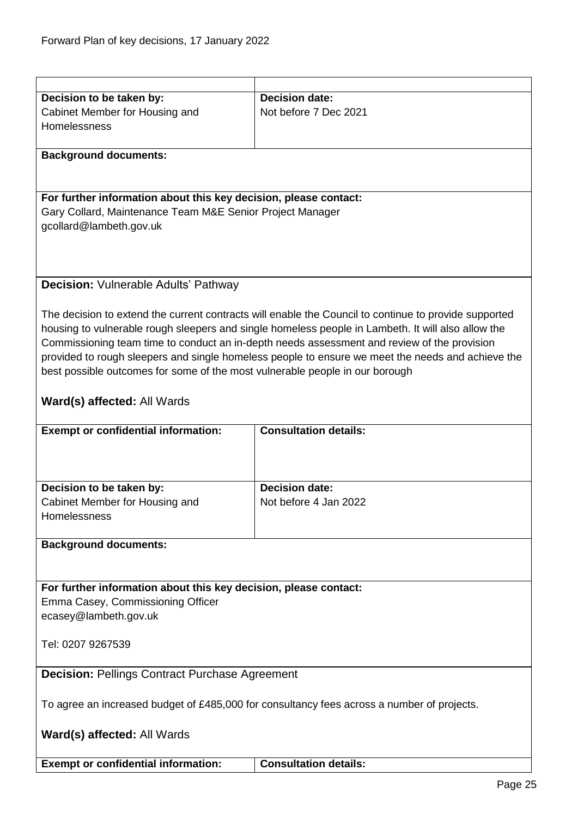<span id="page-24-1"></span><span id="page-24-0"></span>

| Decision to be taken by:                                                                   | <b>Decision date:</b>                                                                                                                                                                                       |  |
|--------------------------------------------------------------------------------------------|-------------------------------------------------------------------------------------------------------------------------------------------------------------------------------------------------------------|--|
| Cabinet Member for Housing and                                                             | Not before 7 Dec 2021                                                                                                                                                                                       |  |
| Homelessness                                                                               |                                                                                                                                                                                                             |  |
|                                                                                            |                                                                                                                                                                                                             |  |
| <b>Background documents:</b>                                                               |                                                                                                                                                                                                             |  |
|                                                                                            |                                                                                                                                                                                                             |  |
|                                                                                            |                                                                                                                                                                                                             |  |
| For further information about this key decision, please contact:                           |                                                                                                                                                                                                             |  |
| Gary Collard, Maintenance Team M&E Senior Project Manager                                  |                                                                                                                                                                                                             |  |
| gcollard@lambeth.gov.uk                                                                    |                                                                                                                                                                                                             |  |
|                                                                                            |                                                                                                                                                                                                             |  |
|                                                                                            |                                                                                                                                                                                                             |  |
|                                                                                            |                                                                                                                                                                                                             |  |
| <b>Decision: Vulnerable Adults' Pathway</b>                                                |                                                                                                                                                                                                             |  |
|                                                                                            |                                                                                                                                                                                                             |  |
|                                                                                            |                                                                                                                                                                                                             |  |
|                                                                                            | The decision to extend the current contracts will enable the Council to continue to provide supported<br>housing to vulnerable rough sleepers and single homeless people in Lambeth. It will also allow the |  |
|                                                                                            |                                                                                                                                                                                                             |  |
|                                                                                            | Commissioning team time to conduct an in-depth needs assessment and review of the provision                                                                                                                 |  |
|                                                                                            | provided to rough sleepers and single homeless people to ensure we meet the needs and achieve the                                                                                                           |  |
| best possible outcomes for some of the most vulnerable people in our borough               |                                                                                                                                                                                                             |  |
|                                                                                            |                                                                                                                                                                                                             |  |
| Ward(s) affected: All Wards                                                                |                                                                                                                                                                                                             |  |
|                                                                                            |                                                                                                                                                                                                             |  |
| <b>Exempt or confidential information:</b>                                                 | <b>Consultation details:</b>                                                                                                                                                                                |  |
|                                                                                            |                                                                                                                                                                                                             |  |
|                                                                                            |                                                                                                                                                                                                             |  |
| Decision to be taken by:                                                                   | <b>Decision date:</b>                                                                                                                                                                                       |  |
| Cabinet Member for Housing and                                                             | Not before 4 Jan 2022                                                                                                                                                                                       |  |
| Homelessness                                                                               |                                                                                                                                                                                                             |  |
|                                                                                            |                                                                                                                                                                                                             |  |
| <b>Background documents:</b>                                                               |                                                                                                                                                                                                             |  |
|                                                                                            |                                                                                                                                                                                                             |  |
|                                                                                            |                                                                                                                                                                                                             |  |
| For further information about this key decision, please contact:                           |                                                                                                                                                                                                             |  |
| Emma Casey, Commissioning Officer                                                          |                                                                                                                                                                                                             |  |
|                                                                                            |                                                                                                                                                                                                             |  |
| ecasey@lambeth.gov.uk                                                                      |                                                                                                                                                                                                             |  |
| Tel: 0207 9267539                                                                          |                                                                                                                                                                                                             |  |
|                                                                                            |                                                                                                                                                                                                             |  |
| <b>Decision: Pellings Contract Purchase Agreement</b>                                      |                                                                                                                                                                                                             |  |
|                                                                                            |                                                                                                                                                                                                             |  |
| To agree an increased budget of £485,000 for consultancy fees across a number of projects. |                                                                                                                                                                                                             |  |
|                                                                                            |                                                                                                                                                                                                             |  |
| Ward(s) affected: All Wards                                                                |                                                                                                                                                                                                             |  |
|                                                                                            |                                                                                                                                                                                                             |  |
| <b>Exempt or confidential information:</b>                                                 | <b>Consultation details:</b>                                                                                                                                                                                |  |
|                                                                                            |                                                                                                                                                                                                             |  |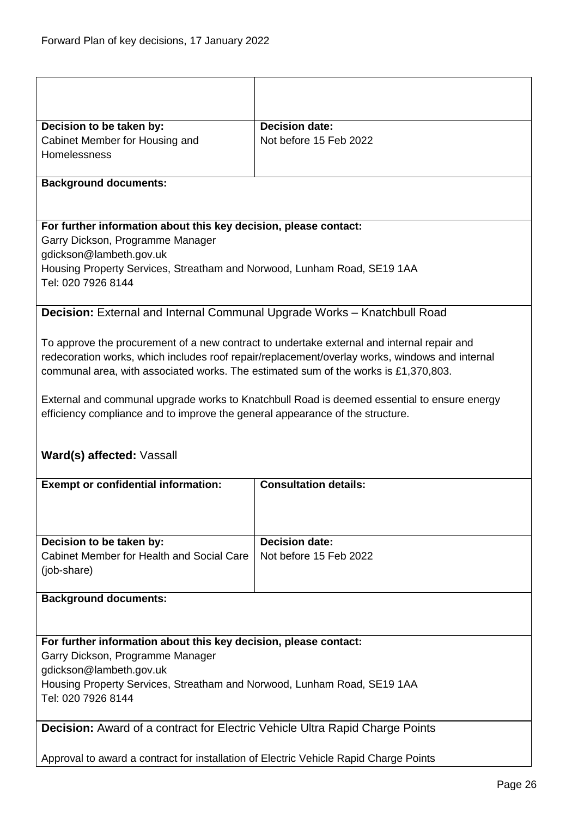<span id="page-25-1"></span><span id="page-25-0"></span>

| Decision to be taken by:                                                                      | <b>Decision date:</b>                                                                          |  |
|-----------------------------------------------------------------------------------------------|------------------------------------------------------------------------------------------------|--|
| Cabinet Member for Housing and                                                                | Not before 15 Feb 2022                                                                         |  |
| Homelessness                                                                                  |                                                                                                |  |
| <b>Background documents:</b>                                                                  |                                                                                                |  |
|                                                                                               |                                                                                                |  |
| For further information about this key decision, please contact:                              |                                                                                                |  |
| Garry Dickson, Programme Manager                                                              |                                                                                                |  |
| gdickson@lambeth.gov.uk                                                                       |                                                                                                |  |
| Housing Property Services, Streatham and Norwood, Lunham Road, SE19 1AA                       |                                                                                                |  |
| Tel: 020 7926 8144                                                                            |                                                                                                |  |
| Decision: External and Internal Communal Upgrade Works - Knatchbull Road                      |                                                                                                |  |
|                                                                                               |                                                                                                |  |
|                                                                                               | To approve the procurement of a new contract to undertake external and internal repair and     |  |
|                                                                                               | redecoration works, which includes roof repair/replacement/overlay works, windows and internal |  |
| communal area, with associated works. The estimated sum of the works is £1,370,803.           |                                                                                                |  |
|                                                                                               |                                                                                                |  |
|                                                                                               | External and communal upgrade works to Knatchbull Road is deemed essential to ensure energy    |  |
| efficiency compliance and to improve the general appearance of the structure.                 |                                                                                                |  |
|                                                                                               |                                                                                                |  |
| Ward(s) affected: Vassall                                                                     |                                                                                                |  |
|                                                                                               |                                                                                                |  |
| <b>Exempt or confidential information:</b>                                                    | <b>Consultation details:</b>                                                                   |  |
|                                                                                               |                                                                                                |  |
|                                                                                               |                                                                                                |  |
|                                                                                               | <b>Decision date:</b>                                                                          |  |
| Decision to be taken by:<br>Cabinet Member for Health and Social Care                         | Not before 15 Feb 2022                                                                         |  |
| (job-share)                                                                                   |                                                                                                |  |
|                                                                                               |                                                                                                |  |
| <b>Background documents:</b>                                                                  |                                                                                                |  |
|                                                                                               |                                                                                                |  |
|                                                                                               |                                                                                                |  |
| For further information about this key decision, please contact:                              |                                                                                                |  |
| Garry Dickson, Programme Manager                                                              |                                                                                                |  |
| gdickson@lambeth.gov.uk                                                                       |                                                                                                |  |
| Housing Property Services, Streatham and Norwood, Lunham Road, SE19 1AA<br>Tel: 020 7926 8144 |                                                                                                |  |
|                                                                                               |                                                                                                |  |
| <b>Decision:</b> Award of a contract for Electric Vehicle Ultra Rapid Charge Points           |                                                                                                |  |
|                                                                                               |                                                                                                |  |
| Approval to award a contract for installation of Electric Vehicle Rapid Charge Points         |                                                                                                |  |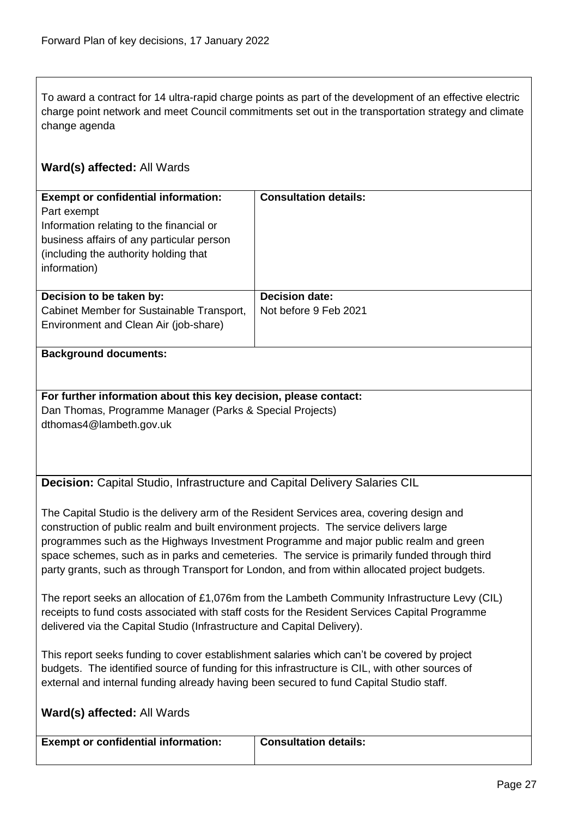To award a contract for 14 ultra-rapid charge points as part of the development of an effective electric charge point network and meet Council commitments set out in the transportation strategy and climate change agenda

# **Ward(s) affected:** All Wards

| <b>Exempt or confidential information:</b><br>Part exempt<br>Information relating to the financial or<br>business affairs of any particular person<br>(including the authority holding that)<br>information) | <b>Consultation details:</b>                   |
|--------------------------------------------------------------------------------------------------------------------------------------------------------------------------------------------------------------|------------------------------------------------|
| Decision to be taken by:<br>Cabinet Member for Sustainable Transport,<br>Environment and Clean Air (job-share)                                                                                               | <b>Decision date:</b><br>Not before 9 Feb 2021 |

#### **Background documents:**

#### **For further information about this key decision, please contact:** Dan Thomas, Programme Manager (Parks & Special Projects) dthomas4@lambeth.gov.uk

<span id="page-26-0"></span>**Decision:** Capital Studio, Infrastructure and Capital Delivery Salaries CIL

The Capital Studio is the delivery arm of the Resident Services area, covering design and construction of public realm and built environment projects. The service delivers large programmes such as the Highways Investment Programme and major public realm and green space schemes, such as in parks and cemeteries. The service is primarily funded through third party grants, such as through Transport for London, and from within allocated project budgets.

The report seeks an allocation of £1,076m from the Lambeth Community Infrastructure Levy (CIL) receipts to fund costs associated with staff costs for the Resident Services Capital Programme delivered via the Capital Studio (Infrastructure and Capital Delivery).

This report seeks funding to cover establishment salaries which can't be covered by project budgets. The identified source of funding for this infrastructure is CIL, with other sources of external and internal funding already having been secured to fund Capital Studio staff.

|  | Ward(s) affected: All Wards |  |
|--|-----------------------------|--|
|--|-----------------------------|--|

| <b>Exempt or confidential information:</b> | <b>Consultation details:</b> |
|--------------------------------------------|------------------------------|
|                                            |                              |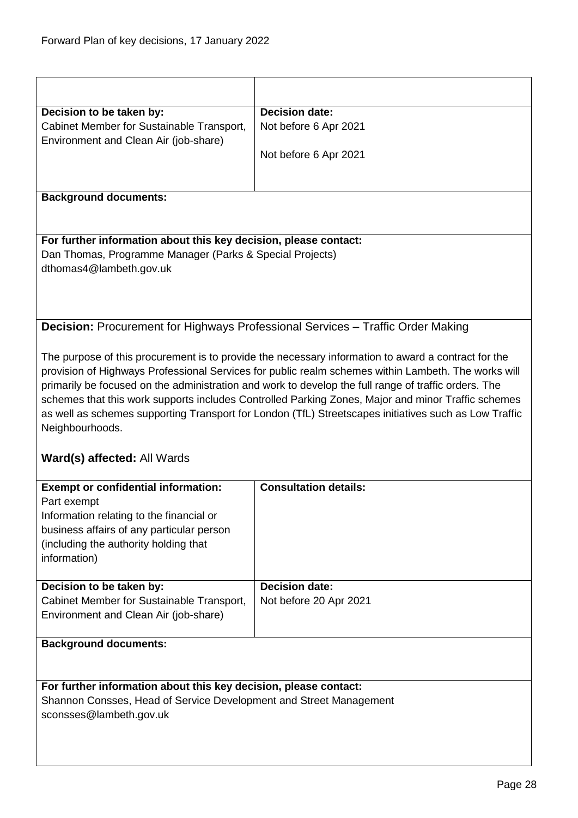<span id="page-27-0"></span>

| Decision to be taken by:                                           | <b>Decision date:</b>                                                                                 |  |
|--------------------------------------------------------------------|-------------------------------------------------------------------------------------------------------|--|
| Cabinet Member for Sustainable Transport,                          | Not before 6 Apr 2021                                                                                 |  |
| Environment and Clean Air (job-share)                              |                                                                                                       |  |
|                                                                    | Not before 6 Apr 2021                                                                                 |  |
|                                                                    |                                                                                                       |  |
| <b>Background documents:</b>                                       |                                                                                                       |  |
|                                                                    |                                                                                                       |  |
| For further information about this key decision, please contact:   |                                                                                                       |  |
| Dan Thomas, Programme Manager (Parks & Special Projects)           |                                                                                                       |  |
| dthomas4@lambeth.gov.uk                                            |                                                                                                       |  |
|                                                                    |                                                                                                       |  |
|                                                                    |                                                                                                       |  |
|                                                                    |                                                                                                       |  |
|                                                                    | Decision: Procurement for Highways Professional Services - Traffic Order Making                       |  |
|                                                                    | The purpose of this procurement is to provide the necessary information to award a contract for the   |  |
|                                                                    | provision of Highways Professional Services for public realm schemes within Lambeth. The works will   |  |
|                                                                    | primarily be focused on the administration and work to develop the full range of traffic orders. The  |  |
|                                                                    | schemes that this work supports includes Controlled Parking Zones, Major and minor Traffic schemes    |  |
|                                                                    | as well as schemes supporting Transport for London (TfL) Streetscapes initiatives such as Low Traffic |  |
| Neighbourhoods.                                                    |                                                                                                       |  |
|                                                                    |                                                                                                       |  |
| Ward(s) affected: All Wards                                        |                                                                                                       |  |
| <b>Exempt or confidential information:</b>                         | <b>Consultation details:</b>                                                                          |  |
| Part exempt                                                        |                                                                                                       |  |
| Information relating to the financial or                           |                                                                                                       |  |
| business affairs of any particular person                          |                                                                                                       |  |
| (including the authority holding that                              |                                                                                                       |  |
| information)                                                       |                                                                                                       |  |
| Decision to be taken by:                                           | <b>Decision date:</b>                                                                                 |  |
| Cabinet Member for Sustainable Transport,                          | Not before 20 Apr 2021                                                                                |  |
| Environment and Clean Air (job-share)                              |                                                                                                       |  |
|                                                                    |                                                                                                       |  |
| <b>Background documents:</b>                                       |                                                                                                       |  |
|                                                                    |                                                                                                       |  |
| For further information about this key decision, please contact:   |                                                                                                       |  |
| Shannon Consses, Head of Service Development and Street Management |                                                                                                       |  |
|                                                                    |                                                                                                       |  |
| sconsses@lambeth.gov.uk                                            |                                                                                                       |  |
|                                                                    |                                                                                                       |  |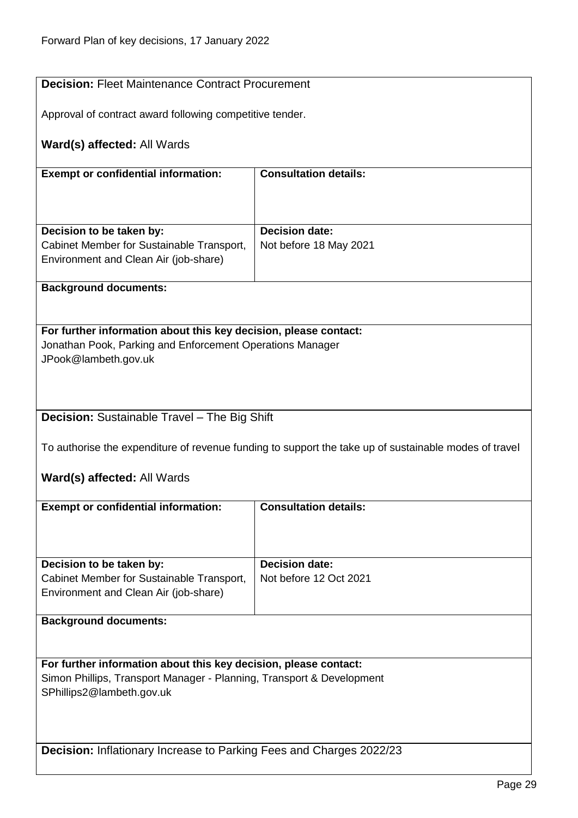<span id="page-28-2"></span><span id="page-28-1"></span><span id="page-28-0"></span>

| <b>Decision: Fleet Maintenance Contract Procurement</b>                                               |                              |  |
|-------------------------------------------------------------------------------------------------------|------------------------------|--|
|                                                                                                       |                              |  |
| Approval of contract award following competitive tender.                                              |                              |  |
| <b>Ward(s) affected: All Wards</b>                                                                    |                              |  |
| <b>Exempt or confidential information:</b>                                                            | <b>Consultation details:</b> |  |
|                                                                                                       |                              |  |
| Decision to be taken by:                                                                              | <b>Decision date:</b>        |  |
| Cabinet Member for Sustainable Transport,<br>Environment and Clean Air (job-share)                    | Not before 18 May 2021       |  |
| <b>Background documents:</b>                                                                          |                              |  |
|                                                                                                       |                              |  |
| For further information about this key decision, please contact:                                      |                              |  |
| Jonathan Pook, Parking and Enforcement Operations Manager<br>JPook@lambeth.gov.uk                     |                              |  |
|                                                                                                       |                              |  |
| <b>Decision:</b> Sustainable Travel - The Big Shift                                                   |                              |  |
| To authorise the expenditure of revenue funding to support the take up of sustainable modes of travel |                              |  |
| <b>Ward(s) affected: All Wards</b>                                                                    |                              |  |
| <b>Exempt or confidential information:</b>                                                            | <b>Consultation details:</b> |  |
|                                                                                                       |                              |  |
| Decision to be taken by:                                                                              | <b>Decision date:</b>        |  |
| Cabinet Member for Sustainable Transport,                                                             | Not before 12 Oct 2021       |  |
| Environment and Clean Air (job-share)                                                                 |                              |  |
| <b>Background documents:</b>                                                                          |                              |  |
|                                                                                                       |                              |  |
| For further information about this key decision, please contact:                                      |                              |  |
| Simon Phillips, Transport Manager - Planning, Transport & Development<br>SPhillips2@lambeth.gov.uk    |                              |  |
|                                                                                                       |                              |  |
|                                                                                                       |                              |  |
| <b>Decision:</b> Inflationary Increase to Parking Fees and Charges 2022/23                            |                              |  |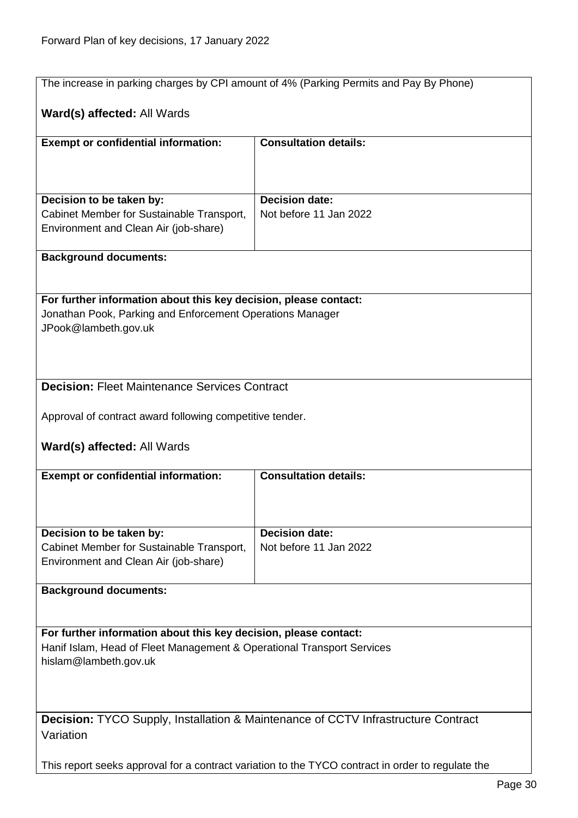<span id="page-29-1"></span><span id="page-29-0"></span>

| The increase in parking charges by CPI amount of 4% (Parking Permits and Pay By Phone)   |                                                                                                   |  |
|------------------------------------------------------------------------------------------|---------------------------------------------------------------------------------------------------|--|
|                                                                                          |                                                                                                   |  |
| Ward(s) affected: All Wards                                                              |                                                                                                   |  |
|                                                                                          | <b>Consultation details:</b>                                                                      |  |
| <b>Exempt or confidential information:</b>                                               |                                                                                                   |  |
|                                                                                          |                                                                                                   |  |
|                                                                                          |                                                                                                   |  |
| Decision to be taken by:                                                                 | <b>Decision date:</b>                                                                             |  |
| Cabinet Member for Sustainable Transport,                                                | Not before 11 Jan 2022                                                                            |  |
| Environment and Clean Air (job-share)                                                    |                                                                                                   |  |
|                                                                                          |                                                                                                   |  |
| <b>Background documents:</b>                                                             |                                                                                                   |  |
|                                                                                          |                                                                                                   |  |
| For further information about this key decision, please contact:                         |                                                                                                   |  |
| Jonathan Pook, Parking and Enforcement Operations Manager                                |                                                                                                   |  |
| JPook@lambeth.gov.uk                                                                     |                                                                                                   |  |
|                                                                                          |                                                                                                   |  |
|                                                                                          |                                                                                                   |  |
|                                                                                          |                                                                                                   |  |
| <b>Decision: Fleet Maintenance Services Contract</b>                                     |                                                                                                   |  |
|                                                                                          |                                                                                                   |  |
| Approval of contract award following competitive tender.                                 |                                                                                                   |  |
|                                                                                          |                                                                                                   |  |
| Ward(s) affected: All Wards                                                              |                                                                                                   |  |
| <b>Exempt or confidential information:</b>                                               | <b>Consultation details:</b>                                                                      |  |
|                                                                                          |                                                                                                   |  |
|                                                                                          |                                                                                                   |  |
|                                                                                          |                                                                                                   |  |
| Decision to be taken by:                                                                 | <b>Decision date:</b>                                                                             |  |
| Cabinet Member for Sustainable Transport,                                                | Not before 11 Jan 2022                                                                            |  |
| Environment and Clean Air (job-share)                                                    |                                                                                                   |  |
| <b>Background documents:</b>                                                             |                                                                                                   |  |
|                                                                                          |                                                                                                   |  |
|                                                                                          |                                                                                                   |  |
| For further information about this key decision, please contact:                         |                                                                                                   |  |
| Hanif Islam, Head of Fleet Management & Operational Transport Services                   |                                                                                                   |  |
| hislam@lambeth.gov.uk                                                                    |                                                                                                   |  |
|                                                                                          |                                                                                                   |  |
|                                                                                          |                                                                                                   |  |
|                                                                                          |                                                                                                   |  |
| <b>Decision:</b> TYCO Supply, Installation & Maintenance of CCTV Infrastructure Contract |                                                                                                   |  |
| Variation                                                                                |                                                                                                   |  |
|                                                                                          | This report seeks approval for a contract variation to the TYCO contract in order to regulate the |  |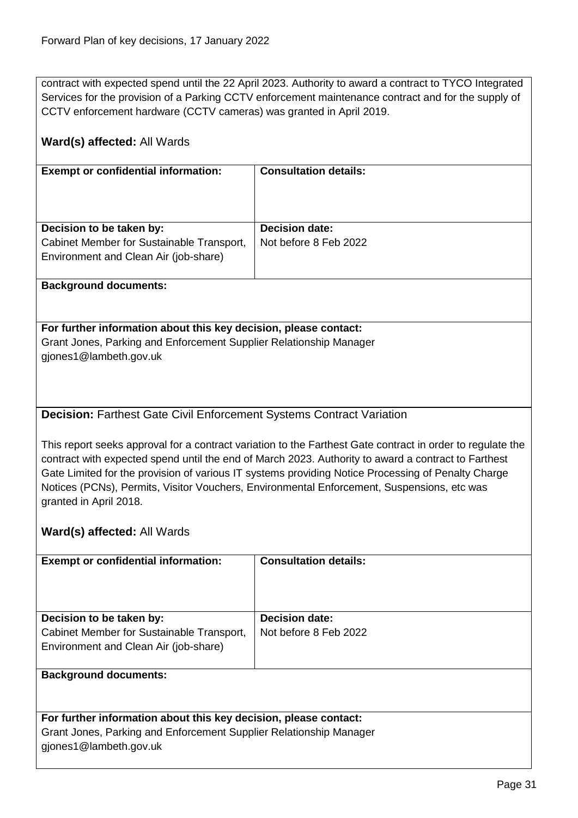contract with expected spend until the 22 April 2023. Authority to award a contract to TYCO Integrated Services for the provision of a Parking CCTV enforcement maintenance contract and for the supply of CCTV enforcement hardware (CCTV cameras) was granted in April 2019.

# **Ward(s) affected:** All Wards

| <b>Exempt or confidential information:</b> | <b>Consultation details:</b> |
|--------------------------------------------|------------------------------|
|                                            |                              |
|                                            |                              |
|                                            |                              |
|                                            |                              |
|                                            |                              |
| Decision to be taken by:                   | <b>Decision date:</b>        |
| Cabinet Member for Sustainable Transport,  | Not before 8 Feb 2022        |
| Environment and Clean Air (job-share)      |                              |
|                                            |                              |

#### **Background documents:**

#### **For further information about this key decision, please contact:** Grant Jones, Parking and Enforcement Supplier Relationship Manager gjones1@lambeth.gov.uk

# <span id="page-30-0"></span>**Decision:** Farthest Gate Civil Enforcement Systems Contract Variation

This report seeks approval for a contract variation to the Farthest Gate contract in order to regulate the contract with expected spend until the end of March 2023. Authority to award a contract to Farthest Gate Limited for the provision of various IT systems providing Notice Processing of Penalty Charge Notices (PCNs), Permits, Visitor Vouchers, Environmental Enforcement, Suspensions, etc was granted in April 2018.

# **Ward(s) affected:** All Wards

| <b>Exempt or confidential information:</b>                       | <b>Consultation details:</b> |
|------------------------------------------------------------------|------------------------------|
|                                                                  |                              |
| Decision to be taken by:                                         | <b>Decision date:</b>        |
| Cabinet Member for Sustainable Transport,                        | Not before 8 Feb 2022        |
| Environment and Clean Air (job-share)                            |                              |
|                                                                  |                              |
| <b>Background documents:</b>                                     |                              |
|                                                                  |                              |
|                                                                  |                              |
| For further information about this key decision, please contact: |                              |

Grant Jones, Parking and Enforcement Supplier Relationship Manager gjones1@lambeth.gov.uk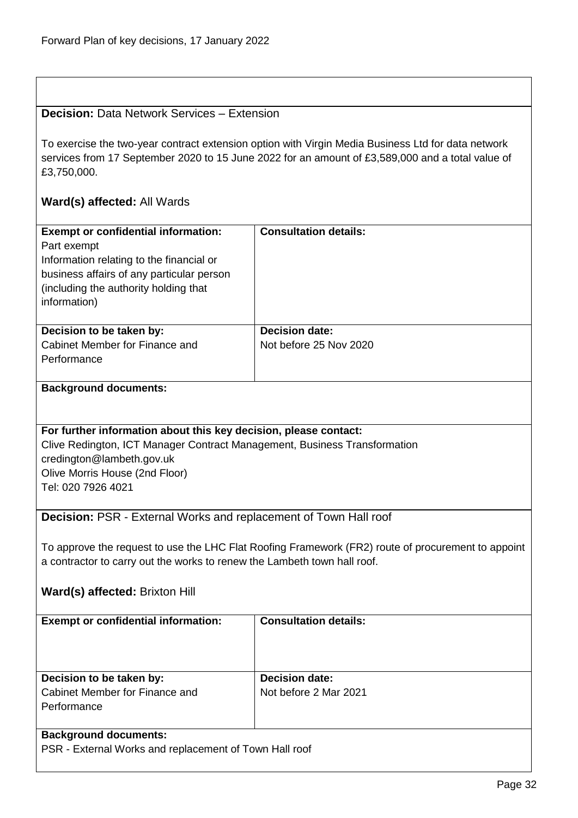<span id="page-31-1"></span><span id="page-31-0"></span>

| <b>Decision: Data Network Services - Extension</b>                                                                                                                                                                                 |                              |  |
|------------------------------------------------------------------------------------------------------------------------------------------------------------------------------------------------------------------------------------|------------------------------|--|
| To exercise the two-year contract extension option with Virgin Media Business Ltd for data network<br>services from 17 September 2020 to 15 June 2022 for an amount of £3,589,000 and a total value of<br>£3,750,000.              |                              |  |
| Ward(s) affected: All Wards                                                                                                                                                                                                        |                              |  |
| <b>Exempt or confidential information:</b><br>Part exempt<br>Information relating to the financial or<br>business affairs of any particular person<br>(including the authority holding that<br>information)                        | <b>Consultation details:</b> |  |
| Decision to be taken by:                                                                                                                                                                                                           | <b>Decision date:</b>        |  |
| Cabinet Member for Finance and<br>Performance                                                                                                                                                                                      | Not before 25 Nov 2020       |  |
| <b>Background documents:</b>                                                                                                                                                                                                       |                              |  |
|                                                                                                                                                                                                                                    |                              |  |
|                                                                                                                                                                                                                                    |                              |  |
| For further information about this key decision, please contact:<br>Clive Redington, ICT Manager Contract Management, Business Transformation<br>credington@lambeth.gov.uk<br>Olive Morris House (2nd Floor)<br>Tel: 020 7926 4021 |                              |  |
| <b>Decision: PSR - External Works and replacement of Town Hall roof</b>                                                                                                                                                            |                              |  |
| To approve the request to use the LHC Flat Roofing Framework (FR2) route of procurement to appoint<br>a contractor to carry out the works to renew the Lambeth town hall roof.                                                     |                              |  |
| Ward(s) affected: Brixton Hill                                                                                                                                                                                                     |                              |  |
| <b>Exempt or confidential information:</b>                                                                                                                                                                                         | <b>Consultation details:</b> |  |
|                                                                                                                                                                                                                                    |                              |  |
| Decision to be taken by:                                                                                                                                                                                                           | <b>Decision date:</b>        |  |
| Cabinet Member for Finance and<br>Performance                                                                                                                                                                                      | Not before 2 Mar 2021        |  |
| <b>Background documents:</b>                                                                                                                                                                                                       |                              |  |
|                                                                                                                                                                                                                                    |                              |  |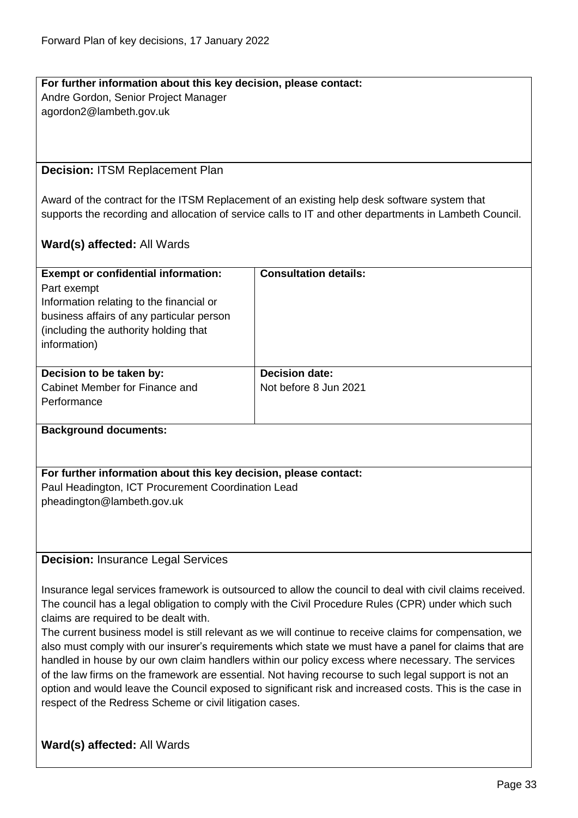# **For further information about this key decision, please contact:** Andre Gordon, Senior Project Manager

agordon2@lambeth.gov.uk

#### <span id="page-32-0"></span>**Decision:** ITSM Replacement Plan

Award of the contract for the ITSM Replacement of an existing help desk software system that supports the recording and allocation of service calls to IT and other departments in Lambeth Council.

#### **Ward(s) affected:** All Wards

| <b>Consultation details:</b>                   |
|------------------------------------------------|
| <b>Decision date:</b><br>Not before 8 Jun 2021 |
|                                                |

#### **Background documents:**

#### **For further information about this key decision, please contact:** Paul Headington, ICT Procurement Coordination Lead pheadington@lambeth.gov.uk

<span id="page-32-1"></span>**Decision:** Insurance Legal Services

Insurance legal services framework is outsourced to allow the council to deal with civil claims received. The council has a legal obligation to comply with the Civil Procedure Rules (CPR) under which such claims are required to be dealt with.

The current business model is still relevant as we will continue to receive claims for compensation, we also must comply with our insurer's requirements which state we must have a panel for claims that are handled in house by our own claim handlers within our policy excess where necessary. The services of the law firms on the framework are essential. Not having recourse to such legal support is not an option and would leave the Council exposed to significant risk and increased costs. This is the case in respect of the Redress Scheme or civil litigation cases.

# **Ward(s) affected:** All Wards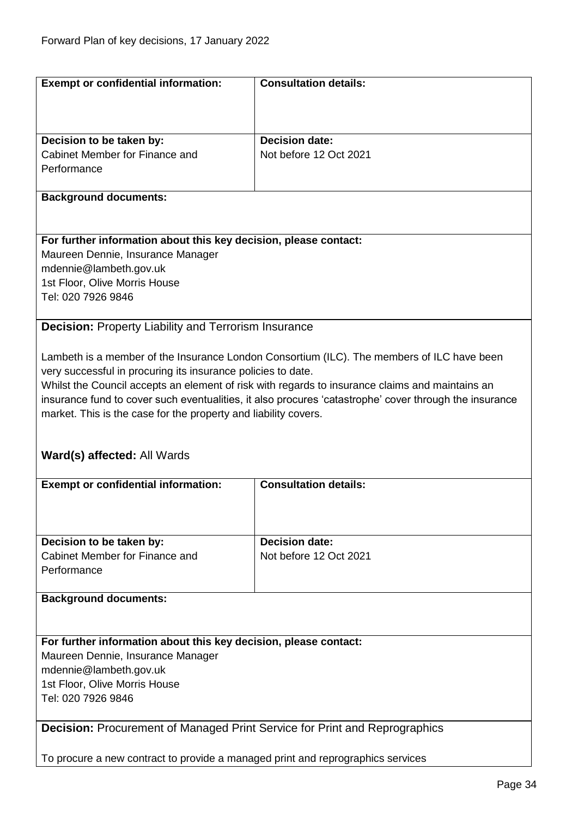<span id="page-33-1"></span><span id="page-33-0"></span>

| <b>Exempt or confidential information:</b>                                        | <b>Consultation details:</b>                                                                           |  |
|-----------------------------------------------------------------------------------|--------------------------------------------------------------------------------------------------------|--|
|                                                                                   |                                                                                                        |  |
|                                                                                   |                                                                                                        |  |
|                                                                                   |                                                                                                        |  |
| Decision to be taken by:                                                          | <b>Decision date:</b>                                                                                  |  |
| Cabinet Member for Finance and                                                    | Not before 12 Oct 2021                                                                                 |  |
| Performance                                                                       |                                                                                                        |  |
| <b>Background documents:</b>                                                      |                                                                                                        |  |
|                                                                                   |                                                                                                        |  |
|                                                                                   |                                                                                                        |  |
| For further information about this key decision, please contact:                  |                                                                                                        |  |
| Maureen Dennie, Insurance Manager                                                 |                                                                                                        |  |
| mdennie@lambeth.gov.uk                                                            |                                                                                                        |  |
| 1st Floor, Olive Morris House                                                     |                                                                                                        |  |
| Tel: 020 7926 9846                                                                |                                                                                                        |  |
|                                                                                   |                                                                                                        |  |
| <b>Decision: Property Liability and Terrorism Insurance</b>                       |                                                                                                        |  |
|                                                                                   |                                                                                                        |  |
|                                                                                   | Lambeth is a member of the Insurance London Consortium (ILC). The members of ILC have been             |  |
| very successful in procuring its insurance policies to date.                      |                                                                                                        |  |
|                                                                                   | Whilst the Council accepts an element of risk with regards to insurance claims and maintains an        |  |
|                                                                                   | insurance fund to cover such eventualities, it also procures 'catastrophe' cover through the insurance |  |
| market. This is the case for the property and liability covers.                   |                                                                                                        |  |
|                                                                                   |                                                                                                        |  |
|                                                                                   |                                                                                                        |  |
| Ward(s) affected: All Wards                                                       |                                                                                                        |  |
| <b>Exempt or confidential information:</b>                                        | <b>Consultation details:</b>                                                                           |  |
|                                                                                   |                                                                                                        |  |
|                                                                                   |                                                                                                        |  |
|                                                                                   |                                                                                                        |  |
| Decision to be taken by:                                                          | <b>Decision date:</b>                                                                                  |  |
| Cabinet Member for Finance and                                                    | Not before 12 Oct 2021                                                                                 |  |
| Performance                                                                       |                                                                                                        |  |
|                                                                                   |                                                                                                        |  |
| <b>Background documents:</b>                                                      |                                                                                                        |  |
|                                                                                   |                                                                                                        |  |
|                                                                                   |                                                                                                        |  |
| For further information about this key decision, please contact:                  |                                                                                                        |  |
| Maureen Dennie, Insurance Manager                                                 |                                                                                                        |  |
| mdennie@lambeth.gov.uk                                                            |                                                                                                        |  |
| 1st Floor, Olive Morris House<br>Tel: 020 7926 9846                               |                                                                                                        |  |
|                                                                                   |                                                                                                        |  |
| <b>Decision:</b> Procurement of Managed Print Service for Print and Reprographics |                                                                                                        |  |
|                                                                                   |                                                                                                        |  |
|                                                                                   | To procure a new contract to provide a managed print and reprographics services                        |  |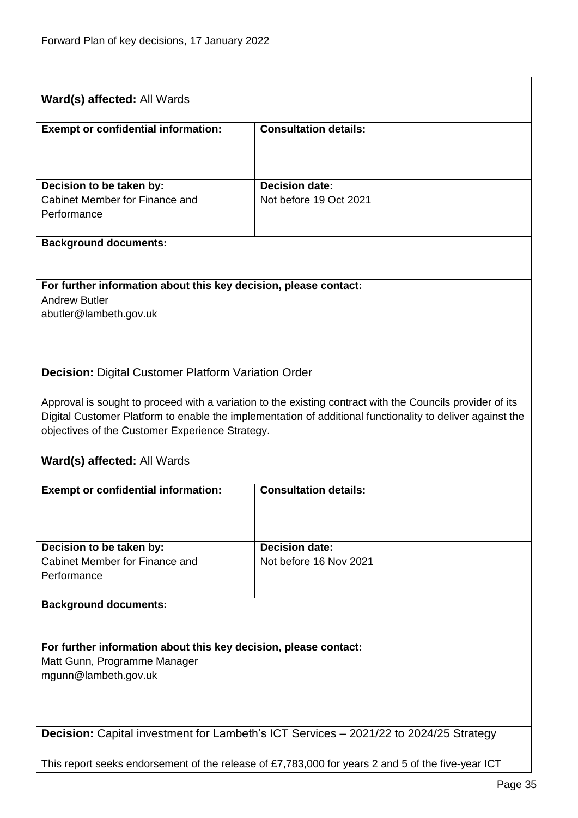<span id="page-34-1"></span><span id="page-34-0"></span>

| <b>Ward(s) affected: All Wards</b>                                                                |                                                                                                           |  |
|---------------------------------------------------------------------------------------------------|-----------------------------------------------------------------------------------------------------------|--|
| <b>Exempt or confidential information:</b>                                                        | <b>Consultation details:</b>                                                                              |  |
|                                                                                                   |                                                                                                           |  |
| Decision to be taken by:                                                                          | <b>Decision date:</b>                                                                                     |  |
| Cabinet Member for Finance and<br>Performance                                                     | Not before 19 Oct 2021                                                                                    |  |
| <b>Background documents:</b>                                                                      |                                                                                                           |  |
| For further information about this key decision, please contact:                                  |                                                                                                           |  |
| <b>Andrew Butler</b>                                                                              |                                                                                                           |  |
| abutler@lambeth.gov.uk                                                                            |                                                                                                           |  |
|                                                                                                   |                                                                                                           |  |
| <b>Decision: Digital Customer Platform Variation Order</b>                                        |                                                                                                           |  |
|                                                                                                   | Approval is sought to proceed with a variation to the existing contract with the Councils provider of its |  |
| objectives of the Customer Experience Strategy.                                                   | Digital Customer Platform to enable the implementation of additional functionality to deliver against the |  |
|                                                                                                   |                                                                                                           |  |
| Ward(s) affected: All Wards                                                                       |                                                                                                           |  |
| <b>Exempt or confidential information:</b>                                                        | <b>Consultation details:</b>                                                                              |  |
|                                                                                                   |                                                                                                           |  |
| Decision to be taken by:                                                                          | <b>Decision date:</b>                                                                                     |  |
| Cabinet Member for Finance and<br>Performance                                                     | Not before 16 Nov 2021                                                                                    |  |
| <b>Background documents:</b>                                                                      |                                                                                                           |  |
|                                                                                                   |                                                                                                           |  |
| For further information about this key decision, please contact:                                  |                                                                                                           |  |
| Matt Gunn, Programme Manager<br>mgunn@lambeth.gov.uk                                              |                                                                                                           |  |
|                                                                                                   |                                                                                                           |  |
|                                                                                                   |                                                                                                           |  |
| <b>Decision:</b> Capital investment for Lambeth's ICT Services - 2021/22 to 2024/25 Strategy      |                                                                                                           |  |
| This report seeks endorsement of the release of £7,783,000 for years 2 and 5 of the five-year ICT |                                                                                                           |  |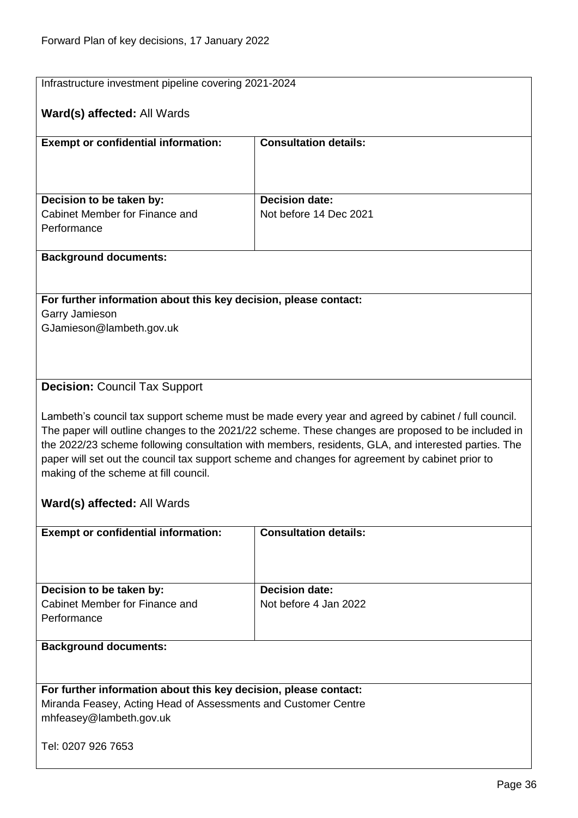<span id="page-35-0"></span>

| Infrastructure investment pipeline covering 2021-2024                                                                              |                                                                                                                                                                                                           |  |
|------------------------------------------------------------------------------------------------------------------------------------|-----------------------------------------------------------------------------------------------------------------------------------------------------------------------------------------------------------|--|
| Ward(s) affected: All Wards                                                                                                        |                                                                                                                                                                                                           |  |
|                                                                                                                                    |                                                                                                                                                                                                           |  |
| <b>Exempt or confidential information:</b>                                                                                         | <b>Consultation details:</b>                                                                                                                                                                              |  |
|                                                                                                                                    |                                                                                                                                                                                                           |  |
|                                                                                                                                    |                                                                                                                                                                                                           |  |
| Decision to be taken by:                                                                                                           | <b>Decision date:</b>                                                                                                                                                                                     |  |
| Cabinet Member for Finance and                                                                                                     | Not before 14 Dec 2021                                                                                                                                                                                    |  |
| Performance                                                                                                                        |                                                                                                                                                                                                           |  |
| <b>Background documents:</b>                                                                                                       |                                                                                                                                                                                                           |  |
|                                                                                                                                    |                                                                                                                                                                                                           |  |
| For further information about this key decision, please contact:                                                                   |                                                                                                                                                                                                           |  |
| Garry Jamieson                                                                                                                     |                                                                                                                                                                                                           |  |
| GJamieson@lambeth.gov.uk                                                                                                           |                                                                                                                                                                                                           |  |
|                                                                                                                                    |                                                                                                                                                                                                           |  |
|                                                                                                                                    |                                                                                                                                                                                                           |  |
| <b>Decision: Council Tax Support</b>                                                                                               |                                                                                                                                                                                                           |  |
|                                                                                                                                    |                                                                                                                                                                                                           |  |
|                                                                                                                                    | Lambeth's council tax support scheme must be made every year and agreed by cabinet / full council.                                                                                                        |  |
|                                                                                                                                    | The paper will outline changes to the 2021/22 scheme. These changes are proposed to be included in<br>the 2022/23 scheme following consultation with members, residents, GLA, and interested parties. The |  |
|                                                                                                                                    | paper will set out the council tax support scheme and changes for agreement by cabinet prior to                                                                                                           |  |
| making of the scheme at fill council.                                                                                              |                                                                                                                                                                                                           |  |
|                                                                                                                                    |                                                                                                                                                                                                           |  |
| Ward(s) affected: All Wards                                                                                                        |                                                                                                                                                                                                           |  |
| <b>Exempt or confidential information:</b>                                                                                         | <b>Consultation details:</b>                                                                                                                                                                              |  |
|                                                                                                                                    |                                                                                                                                                                                                           |  |
|                                                                                                                                    |                                                                                                                                                                                                           |  |
| Decision to be taken by:                                                                                                           | <b>Decision date:</b>                                                                                                                                                                                     |  |
| Cabinet Member for Finance and                                                                                                     | Not before 4 Jan 2022                                                                                                                                                                                     |  |
| Performance                                                                                                                        |                                                                                                                                                                                                           |  |
| <b>Background documents:</b>                                                                                                       |                                                                                                                                                                                                           |  |
|                                                                                                                                    |                                                                                                                                                                                                           |  |
|                                                                                                                                    |                                                                                                                                                                                                           |  |
| For further information about this key decision, please contact:<br>Miranda Feasey, Acting Head of Assessments and Customer Centre |                                                                                                                                                                                                           |  |
| mhfeasey@lambeth.gov.uk                                                                                                            |                                                                                                                                                                                                           |  |
|                                                                                                                                    |                                                                                                                                                                                                           |  |
| Tel: 0207 926 7653                                                                                                                 |                                                                                                                                                                                                           |  |
|                                                                                                                                    |                                                                                                                                                                                                           |  |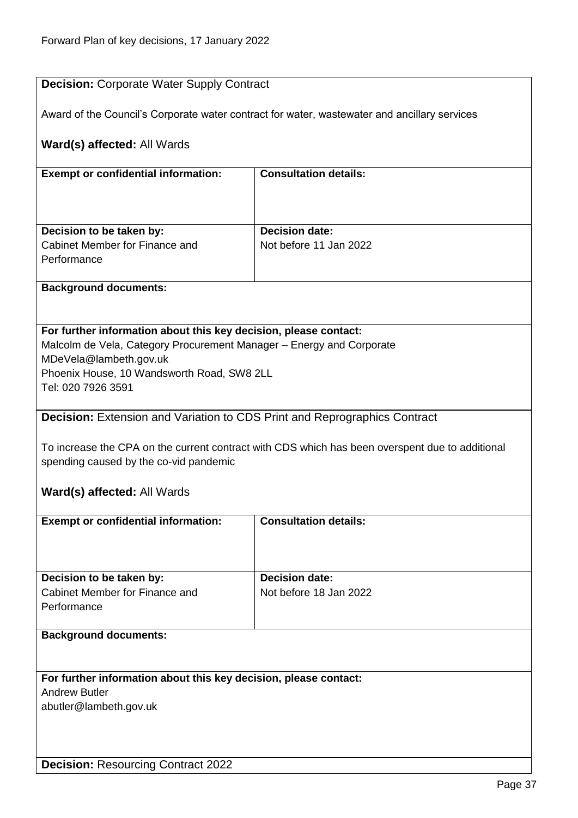| <b>Decision: Corporate Water Supply Contract</b>                                                                                                                                                                                       |                                                 |  |
|----------------------------------------------------------------------------------------------------------------------------------------------------------------------------------------------------------------------------------------|-------------------------------------------------|--|
| Award of the Council's Corporate water contract for water, wastewater and ancillary services                                                                                                                                           |                                                 |  |
| Ward(s) affected: All Wards                                                                                                                                                                                                            |                                                 |  |
| <b>Exempt or confidential information:</b>                                                                                                                                                                                             | <b>Consultation details:</b>                    |  |
| Decision to be taken by:<br>Cabinet Member for Finance and<br>Performance                                                                                                                                                              | <b>Decision date:</b><br>Not before 11 Jan 2022 |  |
| <b>Background documents:</b>                                                                                                                                                                                                           |                                                 |  |
| For further information about this key decision, please contact:<br>Malcolm de Vela, Category Procurement Manager - Energy and Corporate<br>MDeVela@lambeth.gov.uk<br>Phoenix House, 10 Wandsworth Road, SW8 2LL<br>Tel: 020 7926 3591 |                                                 |  |
| <b>Decision:</b> Extension and Variation to CDS Print and Reprographics Contract                                                                                                                                                       |                                                 |  |
| To increase the CPA on the current contract with CDS which has been overspent due to additional<br>spending caused by the co-vid pandemic                                                                                              |                                                 |  |
| Ward(s) affected: All Wards                                                                                                                                                                                                            |                                                 |  |
| <b>Exempt or confidential information:</b>                                                                                                                                                                                             | <b>Consultation details:</b>                    |  |
| Decision to be taken by:<br>Cabinet Member for Finance and<br>Performance                                                                                                                                                              | <b>Decision date:</b><br>Not before 18 Jan 2022 |  |
| <b>Background documents:</b>                                                                                                                                                                                                           |                                                 |  |
|                                                                                                                                                                                                                                        |                                                 |  |
| For further information about this key decision, please contact:<br><b>Andrew Butler</b>                                                                                                                                               |                                                 |  |
| abutler@lambeth.gov.uk                                                                                                                                                                                                                 |                                                 |  |
| <b>Decision: Resourcing Contract 2022</b>                                                                                                                                                                                              |                                                 |  |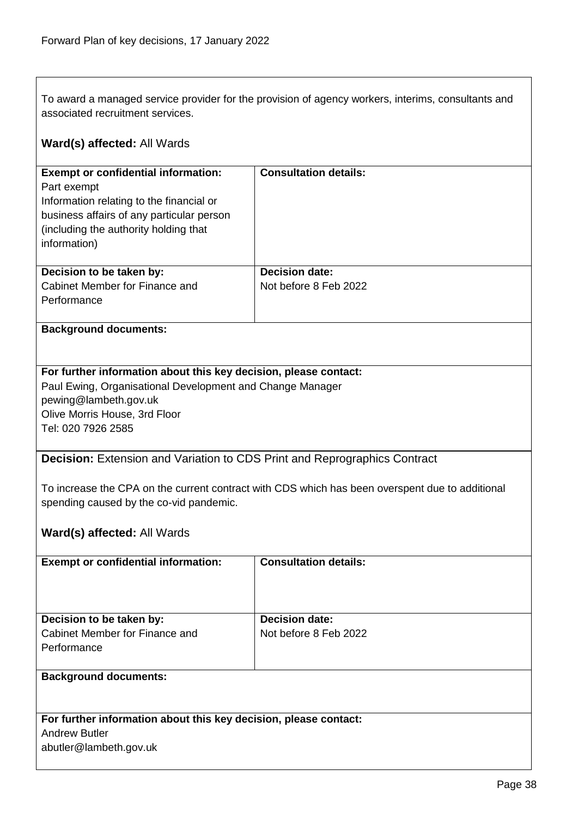To award a managed service provider for the provision of agency workers, interims, consultants and associated recruitment services.

| Ward(s) affected: All Wards                                                                                                                                                                                   |                              |  |
|---------------------------------------------------------------------------------------------------------------------------------------------------------------------------------------------------------------|------------------------------|--|
| <b>Exempt or confidential information:</b><br>Part exempt<br>Information relating to the financial or<br>business affairs of any particular person<br>(including the authority holding that<br>information)   | <b>Consultation details:</b> |  |
| Decision to be taken by:                                                                                                                                                                                      | <b>Decision date:</b>        |  |
| Cabinet Member for Finance and<br>Performance                                                                                                                                                                 | Not before 8 Feb 2022        |  |
| <b>Background documents:</b>                                                                                                                                                                                  |                              |  |
| For further information about this key decision, please contact:<br>Paul Ewing, Organisational Development and Change Manager<br>pewing@lambeth.gov.uk<br>Olive Morris House, 3rd Floor<br>Tel: 020 7926 2585 |                              |  |
| Decision: Extension and Variation to CDS Print and Reprographics Contract                                                                                                                                     |                              |  |
| To increase the CPA on the current contract with CDS which has been overspent due to additional<br>spending caused by the co-vid pandemic.<br>Ward(s) affected: All Wards                                     |                              |  |
| <b>Exempt or confidential information:</b>                                                                                                                                                                    | <b>Consultation details:</b> |  |
|                                                                                                                                                                                                               |                              |  |
| Decision to be taken by:                                                                                                                                                                                      | <b>Decision date:</b>        |  |
| Cabinet Member for Finance and<br>Performance                                                                                                                                                                 | Not before 8 Feb 2022        |  |
| <b>Background documents:</b>                                                                                                                                                                                  |                              |  |
| For further information about this key decision, please contact:                                                                                                                                              |                              |  |
| <b>Andrew Butler</b><br>abutler@lambeth.gov.uk                                                                                                                                                                |                              |  |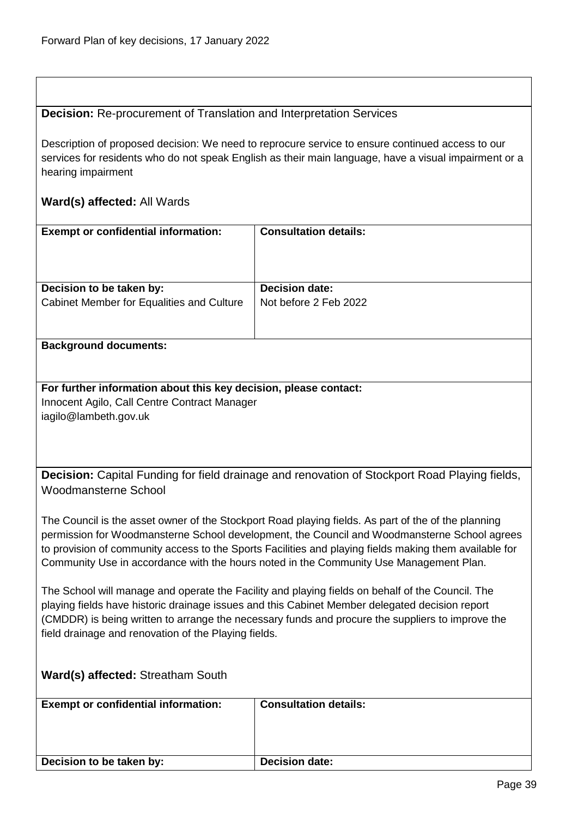### **Decision:** Re-procurement of Translation and Interpretation Services

Description of proposed decision: We need to reprocure service to ensure continued access to our services for residents who do not speak English as their main language, have a visual impairment or a hearing impairment

### **Ward(s) affected:** All Wards

| <b>Exempt or confidential information:</b> | <b>Consultation details:</b> |
|--------------------------------------------|------------------------------|
| Decision to be taken by:                   | <b>Decision date:</b>        |
| Cabinet Member for Equalities and Culture  | Not before 2 Feb 2022        |

#### **Background documents:**

**For further information about this key decision, please contact:** Innocent Agilo, Call Centre Contract Manager iagilo@lambeth.gov.uk

**Decision:** Capital Funding for field drainage and renovation of Stockport Road Playing fields, Woodmansterne School

The Council is the asset owner of the Stockport Road playing fields. As part of the of the planning permission for Woodmansterne School development, the Council and Woodmansterne School agrees to provision of community access to the Sports Facilities and playing fields making them available for Community Use in accordance with the hours noted in the Community Use Management Plan.

The School will manage and operate the Facility and playing fields on behalf of the Council. The playing fields have historic drainage issues and this Cabinet Member delegated decision report (CMDDR) is being written to arrange the necessary funds and procure the suppliers to improve the field drainage and renovation of the Playing fields.

## **Ward(s) affected:** Streatham South

| <b>Exempt or confidential information:</b> | <b>Consultation details:</b> |
|--------------------------------------------|------------------------------|
| Decision to be taken by:                   | <b>Decision date:</b>        |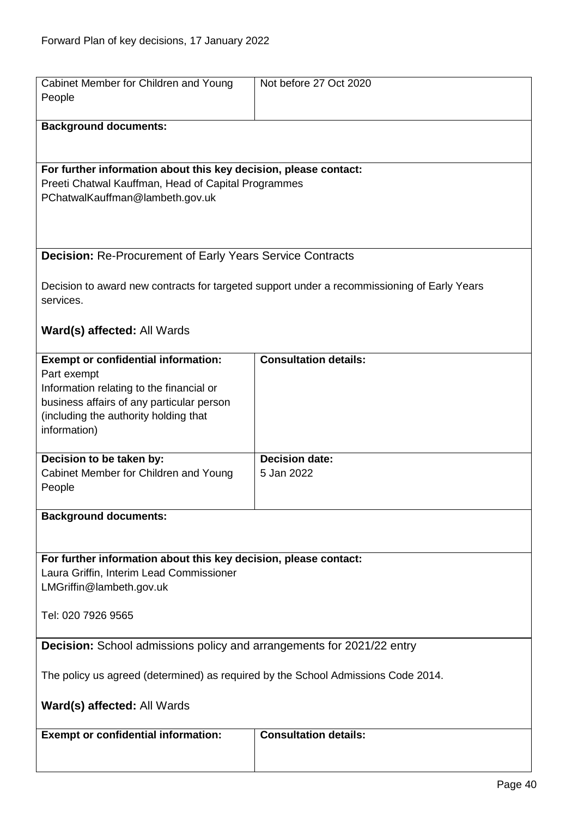| Cabinet Member for Children and Young                                             | Not before 27 Oct 2020                                                                      |
|-----------------------------------------------------------------------------------|---------------------------------------------------------------------------------------------|
| People                                                                            |                                                                                             |
|                                                                                   |                                                                                             |
| <b>Background documents:</b>                                                      |                                                                                             |
|                                                                                   |                                                                                             |
|                                                                                   |                                                                                             |
| For further information about this key decision, please contact:                  |                                                                                             |
| Preeti Chatwal Kauffman, Head of Capital Programmes                               |                                                                                             |
| PChatwalKauffman@lambeth.gov.uk                                                   |                                                                                             |
|                                                                                   |                                                                                             |
|                                                                                   |                                                                                             |
|                                                                                   |                                                                                             |
| <b>Decision: Re-Procurement of Early Years Service Contracts</b>                  |                                                                                             |
|                                                                                   |                                                                                             |
|                                                                                   | Decision to award new contracts for targeted support under a recommissioning of Early Years |
| services.                                                                         |                                                                                             |
|                                                                                   |                                                                                             |
| Ward(s) affected: All Wards                                                       |                                                                                             |
|                                                                                   |                                                                                             |
| <b>Exempt or confidential information:</b>                                        | <b>Consultation details:</b>                                                                |
| Part exempt                                                                       |                                                                                             |
| Information relating to the financial or                                          |                                                                                             |
| business affairs of any particular person                                         |                                                                                             |
| (including the authority holding that                                             |                                                                                             |
| information)                                                                      |                                                                                             |
| Decision to be taken by:                                                          | <b>Decision date:</b>                                                                       |
| Cabinet Member for Children and Young                                             | 5 Jan 2022                                                                                  |
| People                                                                            |                                                                                             |
|                                                                                   |                                                                                             |
| <b>Background documents:</b>                                                      |                                                                                             |
|                                                                                   |                                                                                             |
|                                                                                   |                                                                                             |
| For further information about this key decision, please contact:                  |                                                                                             |
| Laura Griffin, Interim Lead Commissioner                                          |                                                                                             |
| LMGriffin@lambeth.gov.uk                                                          |                                                                                             |
|                                                                                   |                                                                                             |
| Tel: 020 7926 9565                                                                |                                                                                             |
|                                                                                   |                                                                                             |
| <b>Decision:</b> School admissions policy and arrangements for 2021/22 entry      |                                                                                             |
|                                                                                   |                                                                                             |
| The policy us agreed (determined) as required by the School Admissions Code 2014. |                                                                                             |
|                                                                                   |                                                                                             |
| Ward(s) affected: All Wards                                                       |                                                                                             |
|                                                                                   |                                                                                             |
| <b>Exempt or confidential information:</b>                                        | <b>Consultation details:</b>                                                                |
|                                                                                   |                                                                                             |
|                                                                                   |                                                                                             |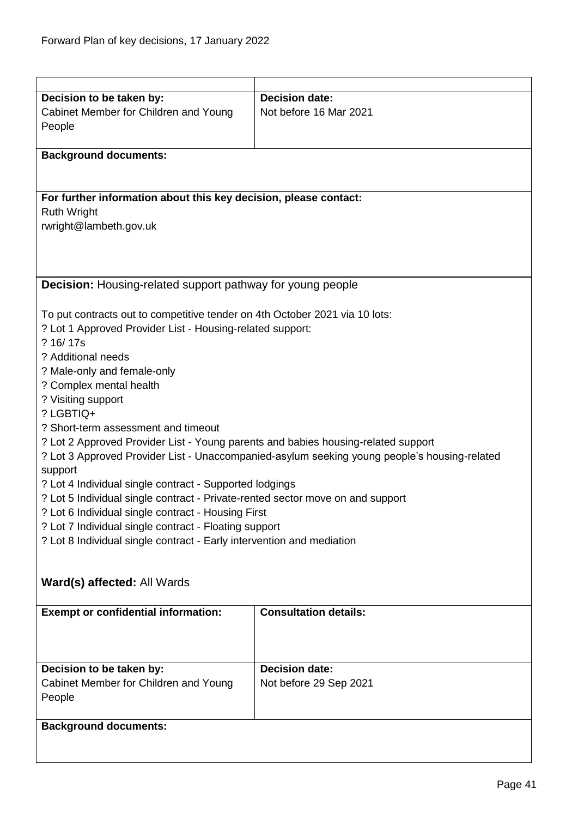| Decision to be taken by:                                                          | <b>Decision date:</b>                                                                        |
|-----------------------------------------------------------------------------------|----------------------------------------------------------------------------------------------|
| Cabinet Member for Children and Young                                             | Not before 16 Mar 2021                                                                       |
| People                                                                            |                                                                                              |
|                                                                                   |                                                                                              |
| <b>Background documents:</b>                                                      |                                                                                              |
|                                                                                   |                                                                                              |
|                                                                                   |                                                                                              |
|                                                                                   |                                                                                              |
| For further information about this key decision, please contact:                  |                                                                                              |
| <b>Ruth Wright</b>                                                                |                                                                                              |
| rwright@lambeth.gov.uk                                                            |                                                                                              |
|                                                                                   |                                                                                              |
|                                                                                   |                                                                                              |
|                                                                                   |                                                                                              |
|                                                                                   |                                                                                              |
| <b>Decision:</b> Housing-related support pathway for young people                 |                                                                                              |
|                                                                                   |                                                                                              |
| To put contracts out to competitive tender on 4th October 2021 via 10 lots:       |                                                                                              |
| ? Lot 1 Approved Provider List - Housing-related support:                         |                                                                                              |
|                                                                                   |                                                                                              |
| ? 16/17s                                                                          |                                                                                              |
| ? Additional needs                                                                |                                                                                              |
| ? Male-only and female-only                                                       |                                                                                              |
| ? Complex mental health                                                           |                                                                                              |
| ? Visiting support                                                                |                                                                                              |
| ? LGBTIQ+                                                                         |                                                                                              |
| ? Short-term assessment and timeout                                               |                                                                                              |
|                                                                                   |                                                                                              |
| ? Lot 2 Approved Provider List - Young parents and babies housing-related support |                                                                                              |
|                                                                                   | ? Lot 3 Approved Provider List - Unaccompanied-asylum seeking young people's housing-related |
| support                                                                           |                                                                                              |
| ? Lot 4 Individual single contract - Supported lodgings                           |                                                                                              |
| ? Lot 5 Individual single contract - Private-rented sector move on and support    |                                                                                              |
| ? Lot 6 Individual single contract - Housing First                                |                                                                                              |
| ? Lot 7 Individual single contract - Floating support                             |                                                                                              |
|                                                                                   |                                                                                              |
| ? Lot 8 Individual single contract - Early intervention and mediation             |                                                                                              |
|                                                                                   |                                                                                              |
|                                                                                   |                                                                                              |
| Ward(s) affected: All Wards                                                       |                                                                                              |
|                                                                                   |                                                                                              |
| <b>Exempt or confidential information:</b>                                        | <b>Consultation details:</b>                                                                 |
|                                                                                   |                                                                                              |
|                                                                                   |                                                                                              |
|                                                                                   |                                                                                              |
|                                                                                   |                                                                                              |
| Decision to be taken by:                                                          | <b>Decision date:</b>                                                                        |
| Cabinet Member for Children and Young                                             | Not before 29 Sep 2021                                                                       |
| People                                                                            |                                                                                              |
|                                                                                   |                                                                                              |
| <b>Background documents:</b>                                                      |                                                                                              |
|                                                                                   |                                                                                              |
|                                                                                   |                                                                                              |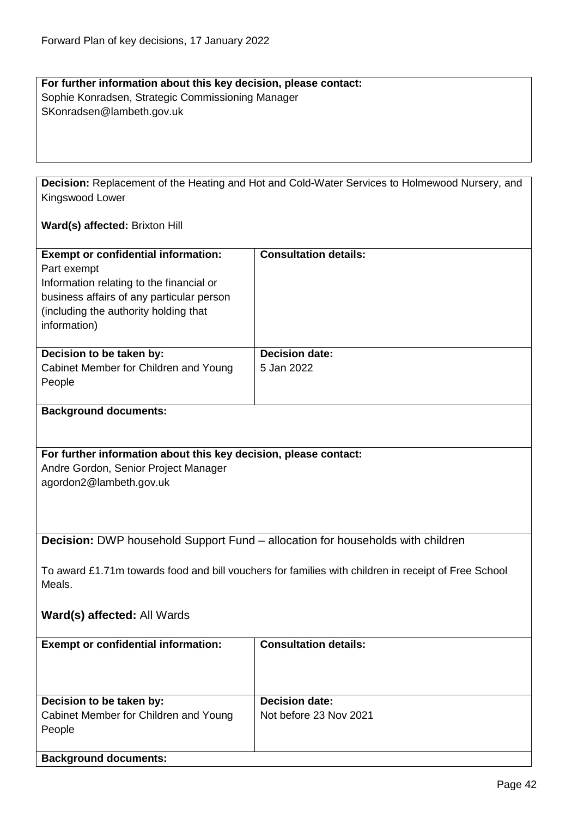#### **For further information about this key decision, please contact:** Sophie Konradsen, Strategic Commissioning Manager SKonradsen@lambeth.gov.uk

**Decision:** Replacement of the Heating and Hot and Cold-Water Services to Holmewood Nursery, and Kingswood Lower

#### **Ward(s) affected:** Brixton Hill

| <b>Exempt or confidential information:</b><br>Part exempt<br>Information relating to the financial or<br>business affairs of any particular person<br>(including the authority holding that<br>information) | <b>Consultation details:</b> |
|-------------------------------------------------------------------------------------------------------------------------------------------------------------------------------------------------------------|------------------------------|
| Decision to be taken by:                                                                                                                                                                                    | <b>Decision date:</b>        |
| Cabinet Member for Children and Young                                                                                                                                                                       | 5 Jan 2022                   |
| People                                                                                                                                                                                                      |                              |
|                                                                                                                                                                                                             |                              |

#### **Background documents:**

## **For further information about this key decision, please contact:**

Andre Gordon, Senior Project Manager agordon2@lambeth.gov.uk

**Decision:** DWP household Support Fund – allocation for households with children

To award £1.71m towards food and bill vouchers for families with children in receipt of Free School Meals.

### **Ward(s) affected:** All Wards

| <b>Exempt or confidential information:</b> | <b>Consultation details:</b> |
|--------------------------------------------|------------------------------|
| Decision to be taken by:                   | <b>Decision date:</b>        |
| Cabinet Member for Children and Young      | Not before 23 Nov 2021       |
| People                                     |                              |
|                                            |                              |
| <b>Background documents:</b>               |                              |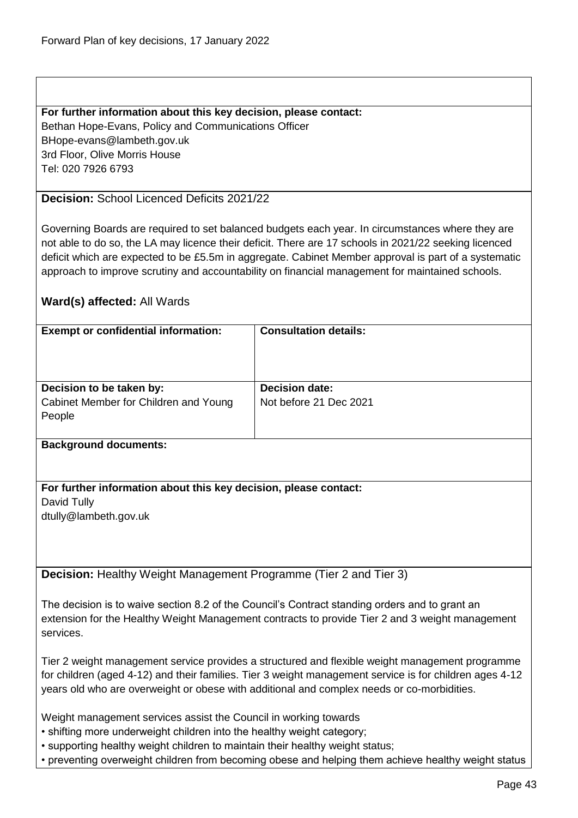Bethan Hope-Evans, Policy and Communications Officer BHope-evans@lambeth.gov.uk 3rd Floor, Olive Morris House Tel: 020 7926 6793

## **Decision:** School Licenced Deficits 2021/22

Governing Boards are required to set balanced budgets each year. In circumstances where they are not able to do so, the LA may licence their deficit. There are 17 schools in 2021/22 seeking licenced deficit which are expected to be £5.5m in aggregate. Cabinet Member approval is part of a systematic approach to improve scrutiny and accountability on financial management for maintained schools.

## **Ward(s) affected:** All Wards

| <b>Exempt or confidential information:</b> | <b>Consultation details:</b> |
|--------------------------------------------|------------------------------|
| Decision to be taken by:                   | <b>Decision date:</b>        |
| Cabinet Member for Children and Young      | Not before 21 Dec 2021       |
| People                                     |                              |
|                                            |                              |
| Deskares ned des umente.                   |                              |

#### **Background documents:**

#### **For further information about this key decision, please contact:** David Tully

dtully@lambeth.gov.uk

**Decision:** Healthy Weight Management Programme (Tier 2 and Tier 3)

The decision is to waive section 8.2 of the Council's Contract standing orders and to grant an extension for the Healthy Weight Management contracts to provide Tier 2 and 3 weight management services.

Tier 2 weight management service provides a structured and flexible weight management programme for children (aged 4-12) and their families. Tier 3 weight management service is for children ages 4-12 years old who are overweight or obese with additional and complex needs or co-morbidities.

Weight management services assist the Council in working towards

- shifting more underweight children into the healthy weight category;
- supporting healthy weight children to maintain their healthy weight status;
- preventing overweight children from becoming obese and helping them achieve healthy weight status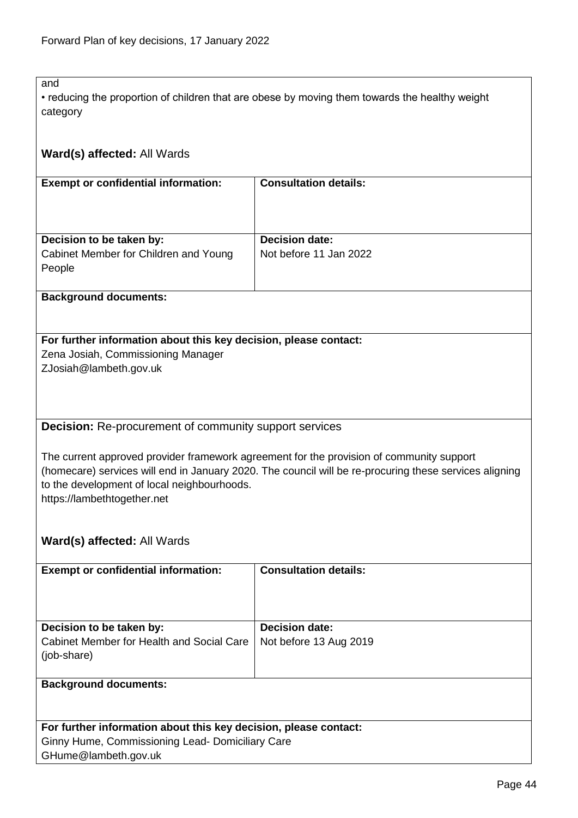and

• reducing the proportion of children that are obese by moving them towards the healthy weight category

## **Ward(s) affected:** All Wards

| <b>Exempt or confidential information:</b> | <b>Consultation details:</b> |
|--------------------------------------------|------------------------------|
|                                            |                              |
|                                            |                              |
|                                            |                              |
|                                            |                              |
|                                            |                              |
| Decision to be taken by:                   | <b>Decision date:</b>        |
| Cabinet Member for Children and Young      | Not before 11 Jan 2022       |
|                                            |                              |
| People                                     |                              |
|                                            |                              |

## **Background documents:**

# **For further information about this key decision, please contact:** Zena Josiah, Commissioning Manager

ZJosiah@lambeth.gov.uk

**Decision:** Re-procurement of community support services

The current approved provider framework agreement for the provision of community support (homecare) services will end in January 2020. The council will be re-procuring these services aligning to the development of local neighbourhoods. https://lambethtogether.net

## **Ward(s) affected:** All Wards

| <b>Exempt or confidential information:</b>               | <b>Consultation details:</b> |
|----------------------------------------------------------|------------------------------|
| Decision to be taken by:                                 | <b>Decision date:</b>        |
| Cabinet Member for Health and Social Care<br>(job-share) | Not before 13 Aug 2019       |

#### **Background documents:**

## **For further information about this key decision, please contact:**

Ginny Hume, Commissioning Lead- Domiciliary Care GHume@lambeth.gov.uk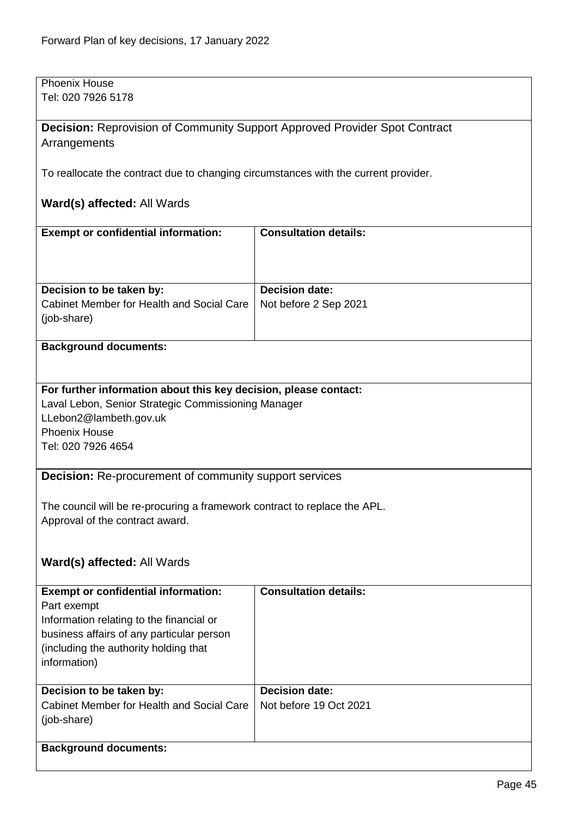| <b>Phoenix House</b>                                                                  |                              |  |
|---------------------------------------------------------------------------------------|------------------------------|--|
| Tel: 020 7926 5178                                                                    |                              |  |
| <b>Decision:</b> Reprovision of Community Support Approved Provider Spot Contract     |                              |  |
| Arrangements                                                                          |                              |  |
|                                                                                       |                              |  |
| To reallocate the contract due to changing circumstances with the current provider.   |                              |  |
|                                                                                       |                              |  |
| Ward(s) affected: All Wards                                                           |                              |  |
| <b>Exempt or confidential information:</b>                                            | <b>Consultation details:</b> |  |
|                                                                                       |                              |  |
|                                                                                       |                              |  |
|                                                                                       |                              |  |
| Decision to be taken by:                                                              | <b>Decision date:</b>        |  |
| Cabinet Member for Health and Social Care                                             | Not before 2 Sep 2021        |  |
| (job-share)                                                                           |                              |  |
| <b>Background documents:</b>                                                          |                              |  |
|                                                                                       |                              |  |
|                                                                                       |                              |  |
| For further information about this key decision, please contact:                      |                              |  |
| Laval Lebon, Senior Strategic Commissioning Manager                                   |                              |  |
| LLebon2@lambeth.gov.uk<br><b>Phoenix House</b>                                        |                              |  |
| Tel: 020 7926 4654                                                                    |                              |  |
|                                                                                       |                              |  |
| <b>Decision:</b> Re-procurement of community support services                         |                              |  |
|                                                                                       |                              |  |
| The council will be re-procuring a framework contract to replace the APL.             |                              |  |
| Approval of the contract award.                                                       |                              |  |
|                                                                                       |                              |  |
| Ward(s) affected: All Wards                                                           |                              |  |
|                                                                                       |                              |  |
| <b>Exempt or confidential information:</b>                                            | <b>Consultation details:</b> |  |
| Part exempt                                                                           |                              |  |
| Information relating to the financial or<br>business affairs of any particular person |                              |  |
| (including the authority holding that                                                 |                              |  |
| information)                                                                          |                              |  |
|                                                                                       |                              |  |
| Decision to be taken by:                                                              | <b>Decision date:</b>        |  |
| Cabinet Member for Health and Social Care                                             | Not before 19 Oct 2021       |  |
| (job-share)                                                                           |                              |  |
| <b>Background documents:</b>                                                          |                              |  |
|                                                                                       |                              |  |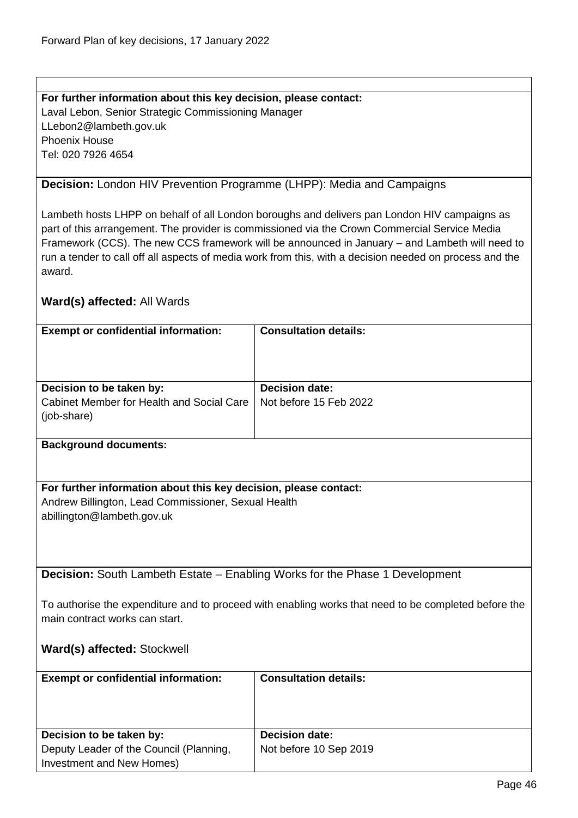### **For further information about this key decision, please contact:** Laval Lebon, Senior Strategic Commissioning Manager LLebon2@lambeth.gov.uk Phoenix House Tel: 020 7926 4654

### **Decision:** London HIV Prevention Programme (LHPP): Media and Campaigns

Lambeth hosts LHPP on behalf of all London boroughs and delivers pan London HIV campaigns as part of this arrangement. The provider is commissioned via the Crown Commercial Service Media Framework (CCS). The new CCS framework will be announced in January – and Lambeth will need to run a tender to call off all aspects of media work from this, with a decision needed on process and the award.

#### **Ward(s) affected:** All Wards

| <b>Exempt or confidential information:</b> | <b>Consultation details:</b> |
|--------------------------------------------|------------------------------|
|                                            |                              |
|                                            |                              |
|                                            |                              |
|                                            |                              |
|                                            |                              |
| Decision to be taken by:                   | <b>Decision date:</b>        |
| Cabinet Member for Health and Social Care  | Not before 15 Feb 2022       |
| (job-share)                                |                              |
|                                            |                              |
|                                            |                              |
| <b>Background documents:</b>               |                              |
|                                            |                              |

**For further information about this key decision, please contact:** Andrew Billington, Lead Commissioner, Sexual Health abillington@lambeth.gov.uk

**Decision:** South Lambeth Estate – Enabling Works for the Phase 1 Development

To authorise the expenditure and to proceed with enabling works that need to be completed before the main contract works can start.

#### **Ward(s) affected:** Stockwell

| <b>Exempt or confidential information:</b> | <b>Consultation details:</b> |
|--------------------------------------------|------------------------------|
| Decision to be taken by:                   | <b>Decision date:</b>        |
| Deputy Leader of the Council (Planning,    | Not before 10 Sep 2019       |
| Investment and New Homes)                  |                              |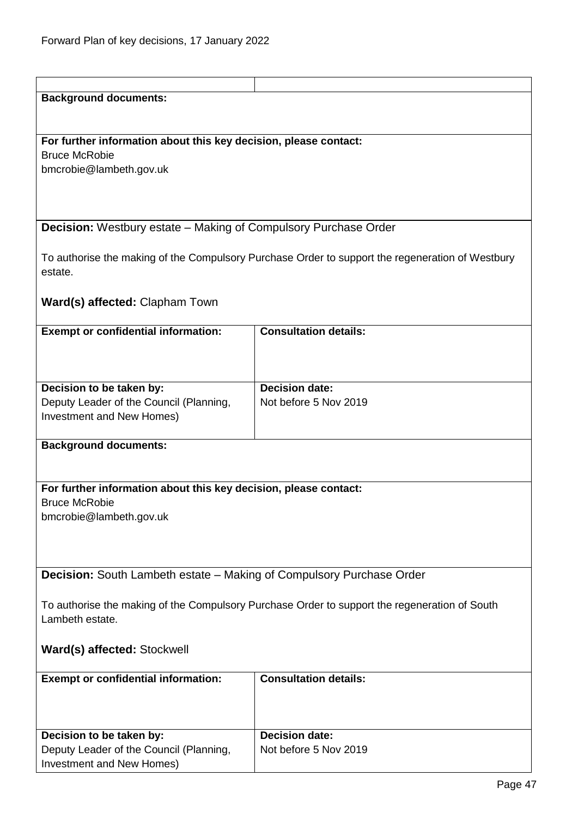| <b>Background documents:</b>                                                                  |                                                                                                  |  |
|-----------------------------------------------------------------------------------------------|--------------------------------------------------------------------------------------------------|--|
|                                                                                               |                                                                                                  |  |
|                                                                                               |                                                                                                  |  |
| For further information about this key decision, please contact:                              |                                                                                                  |  |
| <b>Bruce McRobie</b>                                                                          |                                                                                                  |  |
| bmcrobie@lambeth.gov.uk                                                                       |                                                                                                  |  |
|                                                                                               |                                                                                                  |  |
|                                                                                               |                                                                                                  |  |
|                                                                                               |                                                                                                  |  |
| <b>Decision:</b> Westbury estate – Making of Compulsory Purchase Order                        |                                                                                                  |  |
|                                                                                               |                                                                                                  |  |
|                                                                                               | To authorise the making of the Compulsory Purchase Order to support the regeneration of Westbury |  |
| estate.                                                                                       |                                                                                                  |  |
|                                                                                               |                                                                                                  |  |
| Ward(s) affected: Clapham Town                                                                |                                                                                                  |  |
| <b>Exempt or confidential information:</b>                                                    | <b>Consultation details:</b>                                                                     |  |
|                                                                                               |                                                                                                  |  |
|                                                                                               |                                                                                                  |  |
|                                                                                               |                                                                                                  |  |
| Decision to be taken by:                                                                      | <b>Decision date:</b>                                                                            |  |
| Deputy Leader of the Council (Planning,                                                       | Not before 5 Nov 2019                                                                            |  |
| Investment and New Homes)                                                                     |                                                                                                  |  |
|                                                                                               |                                                                                                  |  |
| <b>Background documents:</b>                                                                  |                                                                                                  |  |
|                                                                                               |                                                                                                  |  |
|                                                                                               |                                                                                                  |  |
| For further information about this key decision, please contact:                              |                                                                                                  |  |
| <b>Bruce McRobie</b>                                                                          |                                                                                                  |  |
| bmcrobie@lambeth.gov.uk                                                                       |                                                                                                  |  |
|                                                                                               |                                                                                                  |  |
|                                                                                               |                                                                                                  |  |
| Decision: South Lambeth estate - Making of Compulsory Purchase Order                          |                                                                                                  |  |
|                                                                                               |                                                                                                  |  |
| To authorise the making of the Compulsory Purchase Order to support the regeneration of South |                                                                                                  |  |
| Lambeth estate.                                                                               |                                                                                                  |  |
|                                                                                               |                                                                                                  |  |
| Ward(s) affected: Stockwell                                                                   |                                                                                                  |  |
|                                                                                               |                                                                                                  |  |
| <b>Exempt or confidential information:</b>                                                    | <b>Consultation details:</b>                                                                     |  |
|                                                                                               |                                                                                                  |  |
|                                                                                               |                                                                                                  |  |
|                                                                                               |                                                                                                  |  |
| Decision to be taken by:                                                                      | <b>Decision date:</b>                                                                            |  |
| Deputy Leader of the Council (Planning,                                                       | Not before 5 Nov 2019                                                                            |  |
| Investment and New Homes)                                                                     |                                                                                                  |  |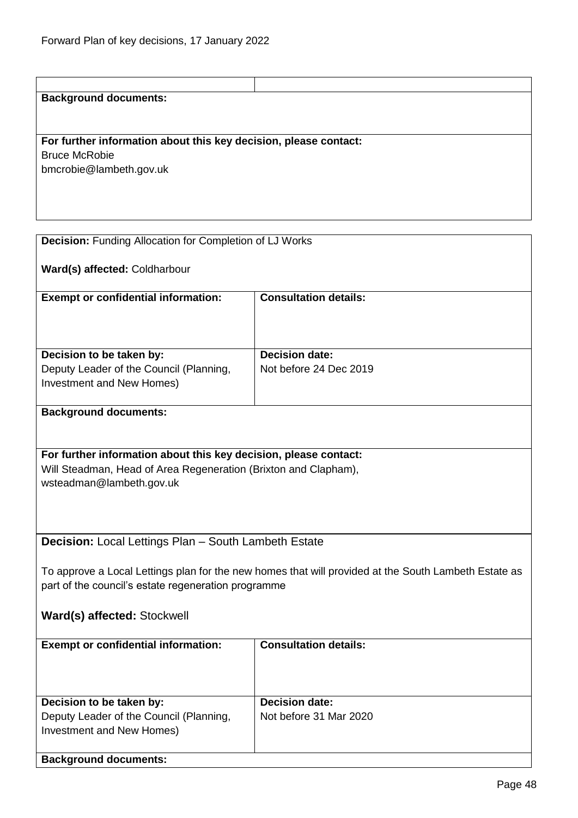## **Background documents:**

**For further information about this key decision, please contact:** Bruce McRobie bmcrobie@lambeth.gov.uk

| <b>Decision:</b> Funding Allocation for Completion of LJ Works                                       |                              |  |  |
|------------------------------------------------------------------------------------------------------|------------------------------|--|--|
| Ward(s) affected: Coldharbour                                                                        |                              |  |  |
| <b>Exempt or confidential information:</b>                                                           | <b>Consultation details:</b> |  |  |
|                                                                                                      |                              |  |  |
| Decision to be taken by:                                                                             | <b>Decision date:</b>        |  |  |
| Deputy Leader of the Council (Planning,<br>Investment and New Homes)                                 | Not before 24 Dec 2019       |  |  |
| <b>Background documents:</b>                                                                         |                              |  |  |
|                                                                                                      |                              |  |  |
| For further information about this key decision, please contact:                                     |                              |  |  |
| Will Steadman, Head of Area Regeneration (Brixton and Clapham),                                      |                              |  |  |
| wsteadman@lambeth.gov.uk                                                                             |                              |  |  |
|                                                                                                      |                              |  |  |
|                                                                                                      |                              |  |  |
|                                                                                                      |                              |  |  |
| <b>Decision:</b> Local Lettings Plan - South Lambeth Estate                                          |                              |  |  |
|                                                                                                      |                              |  |  |
| To approve a Local Lettings plan for the new homes that will provided at the South Lambeth Estate as |                              |  |  |
| part of the council's estate regeneration programme                                                  |                              |  |  |
|                                                                                                      |                              |  |  |
| Ward(s) affected: Stockwell                                                                          |                              |  |  |
|                                                                                                      |                              |  |  |
| <b>Exempt or confidential information:</b>                                                           | <b>Consultation details:</b> |  |  |
|                                                                                                      |                              |  |  |
|                                                                                                      |                              |  |  |
|                                                                                                      |                              |  |  |
| Decision to be taken by:                                                                             | <b>Decision date:</b>        |  |  |
| Deputy Leader of the Council (Planning,                                                              | Not before 31 Mar 2020       |  |  |
| Investment and New Homes)                                                                            |                              |  |  |
|                                                                                                      |                              |  |  |
| <b>Background documents:</b>                                                                         |                              |  |  |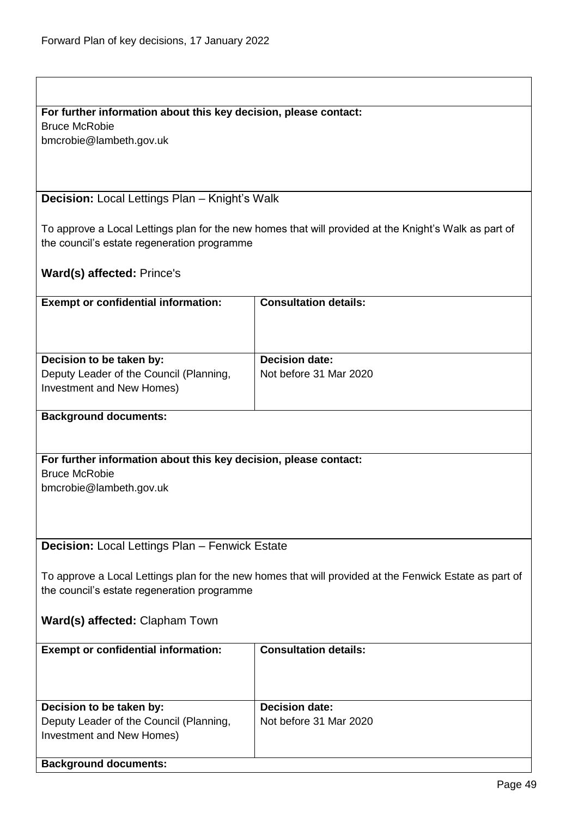Bruce McRobie

bmcrobie@lambeth.gov.uk

**Decision:** Local Lettings Plan – Knight's Walk

To approve a Local Lettings plan for the new homes that will provided at the Knight's Walk as part of the council's estate regeneration programme

**Ward(s) affected:** Prince's

| <b>Exempt or confidential information:</b>                          | <b>Consultation details:</b>                    |
|---------------------------------------------------------------------|-------------------------------------------------|
| Decision to be taken by:<br>Deputy Leader of the Council (Planning, | <b>Decision date:</b><br>Not before 31 Mar 2020 |
| Investment and New Homes)                                           |                                                 |

#### **Background documents:**

**For further information about this key decision, please contact:** Bruce McRobie bmcrobie@lambeth.gov.uk

**Decision:** Local Lettings Plan – Fenwick Estate

To approve a Local Lettings plan for the new homes that will provided at the Fenwick Estate as part of the council's estate regeneration programme

**Ward(s) affected:** Clapham Town

| <b>Exempt or confidential information:</b>                                                       | <b>Consultation details:</b>                    |
|--------------------------------------------------------------------------------------------------|-------------------------------------------------|
| Decision to be taken by:<br>Deputy Leader of the Council (Planning,<br>Investment and New Homes) | <b>Decision date:</b><br>Not before 31 Mar 2020 |
| <b>Background documents:</b>                                                                     |                                                 |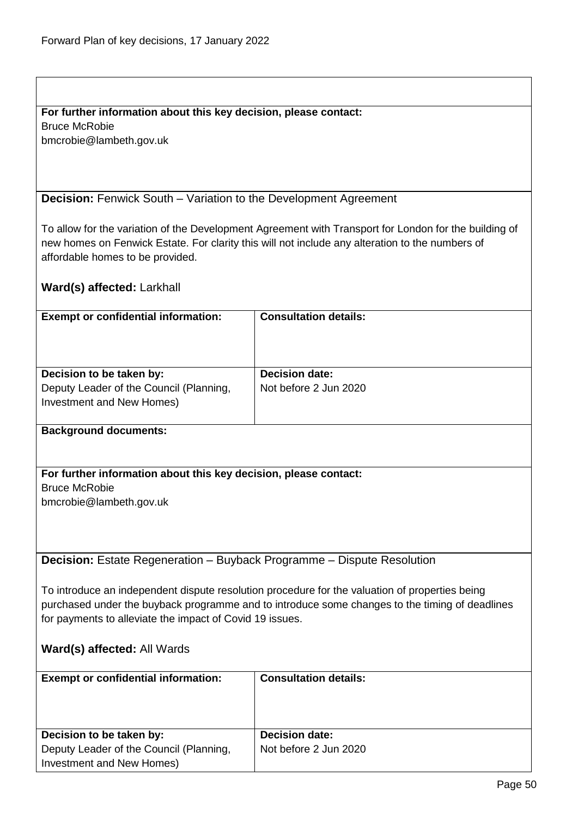Bruce McRobie bmcrobie@lambeth.gov.uk

## **Decision:** Fenwick South – Variation to the Development Agreement

To allow for the variation of the Development Agreement with Transport for London for the building of new homes on Fenwick Estate. For clarity this will not include any alteration to the numbers of affordable homes to be provided.

## **Ward(s) affected:** Larkhall

| <b>Exempt or confidential information:</b>                                                       | <b>Consultation details:</b>                   |
|--------------------------------------------------------------------------------------------------|------------------------------------------------|
| Decision to be taken by:<br>Deputy Leader of the Council (Planning,<br>Investment and New Homes) | <b>Decision date:</b><br>Not before 2 Jun 2020 |
|                                                                                                  |                                                |

#### **Background documents:**

## **For further information about this key decision, please contact:**

Bruce McRobie

bmcrobie@lambeth.gov.uk

**Decision:** Estate Regeneration – Buyback Programme – Dispute Resolution

To introduce an independent dispute resolution procedure for the valuation of properties being purchased under the buyback programme and to introduce some changes to the timing of deadlines for payments to alleviate the impact of Covid 19 issues.

## **Ward(s) affected:** All Wards

| <b>Exempt or confidential information:</b> | <b>Consultation details:</b> |
|--------------------------------------------|------------------------------|
| Decision to be taken by:                   | <b>Decision date:</b>        |
| Deputy Leader of the Council (Planning,    | Not before 2 Jun 2020        |
| Investment and New Homes)                  |                              |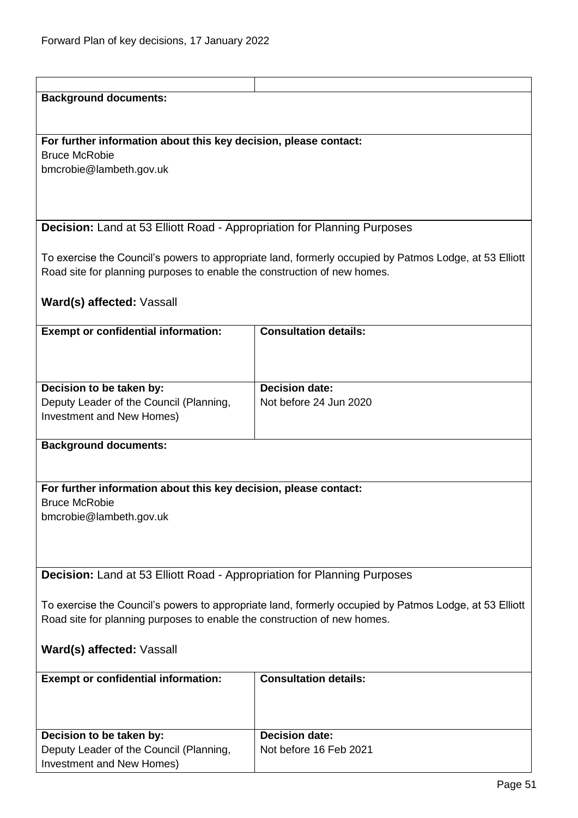| <b>Background documents:</b>                                                                           |                                                                                                        |  |
|--------------------------------------------------------------------------------------------------------|--------------------------------------------------------------------------------------------------------|--|
|                                                                                                        |                                                                                                        |  |
|                                                                                                        |                                                                                                        |  |
| For further information about this key decision, please contact:                                       |                                                                                                        |  |
| <b>Bruce McRobie</b>                                                                                   |                                                                                                        |  |
| bmcrobie@lambeth.gov.uk                                                                                |                                                                                                        |  |
|                                                                                                        |                                                                                                        |  |
|                                                                                                        |                                                                                                        |  |
|                                                                                                        |                                                                                                        |  |
| <b>Decision:</b> Land at 53 Elliott Road - Appropriation for Planning Purposes                         |                                                                                                        |  |
|                                                                                                        |                                                                                                        |  |
|                                                                                                        | To exercise the Council's powers to appropriate land, formerly occupied by Patmos Lodge, at 53 Elliott |  |
| Road site for planning purposes to enable the construction of new homes.                               |                                                                                                        |  |
|                                                                                                        |                                                                                                        |  |
| Ward(s) affected: Vassall                                                                              |                                                                                                        |  |
| <b>Exempt or confidential information:</b>                                                             | <b>Consultation details:</b>                                                                           |  |
|                                                                                                        |                                                                                                        |  |
|                                                                                                        |                                                                                                        |  |
|                                                                                                        |                                                                                                        |  |
| Decision to be taken by:                                                                               | <b>Decision date:</b>                                                                                  |  |
| Deputy Leader of the Council (Planning,                                                                | Not before 24 Jun 2020                                                                                 |  |
| Investment and New Homes)                                                                              |                                                                                                        |  |
|                                                                                                        |                                                                                                        |  |
| <b>Background documents:</b>                                                                           |                                                                                                        |  |
|                                                                                                        |                                                                                                        |  |
|                                                                                                        |                                                                                                        |  |
| For further information about this key decision, please contact:                                       |                                                                                                        |  |
| <b>Bruce McRobie</b>                                                                                   |                                                                                                        |  |
| bmcrobie@lambeth.gov.uk                                                                                |                                                                                                        |  |
|                                                                                                        |                                                                                                        |  |
|                                                                                                        |                                                                                                        |  |
|                                                                                                        |                                                                                                        |  |
| Decision: Land at 53 Elliott Road - Appropriation for Planning Purposes                                |                                                                                                        |  |
|                                                                                                        |                                                                                                        |  |
| To exercise the Council's powers to appropriate land, formerly occupied by Patmos Lodge, at 53 Elliott |                                                                                                        |  |
| Road site for planning purposes to enable the construction of new homes.                               |                                                                                                        |  |
|                                                                                                        |                                                                                                        |  |
| Ward(s) affected: Vassall                                                                              |                                                                                                        |  |
| <b>Exempt or confidential information:</b>                                                             | <b>Consultation details:</b>                                                                           |  |
|                                                                                                        |                                                                                                        |  |
|                                                                                                        |                                                                                                        |  |
|                                                                                                        |                                                                                                        |  |
| Decision to be taken by:                                                                               | <b>Decision date:</b>                                                                                  |  |
| Deputy Leader of the Council (Planning,                                                                | Not before 16 Feb 2021                                                                                 |  |
| Investment and New Homes)                                                                              |                                                                                                        |  |
|                                                                                                        |                                                                                                        |  |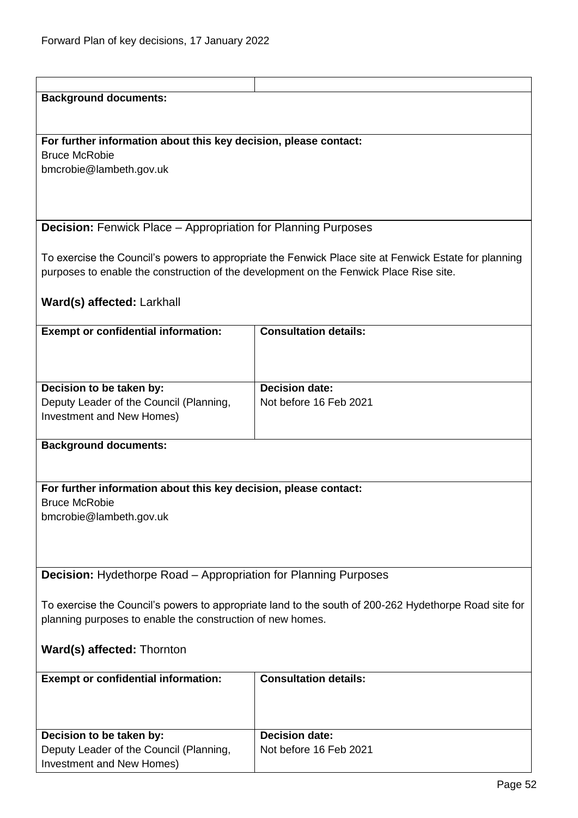| <b>Background documents:</b>                                                                          |                                                                                                       |  |
|-------------------------------------------------------------------------------------------------------|-------------------------------------------------------------------------------------------------------|--|
|                                                                                                       |                                                                                                       |  |
|                                                                                                       |                                                                                                       |  |
| For further information about this key decision, please contact:                                      |                                                                                                       |  |
| <b>Bruce McRobie</b>                                                                                  |                                                                                                       |  |
| bmcrobie@lambeth.gov.uk                                                                               |                                                                                                       |  |
|                                                                                                       |                                                                                                       |  |
|                                                                                                       |                                                                                                       |  |
|                                                                                                       |                                                                                                       |  |
| <b>Decision:</b> Fenwick Place - Appropriation for Planning Purposes                                  |                                                                                                       |  |
|                                                                                                       |                                                                                                       |  |
|                                                                                                       | To exercise the Council's powers to appropriate the Fenwick Place site at Fenwick Estate for planning |  |
| purposes to enable the construction of the development on the Fenwick Place Rise site.                |                                                                                                       |  |
|                                                                                                       |                                                                                                       |  |
| Ward(s) affected: Larkhall                                                                            |                                                                                                       |  |
|                                                                                                       |                                                                                                       |  |
| <b>Exempt or confidential information:</b>                                                            | <b>Consultation details:</b>                                                                          |  |
|                                                                                                       |                                                                                                       |  |
|                                                                                                       |                                                                                                       |  |
|                                                                                                       |                                                                                                       |  |
| Decision to be taken by:                                                                              | Decision date:                                                                                        |  |
| Deputy Leader of the Council (Planning,                                                               | Not before 16 Feb 2021                                                                                |  |
| Investment and New Homes)                                                                             |                                                                                                       |  |
|                                                                                                       |                                                                                                       |  |
| <b>Background documents:</b>                                                                          |                                                                                                       |  |
|                                                                                                       |                                                                                                       |  |
|                                                                                                       |                                                                                                       |  |
| For further information about this key decision, please contact:                                      |                                                                                                       |  |
| <b>Bruce McRobie</b>                                                                                  |                                                                                                       |  |
| bmcrobie@lambeth.gov.uk                                                                               |                                                                                                       |  |
|                                                                                                       |                                                                                                       |  |
|                                                                                                       |                                                                                                       |  |
|                                                                                                       |                                                                                                       |  |
|                                                                                                       |                                                                                                       |  |
| <b>Decision:</b> Hydethorpe Road – Appropriation for Planning Purposes                                |                                                                                                       |  |
|                                                                                                       |                                                                                                       |  |
| To exercise the Council's powers to appropriate land to the south of 200-262 Hydethorpe Road site for |                                                                                                       |  |
| planning purposes to enable the construction of new homes.                                            |                                                                                                       |  |
|                                                                                                       |                                                                                                       |  |
| Ward(s) affected: Thornton                                                                            |                                                                                                       |  |
|                                                                                                       |                                                                                                       |  |
| <b>Exempt or confidential information:</b>                                                            | <b>Consultation details:</b>                                                                          |  |
|                                                                                                       |                                                                                                       |  |
|                                                                                                       |                                                                                                       |  |
|                                                                                                       |                                                                                                       |  |
| Decision to be taken by:                                                                              | <b>Decision date:</b>                                                                                 |  |
| Deputy Leader of the Council (Planning,                                                               | Not before 16 Feb 2021                                                                                |  |
| Investment and New Homes)                                                                             |                                                                                                       |  |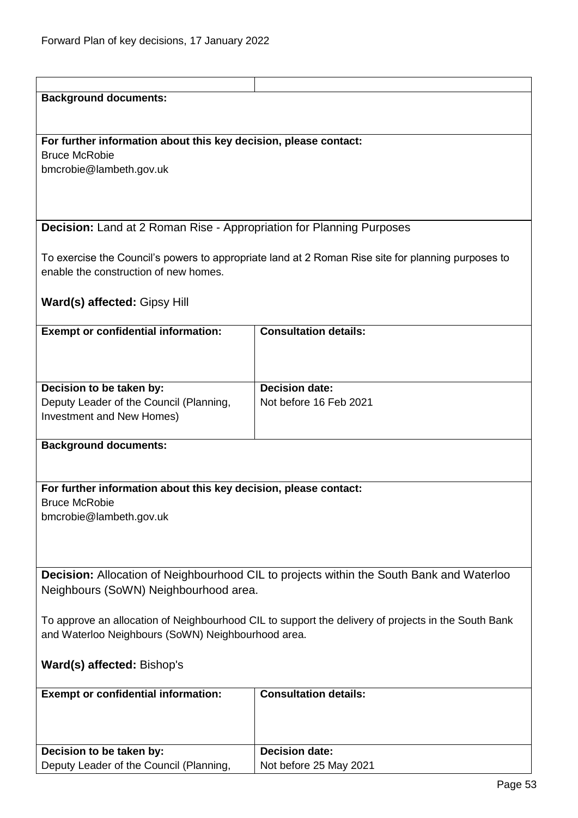| <b>Background documents:</b>                                                                        |                                                                                                    |
|-----------------------------------------------------------------------------------------------------|----------------------------------------------------------------------------------------------------|
|                                                                                                     |                                                                                                    |
|                                                                                                     |                                                                                                    |
|                                                                                                     |                                                                                                    |
| For further information about this key decision, please contact:                                    |                                                                                                    |
| <b>Bruce McRobie</b>                                                                                |                                                                                                    |
| bmcrobie@lambeth.gov.uk                                                                             |                                                                                                    |
|                                                                                                     |                                                                                                    |
|                                                                                                     |                                                                                                    |
|                                                                                                     |                                                                                                    |
|                                                                                                     |                                                                                                    |
| <b>Decision:</b> Land at 2 Roman Rise - Appropriation for Planning Purposes                         |                                                                                                    |
|                                                                                                     |                                                                                                    |
|                                                                                                     | To exercise the Council's powers to appropriate land at 2 Roman Rise site for planning purposes to |
| enable the construction of new homes.                                                               |                                                                                                    |
|                                                                                                     |                                                                                                    |
|                                                                                                     |                                                                                                    |
| <b>Ward(s) affected: Gipsy Hill</b>                                                                 |                                                                                                    |
|                                                                                                     |                                                                                                    |
| <b>Exempt or confidential information:</b>                                                          | <b>Consultation details:</b>                                                                       |
|                                                                                                     |                                                                                                    |
|                                                                                                     |                                                                                                    |
|                                                                                                     |                                                                                                    |
| Decision to be taken by:                                                                            | <b>Decision date:</b>                                                                              |
|                                                                                                     |                                                                                                    |
| Deputy Leader of the Council (Planning,                                                             | Not before 16 Feb 2021                                                                             |
| Investment and New Homes)                                                                           |                                                                                                    |
|                                                                                                     |                                                                                                    |
| <b>Background documents:</b>                                                                        |                                                                                                    |
|                                                                                                     |                                                                                                    |
|                                                                                                     |                                                                                                    |
| For further information about this key decision, please contact:                                    |                                                                                                    |
| <b>Bruce McRobie</b>                                                                                |                                                                                                    |
|                                                                                                     |                                                                                                    |
| bmcrobie@lambeth.gov.uk                                                                             |                                                                                                    |
|                                                                                                     |                                                                                                    |
|                                                                                                     |                                                                                                    |
|                                                                                                     |                                                                                                    |
|                                                                                                     | <b>Decision:</b> Allocation of Neighbourhood CIL to projects within the South Bank and Waterloo    |
|                                                                                                     |                                                                                                    |
| Neighbours (SoWN) Neighbourhood area.                                                               |                                                                                                    |
|                                                                                                     |                                                                                                    |
| To approve an allocation of Neighbourhood CIL to support the delivery of projects in the South Bank |                                                                                                    |
| and Waterloo Neighbours (SoWN) Neighbourhood area.                                                  |                                                                                                    |
|                                                                                                     |                                                                                                    |
| Ward(s) affected: Bishop's                                                                          |                                                                                                    |
|                                                                                                     |                                                                                                    |
|                                                                                                     |                                                                                                    |
| <b>Exempt or confidential information:</b>                                                          | <b>Consultation details:</b>                                                                       |
|                                                                                                     |                                                                                                    |
|                                                                                                     |                                                                                                    |
|                                                                                                     |                                                                                                    |
| Decision to be taken by:                                                                            | <b>Decision date:</b>                                                                              |
| Deputy Leader of the Council (Planning,                                                             | Not before 25 May 2021                                                                             |
|                                                                                                     |                                                                                                    |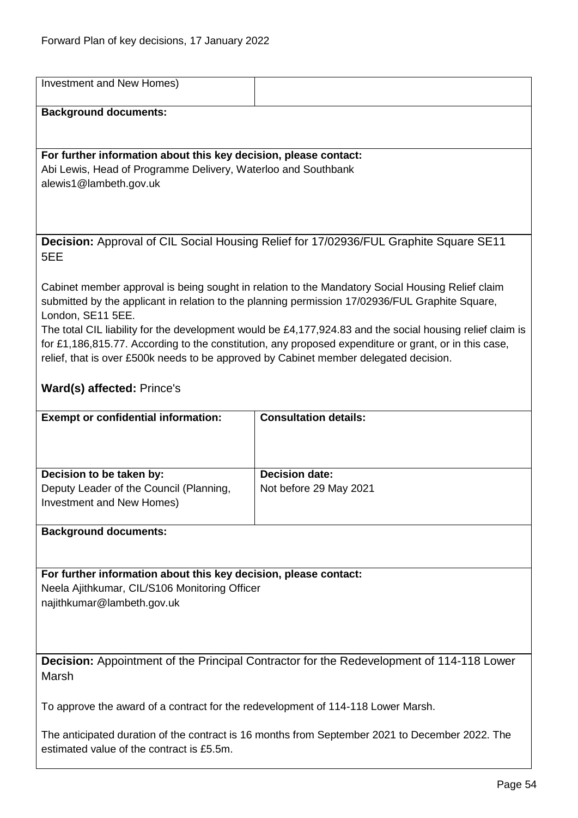| Investment and New Homes)                                                                       |                                                                                                                                                                                                                    |
|-------------------------------------------------------------------------------------------------|--------------------------------------------------------------------------------------------------------------------------------------------------------------------------------------------------------------------|
| <b>Background documents:</b>                                                                    |                                                                                                                                                                                                                    |
|                                                                                                 |                                                                                                                                                                                                                    |
| For further information about this key decision, please contact:                                |                                                                                                                                                                                                                    |
| Abi Lewis, Head of Programme Delivery, Waterloo and Southbank                                   |                                                                                                                                                                                                                    |
| alewis1@lambeth.gov.uk                                                                          |                                                                                                                                                                                                                    |
|                                                                                                 |                                                                                                                                                                                                                    |
|                                                                                                 |                                                                                                                                                                                                                    |
|                                                                                                 | Decision: Approval of CIL Social Housing Relief for 17/02936/FUL Graphite Square SE11                                                                                                                              |
| 5EE                                                                                             |                                                                                                                                                                                                                    |
|                                                                                                 | Cabinet member approval is being sought in relation to the Mandatory Social Housing Relief claim                                                                                                                   |
|                                                                                                 | submitted by the applicant in relation to the planning permission 17/02936/FUL Graphite Square,                                                                                                                    |
| London, SE11 5EE.                                                                               |                                                                                                                                                                                                                    |
|                                                                                                 | The total CIL liability for the development would be £4,177,924.83 and the social housing relief claim is<br>for £1,186,815.77. According to the constitution, any proposed expenditure or grant, or in this case, |
| relief, that is over £500k needs to be approved by Cabinet member delegated decision.           |                                                                                                                                                                                                                    |
|                                                                                                 |                                                                                                                                                                                                                    |
| Ward(s) affected: Prince's                                                                      |                                                                                                                                                                                                                    |
| <b>Exempt or confidential information:</b>                                                      | <b>Consultation details:</b>                                                                                                                                                                                       |
|                                                                                                 |                                                                                                                                                                                                                    |
|                                                                                                 |                                                                                                                                                                                                                    |
| Decision to be taken by:                                                                        | <b>Decision date:</b>                                                                                                                                                                                              |
| Deputy Leader of the Council (Planning,                                                         | Not before 29 May 2021                                                                                                                                                                                             |
| Investment and New Homes)                                                                       |                                                                                                                                                                                                                    |
| <b>Background documents:</b>                                                                    |                                                                                                                                                                                                                    |
|                                                                                                 |                                                                                                                                                                                                                    |
| For further information about this key decision, please contact:                                |                                                                                                                                                                                                                    |
| Neela Ajithkumar, CIL/S106 Monitoring Officer                                                   |                                                                                                                                                                                                                    |
| najithkumar@lambeth.gov.uk                                                                      |                                                                                                                                                                                                                    |
|                                                                                                 |                                                                                                                                                                                                                    |
|                                                                                                 |                                                                                                                                                                                                                    |
| <b>Decision:</b> Appointment of the Principal Contractor for the Redevelopment of 114-118 Lower |                                                                                                                                                                                                                    |
| Marsh                                                                                           |                                                                                                                                                                                                                    |
| To approve the award of a contract for the redevelopment of 114-118 Lower Marsh.                |                                                                                                                                                                                                                    |
|                                                                                                 |                                                                                                                                                                                                                    |
| The anticipated duration of the contract is 16 months from September 2021 to December 2022. The |                                                                                                                                                                                                                    |
| estimated value of the contract is £5.5m.                                                       |                                                                                                                                                                                                                    |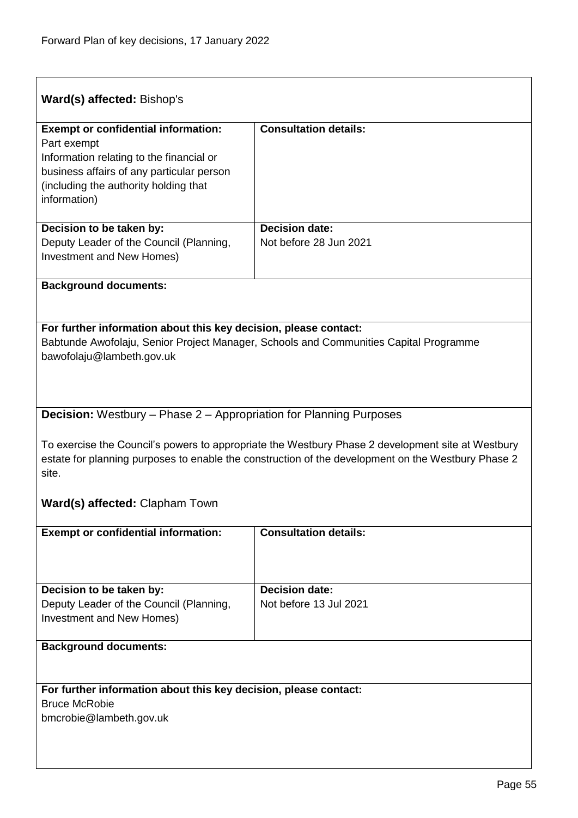| Ward(s) affected: Bishop's                                                                                                                                                                                       |                                                 |  |
|------------------------------------------------------------------------------------------------------------------------------------------------------------------------------------------------------------------|-------------------------------------------------|--|
| <b>Exempt or confidential information:</b><br>Part exempt<br>Information relating to the financial or<br>business affairs of any particular person<br>(including the authority holding that<br>information)      | <b>Consultation details:</b>                    |  |
| Decision to be taken by:<br>Deputy Leader of the Council (Planning,<br>Investment and New Homes)                                                                                                                 | <b>Decision date:</b><br>Not before 28 Jun 2021 |  |
| <b>Background documents:</b>                                                                                                                                                                                     |                                                 |  |
| For further information about this key decision, please contact:<br>Babtunde Awofolaju, Senior Project Manager, Schools and Communities Capital Programme<br>bawofolaju@lambeth.gov.uk                           |                                                 |  |
| <b>Decision:</b> Westbury – Phase 2 – Appropriation for Planning Purposes                                                                                                                                        |                                                 |  |
| To exercise the Council's powers to appropriate the Westbury Phase 2 development site at Westbury<br>estate for planning purposes to enable the construction of the development on the Westbury Phase 2<br>site. |                                                 |  |
| Ward(s) affected: Clapham Town                                                                                                                                                                                   |                                                 |  |
| <b>Exempt or confidential information:</b>                                                                                                                                                                       | <b>Consultation details:</b>                    |  |
| Decision to be taken by:<br>Deputy Leader of the Council (Planning,<br>Investment and New Homes)                                                                                                                 | <b>Decision date:</b><br>Not before 13 Jul 2021 |  |
| <b>Background documents:</b>                                                                                                                                                                                     |                                                 |  |
| For further information about this key decision, please contact:<br><b>Bruce McRobie</b><br>bmcrobie@lambeth.gov.uk                                                                                              |                                                 |  |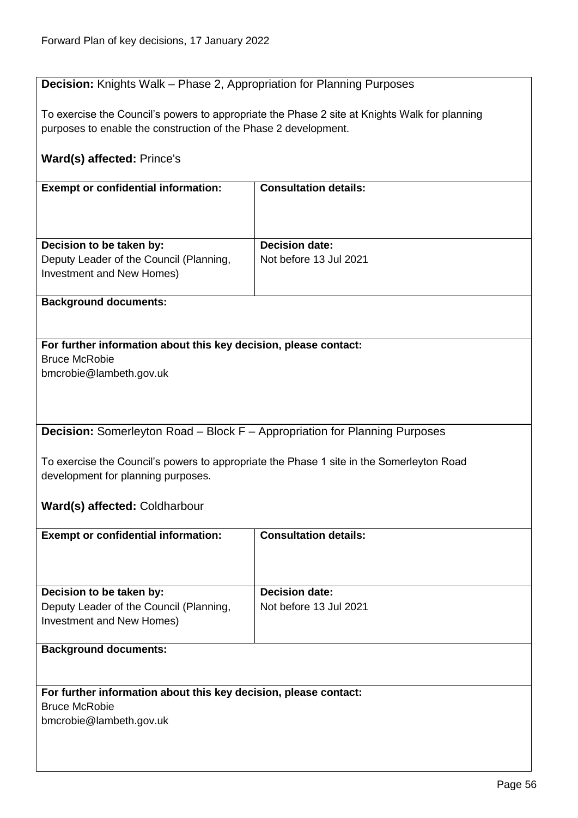## **Decision:** Knights Walk – Phase 2, Appropriation for Planning Purposes

To exercise the Council's powers to appropriate the Phase 2 site at Knights Walk for planning purposes to enable the construction of the Phase 2 development.

## **Ward(s) affected:** Prince's

| <b>Exempt or confidential information:</b> | <b>Consultation details:</b> |
|--------------------------------------------|------------------------------|
|                                            |                              |
|                                            |                              |
|                                            |                              |
|                                            |                              |
|                                            |                              |
| Decision to be taken by:                   | <b>Decision date:</b>        |
| Deputy Leader of the Council (Planning,    | Not before 13 Jul 2021       |
|                                            |                              |
| Investment and New Homes)                  |                              |
|                                            |                              |

#### **Background documents:**

#### **For further information about this key decision, please contact:** Bruce McRobie

bmcrobie@lambeth.gov.uk

**Decision:** Somerleyton Road – Block F – Appropriation for Planning Purposes

To exercise the Council's powers to appropriate the Phase 1 site in the Somerleyton Road development for planning purposes.

**Ward(s) affected:** Coldharbour

| <b>Exempt or confidential information:</b> | <b>Consultation details:</b> |
|--------------------------------------------|------------------------------|
| Decision to be taken by:                   | <b>Decision date:</b>        |
| Deputy Leader of the Council (Planning,    | Not before 13 Jul 2021       |
| Investment and New Homes)                  |                              |
|                                            |                              |
| <b>Background documents:</b>               |                              |

## **For further information about this key decision, please contact:**

Bruce McRobie

bmcrobie@lambeth.gov.uk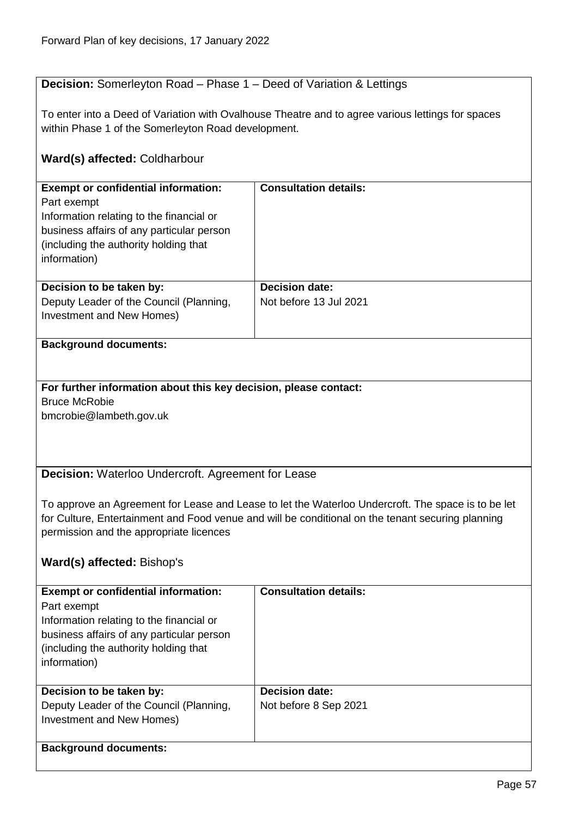## **Decision:** Somerleyton Road – Phase 1 – Deed of Variation & Lettings

To enter into a Deed of Variation with Ovalhouse Theatre and to agree various lettings for spaces within Phase 1 of the Somerleyton Road development.

## **Ward(s) affected:** Coldharbour

| <b>Exempt or confidential information:</b><br>Part exempt<br>Information relating to the financial or<br>business affairs of any particular person<br>(including the authority holding that)<br>information) | <b>Consultation details:</b>                    |
|--------------------------------------------------------------------------------------------------------------------------------------------------------------------------------------------------------------|-------------------------------------------------|
| Decision to be taken by:<br>Deputy Leader of the Council (Planning,<br>Investment and New Homes)                                                                                                             | <b>Decision date:</b><br>Not before 13 Jul 2021 |

#### **Background documents:**

**For further information about this key decision, please contact:** Bruce McRobie bmcrobie@lambeth.gov.uk

**Decision:** Waterloo Undercroft. Agreement for Lease

To approve an Agreement for Lease and Lease to let the Waterloo Undercroft. The space is to be let for Culture, Entertainment and Food venue and will be conditional on the tenant securing planning permission and the appropriate licences

## **Ward(s) affected:** Bishop's

| <b>Exempt or confidential information:</b><br>Part exempt<br>Information relating to the financial or<br>business affairs of any particular person<br>(including the authority holding that)<br>information) | <b>Consultation details:</b> |
|--------------------------------------------------------------------------------------------------------------------------------------------------------------------------------------------------------------|------------------------------|
| Decision to be taken by:                                                                                                                                                                                     | <b>Decision date:</b>        |
| Deputy Leader of the Council (Planning,                                                                                                                                                                      | Not before 8 Sep 2021        |
| Investment and New Homes)                                                                                                                                                                                    |                              |
|                                                                                                                                                                                                              |                              |
| <b>Background documents:</b>                                                                                                                                                                                 |                              |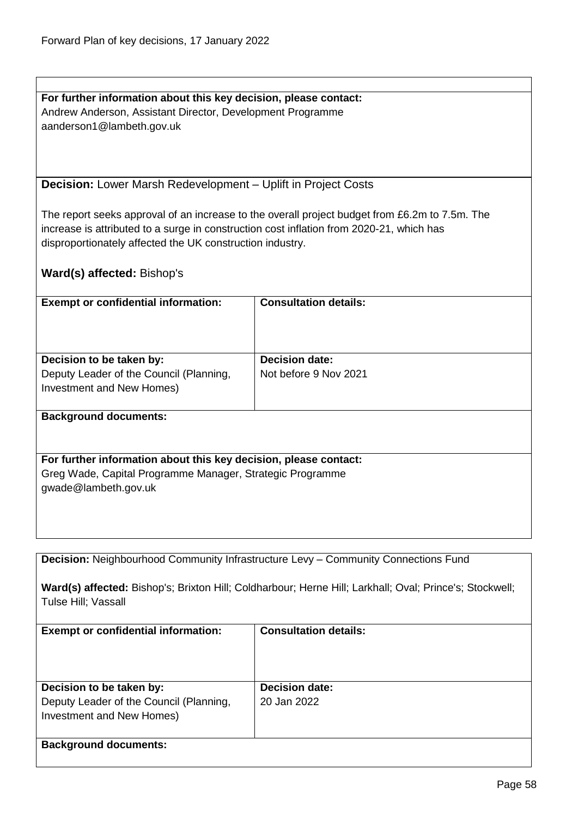**For further information about this key decision, please contact:** Andrew Anderson, Assistant Director, Development Programme aanderson1@lambeth.gov.uk

**Decision:** Lower Marsh Redevelopment – Uplift in Project Costs

The report seeks approval of an increase to the overall project budget from £6.2m to 7.5m. The increase is attributed to a surge in construction cost inflation from 2020-21, which has disproportionately affected the UK construction industry.

|  | Ward(s) affected: Bishop's |  |
|--|----------------------------|--|
|--|----------------------------|--|

| <b>Exempt or confidential information:</b>                                                       | <b>Consultation details:</b>                   |
|--------------------------------------------------------------------------------------------------|------------------------------------------------|
| Decision to be taken by:<br>Deputy Leader of the Council (Planning,<br>Investment and New Homes) | <b>Decision date:</b><br>Not before 9 Nov 2021 |
|                                                                                                  |                                                |

#### **Background documents:**

**For further information about this key decision, please contact:** Greg Wade, Capital Programme Manager, Strategic Programme gwade@lambeth.gov.uk

**Decision:** Neighbourhood Community Infrastructure Levy – Community Connections Fund

**Ward(s) affected:** Bishop's; Brixton Hill; Coldharbour; Herne Hill; Larkhall; Oval; Prince's; Stockwell; Tulse Hill; Vassall

| <b>Exempt or confidential information:</b>                                                       | <b>Consultation details:</b>         |
|--------------------------------------------------------------------------------------------------|--------------------------------------|
| Decision to be taken by:<br>Deputy Leader of the Council (Planning,<br>Investment and New Homes) | <b>Decision date:</b><br>20 Jan 2022 |
| <b>Background documents:</b>                                                                     |                                      |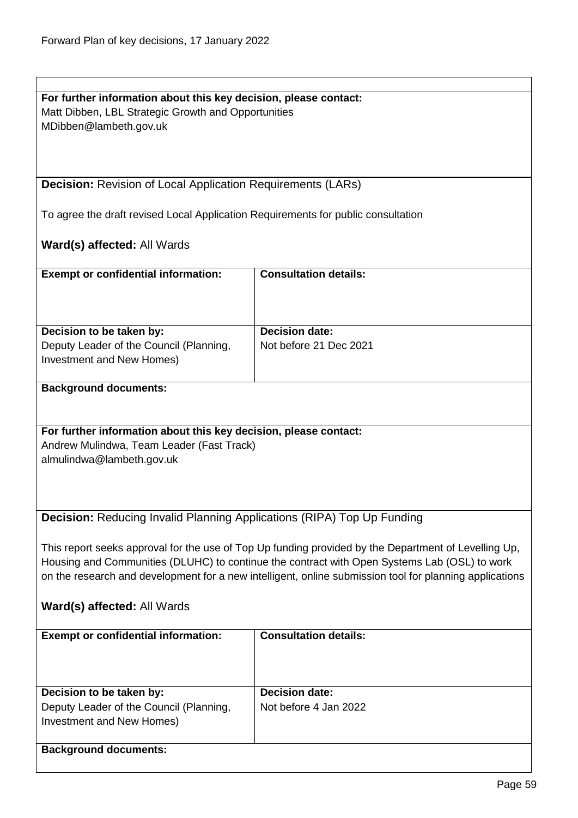| For further information about this key decision, please contact:                                        |                              |
|---------------------------------------------------------------------------------------------------------|------------------------------|
| Matt Dibben, LBL Strategic Growth and Opportunities                                                     |                              |
| MDibben@lambeth.gov.uk                                                                                  |                              |
|                                                                                                         |                              |
|                                                                                                         |                              |
|                                                                                                         |                              |
| <b>Decision:</b> Revision of Local Application Requirements (LARs)                                      |                              |
|                                                                                                         |                              |
|                                                                                                         |                              |
| To agree the draft revised Local Application Requirements for public consultation                       |                              |
|                                                                                                         |                              |
| Ward(s) affected: All Wards                                                                             |                              |
|                                                                                                         |                              |
| <b>Exempt or confidential information:</b>                                                              | <b>Consultation details:</b> |
|                                                                                                         |                              |
|                                                                                                         |                              |
|                                                                                                         |                              |
| Decision to be taken by:                                                                                | Decision date:               |
| Deputy Leader of the Council (Planning,                                                                 | Not before 21 Dec 2021       |
|                                                                                                         |                              |
| Investment and New Homes)                                                                               |                              |
|                                                                                                         |                              |
| <b>Background documents:</b>                                                                            |                              |
|                                                                                                         |                              |
|                                                                                                         |                              |
| For further information about this key decision, please contact:                                        |                              |
| Andrew Mulindwa, Team Leader (Fast Track)                                                               |                              |
| almulindwa@lambeth.gov.uk                                                                               |                              |
|                                                                                                         |                              |
|                                                                                                         |                              |
|                                                                                                         |                              |
|                                                                                                         |                              |
| Decision: Reducing Invalid Planning Applications (RIPA) Top Up Funding                                  |                              |
|                                                                                                         |                              |
| This report seeks approval for the use of Top Up funding provided by the Department of Levelling Up,    |                              |
| Housing and Communities (DLUHC) to continue the contract with Open Systems Lab (OSL) to work            |                              |
| on the research and development for a new intelligent, online submission tool for planning applications |                              |
|                                                                                                         |                              |
| Ward(s) affected: All Wards                                                                             |                              |
|                                                                                                         |                              |
| <b>Exempt or confidential information:</b>                                                              | <b>Consultation details:</b> |
|                                                                                                         |                              |
|                                                                                                         |                              |
|                                                                                                         |                              |
|                                                                                                         |                              |
| Decision to be taken by:                                                                                | <b>Decision date:</b>        |
| Deputy Leader of the Council (Planning,                                                                 | Not before 4 Jan 2022        |
| <b>Investment and New Homes)</b>                                                                        |                              |
|                                                                                                         |                              |
| <b>Background documents:</b>                                                                            |                              |
|                                                                                                         |                              |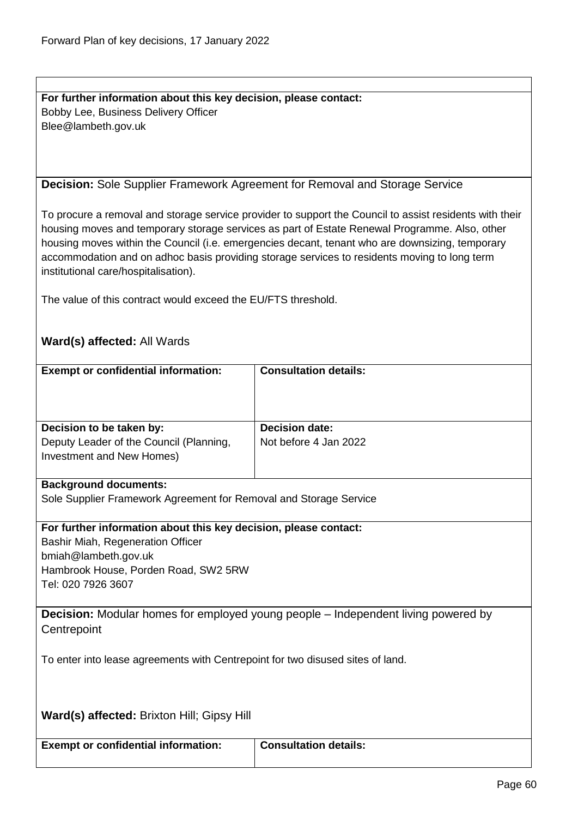**For further information about this key decision, please contact:** Bobby Lee, Business Delivery Officer Blee@lambeth.gov.uk

#### **Decision:** Sole Supplier Framework Agreement for Removal and Storage Service

To procure a removal and storage service provider to support the Council to assist residents with their housing moves and temporary storage services as part of Estate Renewal Programme. Also, other housing moves within the Council (i.e. emergencies decant, tenant who are downsizing, temporary accommodation and on adhoc basis providing storage services to residents moving to long term institutional care/hospitalisation).

The value of this contract would exceed the EU/FTS threshold.

## **Ward(s) affected:** All Wards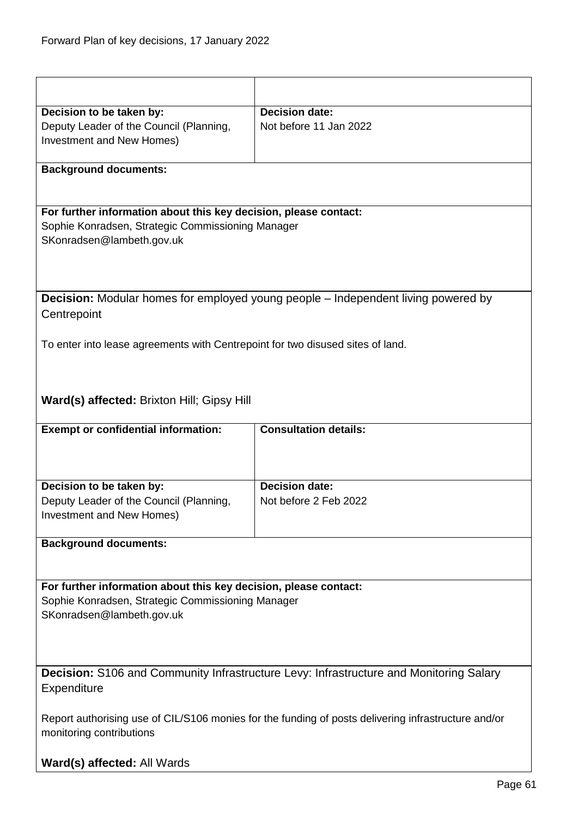| Decision to be taken by:                                                       | <b>Decision date:</b>                                                                               |
|--------------------------------------------------------------------------------|-----------------------------------------------------------------------------------------------------|
| Deputy Leader of the Council (Planning,                                        | Not before 11 Jan 2022                                                                              |
| Investment and New Homes)                                                      |                                                                                                     |
|                                                                                |                                                                                                     |
| <b>Background documents:</b>                                                   |                                                                                                     |
|                                                                                |                                                                                                     |
|                                                                                |                                                                                                     |
| For further information about this key decision, please contact:               |                                                                                                     |
| Sophie Konradsen, Strategic Commissioning Manager                              |                                                                                                     |
| SKonradsen@lambeth.gov.uk                                                      |                                                                                                     |
|                                                                                |                                                                                                     |
|                                                                                |                                                                                                     |
|                                                                                |                                                                                                     |
|                                                                                | <b>Decision:</b> Modular homes for employed young people – Independent living powered by            |
| Centrepoint                                                                    |                                                                                                     |
|                                                                                |                                                                                                     |
| To enter into lease agreements with Centrepoint for two disused sites of land. |                                                                                                     |
|                                                                                |                                                                                                     |
|                                                                                |                                                                                                     |
|                                                                                |                                                                                                     |
| Ward(s) affected: Brixton Hill; Gipsy Hill                                     |                                                                                                     |
|                                                                                |                                                                                                     |
|                                                                                |                                                                                                     |
| <b>Exempt or confidential information:</b>                                     | <b>Consultation details:</b>                                                                        |
|                                                                                |                                                                                                     |
|                                                                                |                                                                                                     |
|                                                                                | <b>Decision date:</b>                                                                               |
| Decision to be taken by:                                                       | Not before 2 Feb 2022                                                                               |
| Deputy Leader of the Council (Planning,                                        |                                                                                                     |
| Investment and New Homes)                                                      |                                                                                                     |
| <b>Background documents:</b>                                                   |                                                                                                     |
|                                                                                |                                                                                                     |
|                                                                                |                                                                                                     |
| For further information about this key decision, please contact:               |                                                                                                     |
| Sophie Konradsen, Strategic Commissioning Manager                              |                                                                                                     |
| SKonradsen@lambeth.gov.uk                                                      |                                                                                                     |
|                                                                                |                                                                                                     |
|                                                                                |                                                                                                     |
|                                                                                |                                                                                                     |
|                                                                                | <b>Decision:</b> S106 and Community Infrastructure Levy: Infrastructure and Monitoring Salary       |
| Expenditure                                                                    |                                                                                                     |
|                                                                                |                                                                                                     |
|                                                                                | Report authorising use of CIL/S106 monies for the funding of posts delivering infrastructure and/or |
| monitoring contributions                                                       |                                                                                                     |
|                                                                                |                                                                                                     |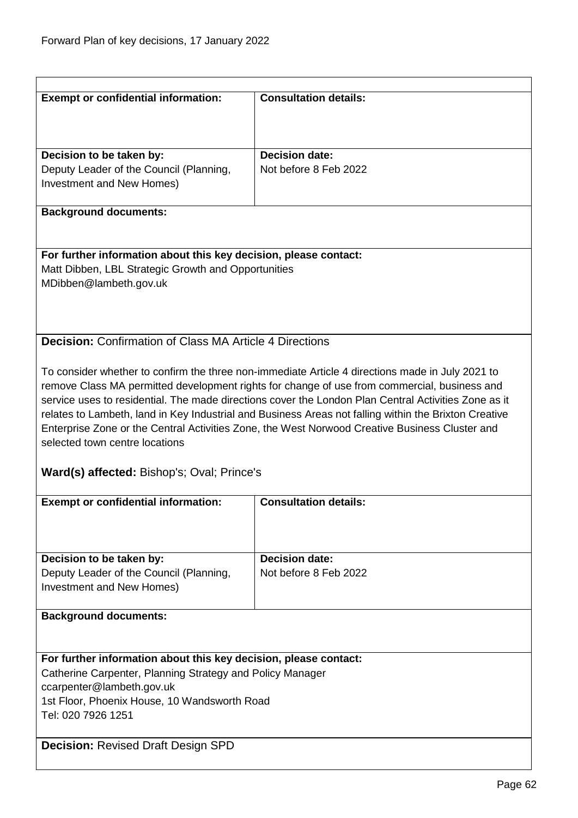| <b>Exempt or confidential information:</b>                         | <b>Consultation details:</b>                                                                                                                                                                     |
|--------------------------------------------------------------------|--------------------------------------------------------------------------------------------------------------------------------------------------------------------------------------------------|
|                                                                    |                                                                                                                                                                                                  |
| Decision to be taken by:                                           | <b>Decision date:</b>                                                                                                                                                                            |
| Deputy Leader of the Council (Planning,                            | Not before 8 Feb 2022                                                                                                                                                                            |
| Investment and New Homes)                                          |                                                                                                                                                                                                  |
| <b>Background documents:</b>                                       |                                                                                                                                                                                                  |
| For further information about this key decision, please contact:   |                                                                                                                                                                                                  |
| Matt Dibben, LBL Strategic Growth and Opportunities                |                                                                                                                                                                                                  |
| MDibben@lambeth.gov.uk                                             |                                                                                                                                                                                                  |
|                                                                    |                                                                                                                                                                                                  |
|                                                                    |                                                                                                                                                                                                  |
| <b>Decision:</b> Confirmation of Class MA Article 4 Directions     |                                                                                                                                                                                                  |
|                                                                    |                                                                                                                                                                                                  |
|                                                                    | To consider whether to confirm the three non-immediate Article 4 directions made in July 2021 to<br>remove Class MA permitted development rights for change of use from commercial, business and |
|                                                                    | service uses to residential. The made directions cover the London Plan Central Activities Zone as it                                                                                             |
|                                                                    | relates to Lambeth, land in Key Industrial and Business Areas not falling within the Brixton Creative                                                                                            |
|                                                                    | Enterprise Zone or the Central Activities Zone, the West Norwood Creative Business Cluster and                                                                                                   |
| selected town centre locations                                     |                                                                                                                                                                                                  |
| Ward(s) affected: Bishop's; Oval; Prince's                         |                                                                                                                                                                                                  |
|                                                                    |                                                                                                                                                                                                  |
| <b>Exempt or confidential information:</b>                         | <b>Consultation details:</b>                                                                                                                                                                     |
|                                                                    |                                                                                                                                                                                                  |
|                                                                    |                                                                                                                                                                                                  |
| Decision to be taken by:                                           | <b>Decision date:</b>                                                                                                                                                                            |
| Deputy Leader of the Council (Planning,                            | Not before 8 Feb 2022                                                                                                                                                                            |
| Investment and New Homes)                                          |                                                                                                                                                                                                  |
| <b>Background documents:</b>                                       |                                                                                                                                                                                                  |
|                                                                    |                                                                                                                                                                                                  |
| For further information about this key decision, please contact:   |                                                                                                                                                                                                  |
| Catherine Carpenter, Planning Strategy and Policy Manager          |                                                                                                                                                                                                  |
| ccarpenter@lambeth.gov.uk                                          |                                                                                                                                                                                                  |
| 1st Floor, Phoenix House, 10 Wandsworth Road<br>Tel: 020 7926 1251 |                                                                                                                                                                                                  |
|                                                                    |                                                                                                                                                                                                  |
|                                                                    |                                                                                                                                                                                                  |
| <b>Decision: Revised Draft Design SPD</b>                          |                                                                                                                                                                                                  |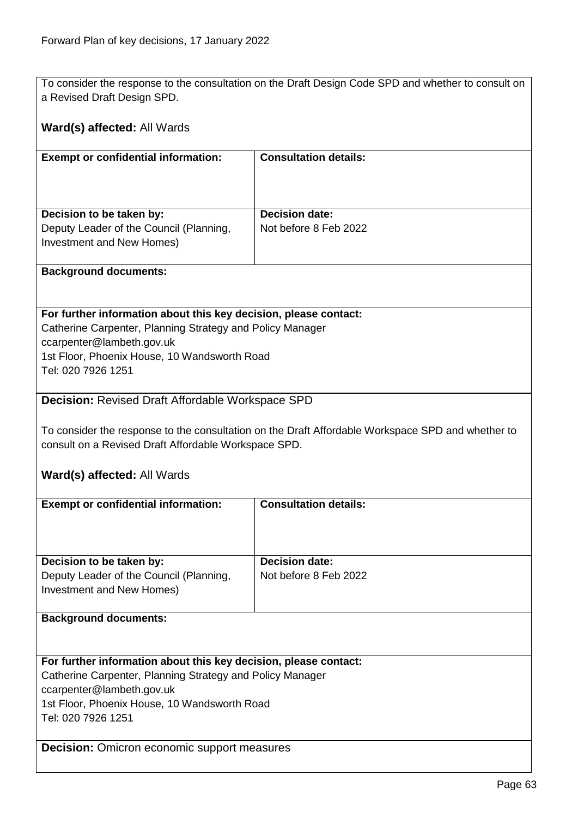To consider the response to the consultation on the Draft Design Code SPD and whether to consult on a Revised Draft Design SPD.

### **Ward(s) affected:** All Wards

| <b>Exempt or confidential information:</b>                           | <b>Consultation details:</b> |
|----------------------------------------------------------------------|------------------------------|
|                                                                      |                              |
|                                                                      |                              |
| Decision to be taken by:                                             | <b>Decision date:</b>        |
| Deputy Leader of the Council (Planning,<br>Investment and New Homes) | Not before 8 Feb 2022        |
|                                                                      |                              |

#### **Background documents:**

#### **For further information about this key decision, please contact:**

Catherine Carpenter, Planning Strategy and Policy Manager ccarpenter@lambeth.gov.uk 1st Floor, Phoenix House, 10 Wandsworth Road Tel: 020 7926 1251

#### **Decision:** Revised Draft Affordable Workspace SPD

To consider the response to the consultation on the Draft Affordable Workspace SPD and whether to consult on a Revised Draft Affordable Workspace SPD.

#### **Ward(s) affected:** All Wards

| <b>Exempt or confidential information:</b>                       | <b>Consultation details:</b> |  |
|------------------------------------------------------------------|------------------------------|--|
|                                                                  |                              |  |
|                                                                  |                              |  |
|                                                                  |                              |  |
| Decision to be taken by:                                         | Decision date:               |  |
|                                                                  |                              |  |
| Deputy Leader of the Council (Planning,                          | Not before 8 Feb 2022        |  |
| Investment and New Homes)                                        |                              |  |
|                                                                  |                              |  |
| <b>Background documents:</b>                                     |                              |  |
|                                                                  |                              |  |
|                                                                  |                              |  |
| For further information about this key decision, please contact: |                              |  |
|                                                                  |                              |  |
| Catherine Carpenter, Planning Strategy and Policy Manager        |                              |  |
| ccarpenter@lambeth.gov.uk                                        |                              |  |
| 1st Floor, Phoenix House, 10 Wandsworth Road                     |                              |  |
| Tel: 020 7926 1251                                               |                              |  |
|                                                                  |                              |  |

**Decision:** Omicron economic support measures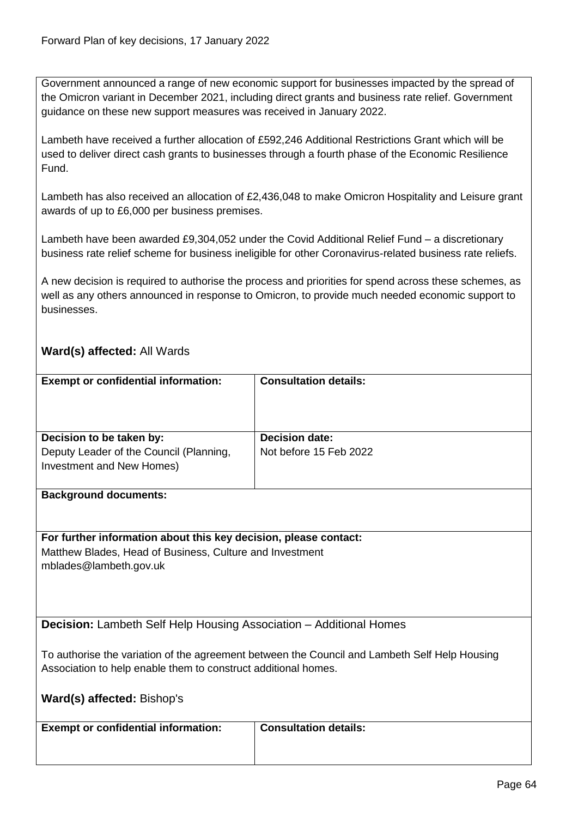Government announced a range of new economic support for businesses impacted by the spread of the Omicron variant in December 2021, including direct grants and business rate relief. Government guidance on these new support measures was received in January 2022.

Lambeth have received a further allocation of £592,246 Additional Restrictions Grant which will be used to deliver direct cash grants to businesses through a fourth phase of the Economic Resilience Fund.

Lambeth has also received an allocation of £2,436,048 to make Omicron Hospitality and Leisure grant awards of up to £6,000 per business premises.

Lambeth have been awarded £9,304,052 under the Covid Additional Relief Fund – a discretionary business rate relief scheme for business ineligible for other Coronavirus-related business rate reliefs.

A new decision is required to authorise the process and priorities for spend across these schemes, as well as any others announced in response to Omicron, to provide much needed economic support to businesses.

## **Ward(s) affected:** All Wards

| <b>Exempt or confidential information:</b>                                                       | <b>Consultation details:</b>                    |
|--------------------------------------------------------------------------------------------------|-------------------------------------------------|
| Decision to be taken by:<br>Deputy Leader of the Council (Planning,<br>Investment and New Homes) | <b>Decision date:</b><br>Not before 15 Feb 2022 |
|                                                                                                  |                                                 |

#### **Background documents:**

**For further information about this key decision, please contact:** Matthew Blades, Head of Business, Culture and Investment mblades@lambeth.gov.uk

**Decision:** Lambeth Self Help Housing Association – Additional Homes

To authorise the variation of the agreement between the Council and Lambeth Self Help Housing Association to help enable them to construct additional homes.

|  | Ward(s) affected: Bishop's |  |
|--|----------------------------|--|
|--|----------------------------|--|

| <b>Exempt or confidential information:</b> | <b>Consultation details:</b> |
|--------------------------------------------|------------------------------|
|                                            |                              |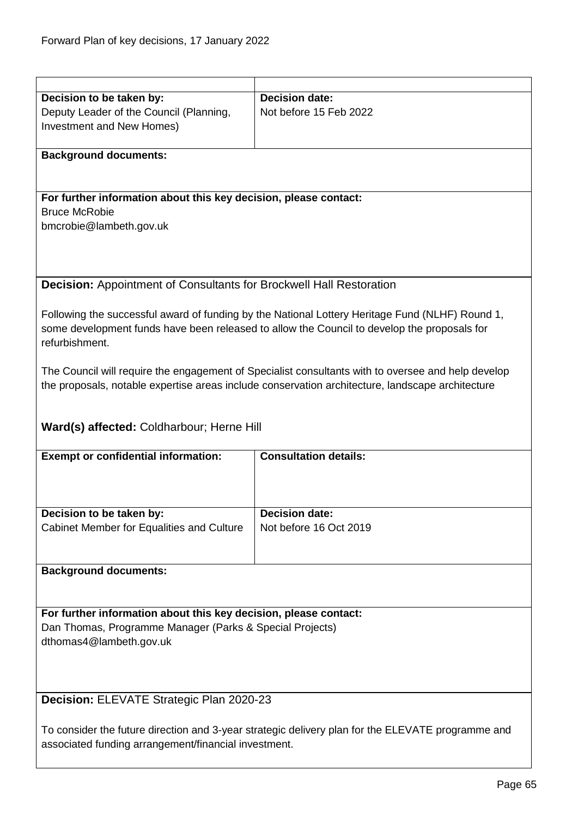| Decision to be taken by:                                                                                                                                  | <b>Decision date:</b>                                                                              |  |
|-----------------------------------------------------------------------------------------------------------------------------------------------------------|----------------------------------------------------------------------------------------------------|--|
| Deputy Leader of the Council (Planning,                                                                                                                   | Not before 15 Feb 2022                                                                             |  |
|                                                                                                                                                           |                                                                                                    |  |
| Investment and New Homes)                                                                                                                                 |                                                                                                    |  |
|                                                                                                                                                           |                                                                                                    |  |
| <b>Background documents:</b>                                                                                                                              |                                                                                                    |  |
|                                                                                                                                                           |                                                                                                    |  |
|                                                                                                                                                           |                                                                                                    |  |
| For further information about this key decision, please contact:                                                                                          |                                                                                                    |  |
| <b>Bruce McRobie</b>                                                                                                                                      |                                                                                                    |  |
| bmcrobie@lambeth.gov.uk                                                                                                                                   |                                                                                                    |  |
|                                                                                                                                                           |                                                                                                    |  |
|                                                                                                                                                           |                                                                                                    |  |
|                                                                                                                                                           |                                                                                                    |  |
| <b>Decision:</b> Appointment of Consultants for Brockwell Hall Restoration                                                                                |                                                                                                    |  |
|                                                                                                                                                           |                                                                                                    |  |
|                                                                                                                                                           |                                                                                                    |  |
|                                                                                                                                                           | Following the successful award of funding by the National Lottery Heritage Fund (NLHF) Round 1,    |  |
|                                                                                                                                                           | some development funds have been released to allow the Council to develop the proposals for        |  |
| refurbishment.                                                                                                                                            |                                                                                                    |  |
|                                                                                                                                                           |                                                                                                    |  |
|                                                                                                                                                           | The Council will require the engagement of Specialist consultants with to oversee and help develop |  |
|                                                                                                                                                           | the proposals, notable expertise areas include conservation architecture, landscape architecture   |  |
|                                                                                                                                                           |                                                                                                    |  |
|                                                                                                                                                           |                                                                                                    |  |
| Ward(s) affected: Coldharbour; Herne Hill                                                                                                                 |                                                                                                    |  |
|                                                                                                                                                           |                                                                                                    |  |
| <b>Exempt or confidential information:</b>                                                                                                                | <b>Consultation details:</b>                                                                       |  |
|                                                                                                                                                           |                                                                                                    |  |
|                                                                                                                                                           |                                                                                                    |  |
|                                                                                                                                                           |                                                                                                    |  |
| Decision to be taken by:                                                                                                                                  | <b>Decision date:</b>                                                                              |  |
|                                                                                                                                                           |                                                                                                    |  |
| Cabinet Member for Equalities and Culture                                                                                                                 | Not before 16 Oct 2019                                                                             |  |
|                                                                                                                                                           |                                                                                                    |  |
|                                                                                                                                                           |                                                                                                    |  |
| <b>Background documents:</b>                                                                                                                              |                                                                                                    |  |
|                                                                                                                                                           |                                                                                                    |  |
|                                                                                                                                                           |                                                                                                    |  |
| For further information about this key decision, please contact:                                                                                          |                                                                                                    |  |
| Dan Thomas, Programme Manager (Parks & Special Projects)                                                                                                  |                                                                                                    |  |
| dthomas4@lambeth.gov.uk                                                                                                                                   |                                                                                                    |  |
|                                                                                                                                                           |                                                                                                    |  |
|                                                                                                                                                           |                                                                                                    |  |
|                                                                                                                                                           |                                                                                                    |  |
|                                                                                                                                                           |                                                                                                    |  |
| Decision: ELEVATE Strategic Plan 2020-23                                                                                                                  |                                                                                                    |  |
|                                                                                                                                                           |                                                                                                    |  |
| To consider the future direction and 3-year strategic delivery plan for the ELEVATE programme and<br>associated funding arrangement/financial investment. |                                                                                                    |  |
|                                                                                                                                                           |                                                                                                    |  |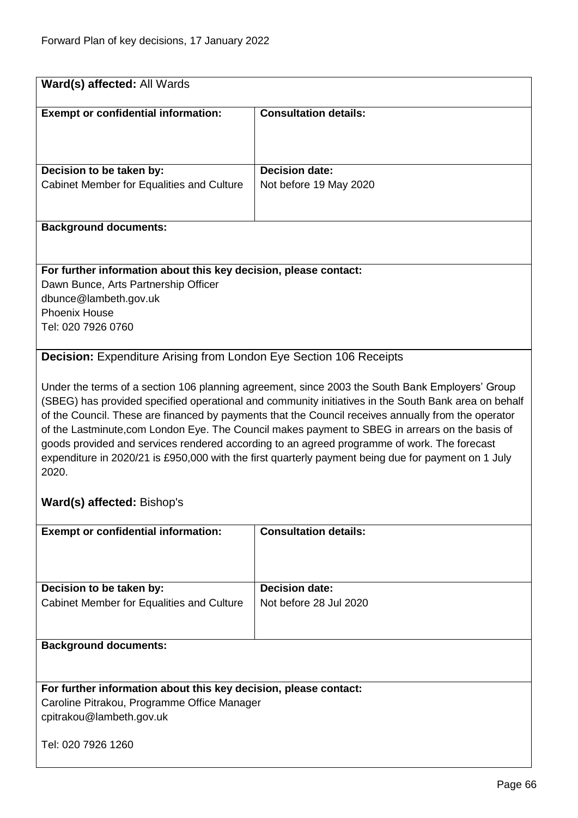| Ward(s) affected: All Wards                                                                                                                                                                                                                                                                                                                                                                                                                                                                                                                                                                                                      |                              |  |
|----------------------------------------------------------------------------------------------------------------------------------------------------------------------------------------------------------------------------------------------------------------------------------------------------------------------------------------------------------------------------------------------------------------------------------------------------------------------------------------------------------------------------------------------------------------------------------------------------------------------------------|------------------------------|--|
|                                                                                                                                                                                                                                                                                                                                                                                                                                                                                                                                                                                                                                  |                              |  |
| <b>Exempt or confidential information:</b>                                                                                                                                                                                                                                                                                                                                                                                                                                                                                                                                                                                       | <b>Consultation details:</b> |  |
|                                                                                                                                                                                                                                                                                                                                                                                                                                                                                                                                                                                                                                  |                              |  |
|                                                                                                                                                                                                                                                                                                                                                                                                                                                                                                                                                                                                                                  |                              |  |
| Decision to be taken by:                                                                                                                                                                                                                                                                                                                                                                                                                                                                                                                                                                                                         | <b>Decision date:</b>        |  |
| Cabinet Member for Equalities and Culture                                                                                                                                                                                                                                                                                                                                                                                                                                                                                                                                                                                        | Not before 19 May 2020       |  |
|                                                                                                                                                                                                                                                                                                                                                                                                                                                                                                                                                                                                                                  |                              |  |
|                                                                                                                                                                                                                                                                                                                                                                                                                                                                                                                                                                                                                                  |                              |  |
| <b>Background documents:</b>                                                                                                                                                                                                                                                                                                                                                                                                                                                                                                                                                                                                     |                              |  |
|                                                                                                                                                                                                                                                                                                                                                                                                                                                                                                                                                                                                                                  |                              |  |
| For further information about this key decision, please contact:                                                                                                                                                                                                                                                                                                                                                                                                                                                                                                                                                                 |                              |  |
| Dawn Bunce, Arts Partnership Officer                                                                                                                                                                                                                                                                                                                                                                                                                                                                                                                                                                                             |                              |  |
| dbunce@lambeth.gov.uk                                                                                                                                                                                                                                                                                                                                                                                                                                                                                                                                                                                                            |                              |  |
| <b>Phoenix House</b>                                                                                                                                                                                                                                                                                                                                                                                                                                                                                                                                                                                                             |                              |  |
| Tel: 020 7926 0760                                                                                                                                                                                                                                                                                                                                                                                                                                                                                                                                                                                                               |                              |  |
|                                                                                                                                                                                                                                                                                                                                                                                                                                                                                                                                                                                                                                  |                              |  |
| <b>Decision:</b> Expenditure Arising from London Eye Section 106 Receipts                                                                                                                                                                                                                                                                                                                                                                                                                                                                                                                                                        |                              |  |
| Under the terms of a section 106 planning agreement, since 2003 the South Bank Employers' Group<br>(SBEG) has provided specified operational and community initiatives in the South Bank area on behalf<br>of the Council. These are financed by payments that the Council receives annually from the operator<br>of the Lastminute, com London Eye. The Council makes payment to SBEG in arrears on the basis of<br>goods provided and services rendered according to an agreed programme of work. The forecast<br>expenditure in 2020/21 is £950,000 with the first quarterly payment being due for payment on 1 July<br>2020. |                              |  |
| Ward(s) affected: Bishop's                                                                                                                                                                                                                                                                                                                                                                                                                                                                                                                                                                                                       |                              |  |
| <b>Consultation details:</b><br><b>Exempt or confidential information:</b>                                                                                                                                                                                                                                                                                                                                                                                                                                                                                                                                                       |                              |  |
|                                                                                                                                                                                                                                                                                                                                                                                                                                                                                                                                                                                                                                  |                              |  |
| Decision to be taken by:                                                                                                                                                                                                                                                                                                                                                                                                                                                                                                                                                                                                         | <b>Decision date:</b>        |  |
| Cabinet Member for Equalities and Culture                                                                                                                                                                                                                                                                                                                                                                                                                                                                                                                                                                                        | Not before 28 Jul 2020       |  |
|                                                                                                                                                                                                                                                                                                                                                                                                                                                                                                                                                                                                                                  |                              |  |
| <b>Background documents:</b>                                                                                                                                                                                                                                                                                                                                                                                                                                                                                                                                                                                                     |                              |  |

Caroline Pitrakou, Programme Office Manager cpitrakou@lambeth.gov.uk

Tel: 020 7926 1260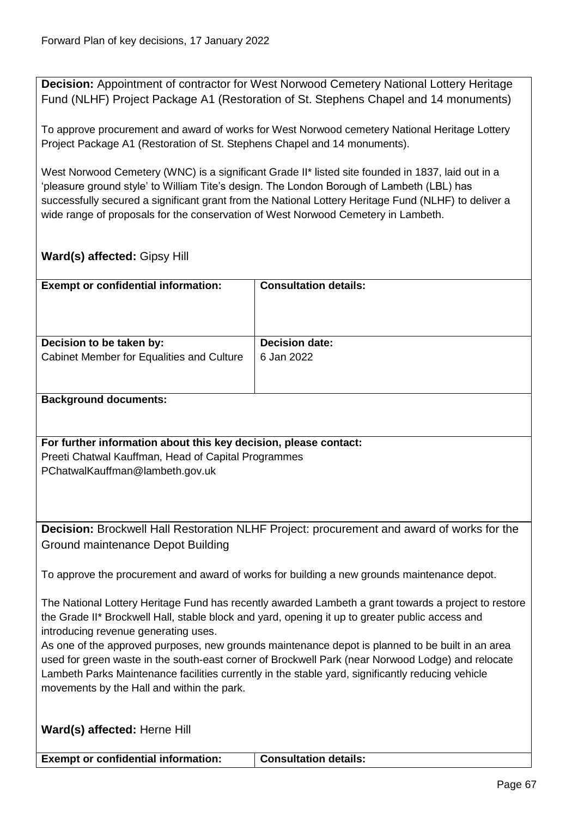**Decision:** Appointment of contractor for West Norwood Cemetery National Lottery Heritage Fund (NLHF) Project Package A1 (Restoration of St. Stephens Chapel and 14 monuments)

To approve procurement and award of works for West Norwood cemetery National Heritage Lottery Project Package A1 (Restoration of St. Stephens Chapel and 14 monuments).

West Norwood Cemetery (WNC) is a significant Grade II\* listed site founded in 1837, laid out in a 'pleasure ground style' to William Tite's design. The London Borough of Lambeth (LBL) has successfully secured a significant grant from the National Lottery Heritage Fund (NLHF) to deliver a wide range of proposals for the conservation of West Norwood Cemetery in Lambeth.

## **Ward(s) affected:** Gipsy Hill

| <b>Exempt or confidential information:</b>                                                                                                                                                            | <b>Consultation details:</b> |  |
|-------------------------------------------------------------------------------------------------------------------------------------------------------------------------------------------------------|------------------------------|--|
|                                                                                                                                                                                                       |                              |  |
|                                                                                                                                                                                                       |                              |  |
| Decision to be taken by:                                                                                                                                                                              | <b>Decision date:</b>        |  |
| Cabinet Member for Equalities and Culture                                                                                                                                                             | 6 Jan 2022                   |  |
|                                                                                                                                                                                                       |                              |  |
| <b>Background documents:</b>                                                                                                                                                                          |                              |  |
|                                                                                                                                                                                                       |                              |  |
| For further information about this key decision, please contact:                                                                                                                                      |                              |  |
| Preeti Chatwal Kauffman, Head of Capital Programmes                                                                                                                                                   |                              |  |
| PChatwalKauffman@lambeth.gov.uk                                                                                                                                                                       |                              |  |
|                                                                                                                                                                                                       |                              |  |
|                                                                                                                                                                                                       |                              |  |
| Decision: Brockwell Hall Restoration NLHF Project: procurement and award of works for the                                                                                                             |                              |  |
| Ground maintenance Depot Building                                                                                                                                                                     |                              |  |
|                                                                                                                                                                                                       |                              |  |
| To approve the procurement and award of works for building a new grounds maintenance depot.                                                                                                           |                              |  |
| The National Lottery Heritage Fund has recently awarded Lambeth a grant towards a project to restore                                                                                                  |                              |  |
| the Grade II* Brockwell Hall, stable block and yard, opening it up to greater public access and                                                                                                       |                              |  |
| introducing revenue generating uses.                                                                                                                                                                  |                              |  |
| As one of the approved purposes, new grounds maintenance depot is planned to be built in an area<br>used for green waste in the south-east corner of Brockwell Park (near Norwood Lodge) and relocate |                              |  |
| Lambeth Parks Maintenance facilities currently in the stable yard, significantly reducing vehicle                                                                                                     |                              |  |
| movements by the Hall and within the park.                                                                                                                                                            |                              |  |
|                                                                                                                                                                                                       |                              |  |
| Ward(s) affected: Herne Hill                                                                                                                                                                          |                              |  |

**Exempt or confidential information:** Consultation details: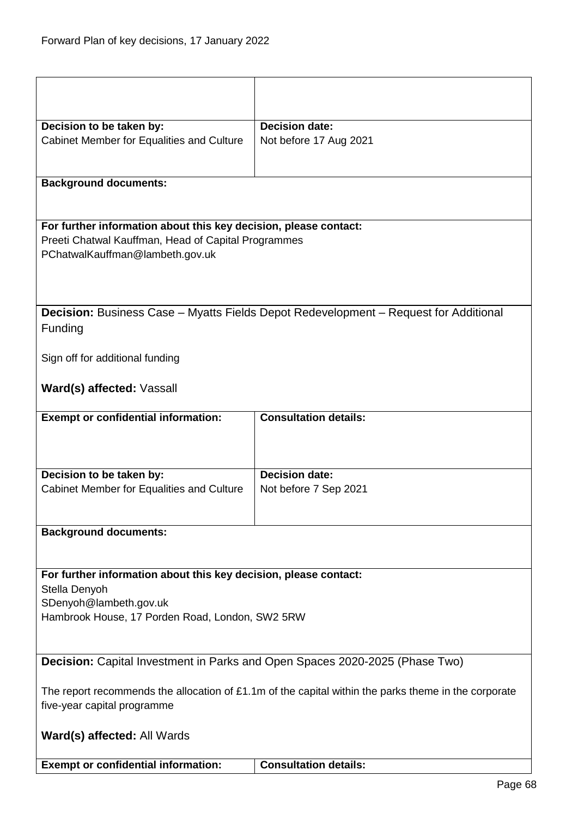| Decision to be taken by:                                                                                                            | <b>Decision date:</b>                                                                       |  |
|-------------------------------------------------------------------------------------------------------------------------------------|---------------------------------------------------------------------------------------------|--|
| Cabinet Member for Equalities and Culture                                                                                           | Not before 17 Aug 2021                                                                      |  |
|                                                                                                                                     |                                                                                             |  |
| <b>Background documents:</b>                                                                                                        |                                                                                             |  |
|                                                                                                                                     |                                                                                             |  |
| For further information about this key decision, please contact:                                                                    |                                                                                             |  |
| Preeti Chatwal Kauffman, Head of Capital Programmes<br>PChatwalKauffman@lambeth.gov.uk                                              |                                                                                             |  |
|                                                                                                                                     |                                                                                             |  |
| Funding                                                                                                                             | <b>Decision:</b> Business Case - Myatts Fields Depot Redevelopment - Request for Additional |  |
| Sign off for additional funding                                                                                                     |                                                                                             |  |
| Ward(s) affected: Vassall                                                                                                           |                                                                                             |  |
| <b>Exempt or confidential information:</b>                                                                                          | <b>Consultation details:</b>                                                                |  |
|                                                                                                                                     |                                                                                             |  |
| Decision to be taken by:                                                                                                            | <b>Decision date:</b>                                                                       |  |
| Cabinet Member for Equalities and Culture                                                                                           | Not before 7 Sep 2021                                                                       |  |
| <b>Background documents:</b>                                                                                                        |                                                                                             |  |
|                                                                                                                                     |                                                                                             |  |
| For further information about this key decision, please contact:<br>Stella Denyoh                                                   |                                                                                             |  |
| SDenyoh@lambeth.gov.uk                                                                                                              |                                                                                             |  |
| Hambrook House, 17 Porden Road, London, SW2 5RW                                                                                     |                                                                                             |  |
|                                                                                                                                     |                                                                                             |  |
| <b>Decision:</b> Capital Investment in Parks and Open Spaces 2020-2025 (Phase Two)                                                  |                                                                                             |  |
| The report recommends the allocation of £1.1m of the capital within the parks theme in the corporate<br>five-year capital programme |                                                                                             |  |
| Ward(s) affected: All Wards                                                                                                         |                                                                                             |  |
| <b>Exempt or confidential information:</b>                                                                                          | <b>Consultation details:</b>                                                                |  |
|                                                                                                                                     |                                                                                             |  |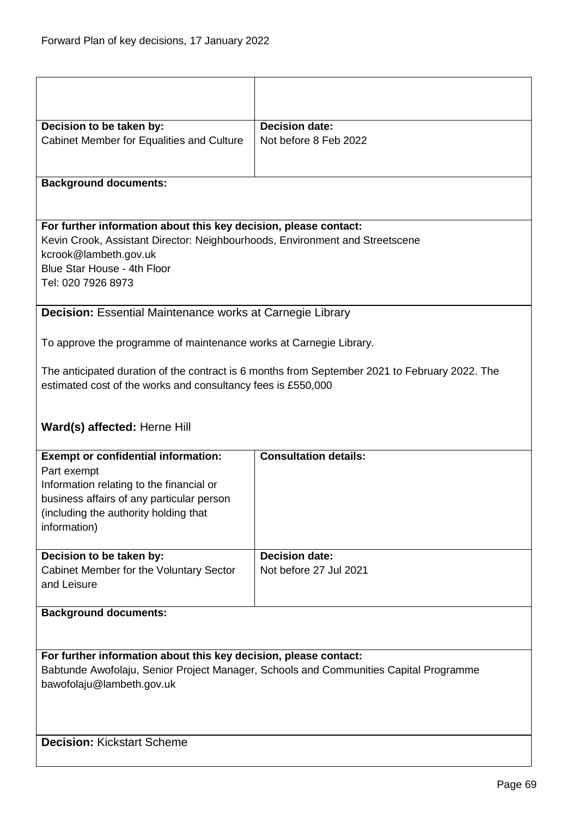| Decision to be taken by:<br>Cabinet Member for Equalities and Culture                 | Decision date:<br>Not before 8 Feb 2022                                                        |  |
|---------------------------------------------------------------------------------------|------------------------------------------------------------------------------------------------|--|
|                                                                                       |                                                                                                |  |
|                                                                                       |                                                                                                |  |
| <b>Background documents:</b>                                                          |                                                                                                |  |
| For further information about this key decision, please contact:                      |                                                                                                |  |
| Kevin Crook, Assistant Director: Neighbourhoods, Environment and Streetscene          |                                                                                                |  |
| kcrook@lambeth.gov.uk                                                                 |                                                                                                |  |
| Blue Star House - 4th Floor                                                           |                                                                                                |  |
| Tel: 020 7926 8973                                                                    |                                                                                                |  |
|                                                                                       |                                                                                                |  |
| <b>Decision:</b> Essential Maintenance works at Carnegie Library                      |                                                                                                |  |
| To approve the programme of maintenance works at Carnegie Library.                    |                                                                                                |  |
|                                                                                       | The anticipated duration of the contract is 6 months from September 2021 to February 2022. The |  |
| estimated cost of the works and consultancy fees is £550,000                          |                                                                                                |  |
|                                                                                       |                                                                                                |  |
|                                                                                       |                                                                                                |  |
| Ward(s) affected: Herne Hill                                                          |                                                                                                |  |
| <b>Exempt or confidential information:</b>                                            | <b>Consultation details:</b>                                                                   |  |
| Part exempt                                                                           |                                                                                                |  |
| Information relating to the financial or                                              |                                                                                                |  |
| business affairs of any particular person                                             |                                                                                                |  |
| (including the authority holding that                                                 |                                                                                                |  |
| information)                                                                          |                                                                                                |  |
|                                                                                       |                                                                                                |  |
| Decision to be taken by:                                                              | <b>Decision date:</b>                                                                          |  |
| Cabinet Member for the Voluntary Sector<br>and Leisure                                | Not before 27 Jul 2021                                                                         |  |
|                                                                                       |                                                                                                |  |
| <b>Background documents:</b>                                                          |                                                                                                |  |
|                                                                                       |                                                                                                |  |
|                                                                                       |                                                                                                |  |
| For further information about this key decision, please contact:                      |                                                                                                |  |
| Babtunde Awofolaju, Senior Project Manager, Schools and Communities Capital Programme |                                                                                                |  |
| bawofolaju@lambeth.gov.uk                                                             |                                                                                                |  |
|                                                                                       |                                                                                                |  |
|                                                                                       |                                                                                                |  |
| <b>Decision: Kickstart Scheme</b>                                                     |                                                                                                |  |
|                                                                                       |                                                                                                |  |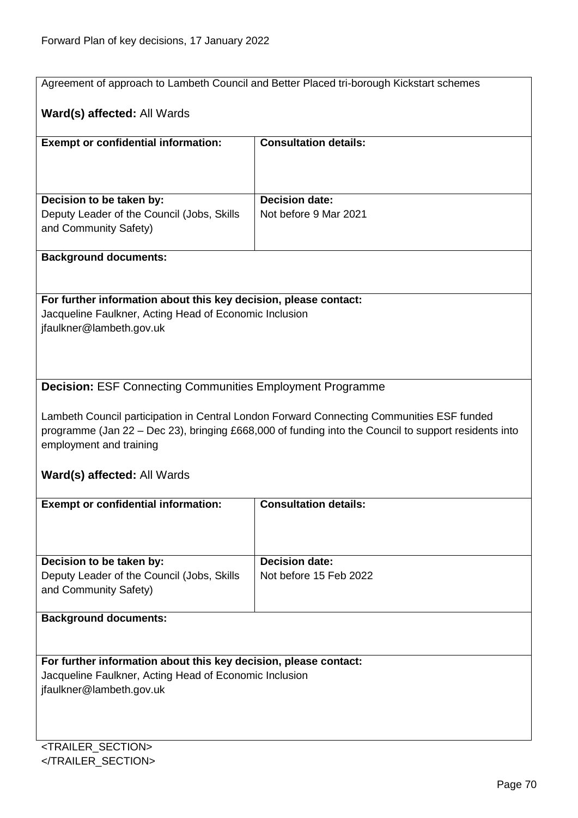|                                                                  | Agreement of approach to Lambeth Council and Better Placed tri-borough Kickstart schemes                                                                                                          |  |
|------------------------------------------------------------------|---------------------------------------------------------------------------------------------------------------------------------------------------------------------------------------------------|--|
| Ward(s) affected: All Wards                                      |                                                                                                                                                                                                   |  |
| <b>Exempt or confidential information:</b>                       | <b>Consultation details:</b>                                                                                                                                                                      |  |
|                                                                  |                                                                                                                                                                                                   |  |
|                                                                  |                                                                                                                                                                                                   |  |
|                                                                  |                                                                                                                                                                                                   |  |
| Decision to be taken by:                                         | <b>Decision date:</b>                                                                                                                                                                             |  |
| Deputy Leader of the Council (Jobs, Skills                       | Not before 9 Mar 2021                                                                                                                                                                             |  |
| and Community Safety)                                            |                                                                                                                                                                                                   |  |
| <b>Background documents:</b>                                     |                                                                                                                                                                                                   |  |
|                                                                  |                                                                                                                                                                                                   |  |
|                                                                  |                                                                                                                                                                                                   |  |
| For further information about this key decision, please contact: |                                                                                                                                                                                                   |  |
| Jacqueline Faulkner, Acting Head of Economic Inclusion           |                                                                                                                                                                                                   |  |
| jfaulkner@lambeth.gov.uk                                         |                                                                                                                                                                                                   |  |
|                                                                  |                                                                                                                                                                                                   |  |
|                                                                  |                                                                                                                                                                                                   |  |
|                                                                  |                                                                                                                                                                                                   |  |
| <b>Decision: ESF Connecting Communities Employment Programme</b> |                                                                                                                                                                                                   |  |
|                                                                  |                                                                                                                                                                                                   |  |
|                                                                  | Lambeth Council participation in Central London Forward Connecting Communities ESF funded<br>programme (Jan 22 – Dec 23), bringing £668,000 of funding into the Council to support residents into |  |
| employment and training                                          |                                                                                                                                                                                                   |  |
|                                                                  |                                                                                                                                                                                                   |  |
| Ward(s) affected: All Wards                                      |                                                                                                                                                                                                   |  |
|                                                                  |                                                                                                                                                                                                   |  |
| <b>Exempt or confidential information:</b>                       | <b>Consultation details:</b>                                                                                                                                                                      |  |
|                                                                  |                                                                                                                                                                                                   |  |
|                                                                  |                                                                                                                                                                                                   |  |
| Decision to be taken by:                                         | <b>Decision date:</b>                                                                                                                                                                             |  |
| Deputy Leader of the Council (Jobs, Skills                       | Not before 15 Feb 2022                                                                                                                                                                            |  |
| and Community Safety)                                            |                                                                                                                                                                                                   |  |
|                                                                  |                                                                                                                                                                                                   |  |
| <b>Background documents:</b>                                     |                                                                                                                                                                                                   |  |
|                                                                  |                                                                                                                                                                                                   |  |
|                                                                  |                                                                                                                                                                                                   |  |
| For further information about this key decision, please contact: |                                                                                                                                                                                                   |  |
| Jacqueline Faulkner, Acting Head of Economic Inclusion           |                                                                                                                                                                                                   |  |
| jfaulkner@lambeth.gov.uk                                         |                                                                                                                                                                                                   |  |
|                                                                  |                                                                                                                                                                                                   |  |
|                                                                  |                                                                                                                                                                                                   |  |
| <trailer_section></trailer_section>                              |                                                                                                                                                                                                   |  |

</TRAILER\_SECTION>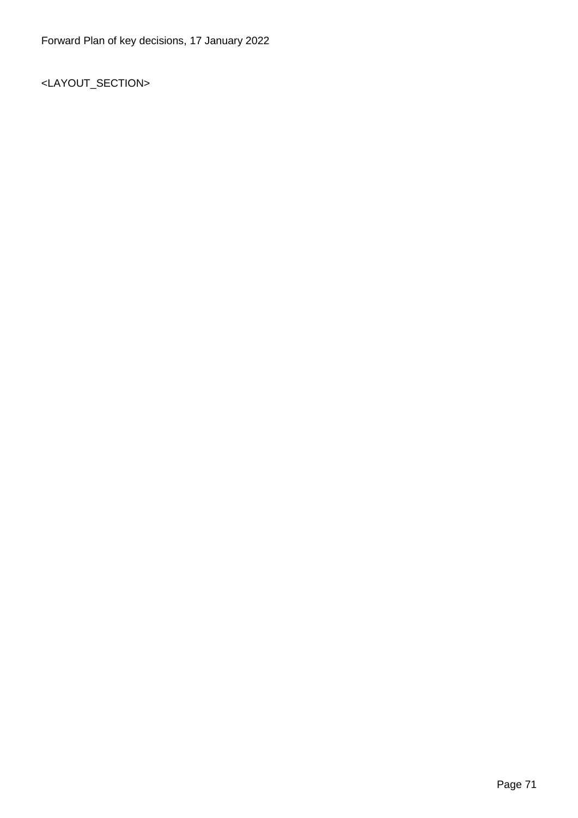<LAYOUT\_SECTION>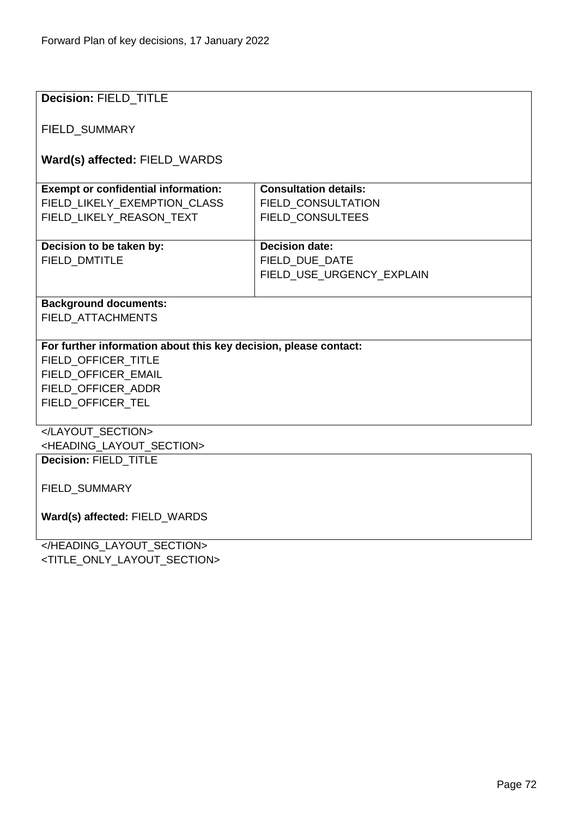| <b>Decision: FIELD_TITLE</b>                                     |                              |  |
|------------------------------------------------------------------|------------------------------|--|
|                                                                  |                              |  |
| FIELD_SUMMARY                                                    |                              |  |
|                                                                  |                              |  |
| Ward(s) affected: FIELD_WARDS                                    |                              |  |
|                                                                  |                              |  |
| <b>Exempt or confidential information:</b>                       | <b>Consultation details:</b> |  |
| FIELD_LIKELY_EXEMPTION_CLASS                                     | <b>FIELD CONSULTATION</b>    |  |
| FIELD_LIKELY_REASON_TEXT                                         | FIELD_CONSULTEES             |  |
|                                                                  |                              |  |
| Decision to be taken by:                                         | <b>Decision date:</b>        |  |
| FIELD_DMTITLE                                                    | FIELD_DUE_DATE               |  |
|                                                                  | FIELD_USE_URGENCY_EXPLAIN    |  |
|                                                                  |                              |  |
| <b>Background documents:</b>                                     |                              |  |
| <b>FIELD ATTACHMENTS</b>                                         |                              |  |
|                                                                  |                              |  |
| For further information about this key decision, please contact: |                              |  |
| FIELD_OFFICER_TITLE                                              |                              |  |
| FIELD OFFICER EMAIL                                              |                              |  |
| FIELD OFFICER ADDR                                               |                              |  |
| FIELD_OFFICER_TEL                                                |                              |  |
|                                                                  |                              |  |
|                                                                  |                              |  |
| <heading_layout_section></heading_layout_section>                |                              |  |
| Decision: FIELD_TITLE                                            |                              |  |
|                                                                  |                              |  |
| FIELD_SUMMARY                                                    |                              |  |
|                                                                  |                              |  |
| Ward(s) affected: FIELD_WARDS                                    |                              |  |
|                                                                  |                              |  |
| CHEADING LAYOUT SECTIONS                                         |                              |  |

</HEADING\_LAYOUT\_SECTION> <TITLE\_ONLY\_LAYOUT\_SECTION>